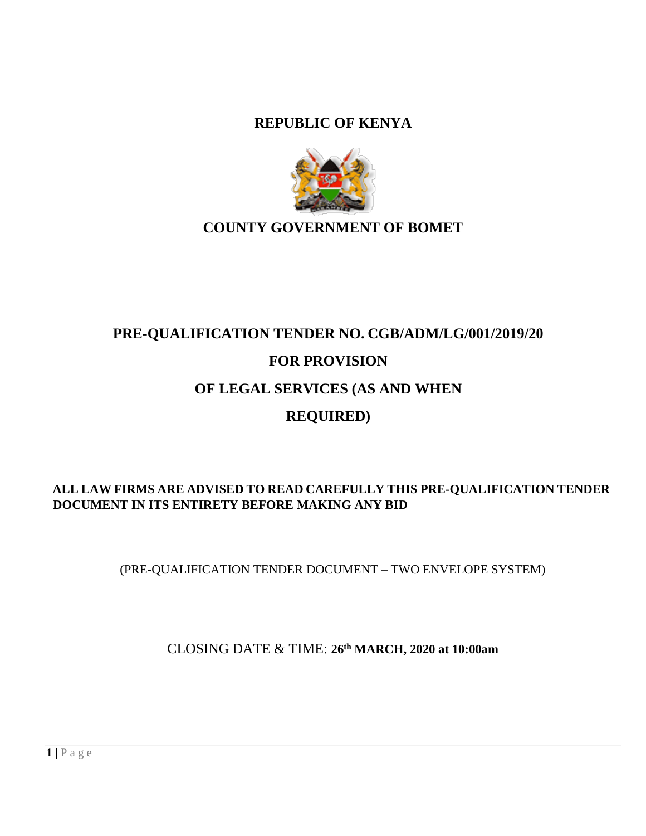**REPUBLIC OF KENYA** 



## **COUNTY GOVERNMENT OF BOMET**

## **PRE-QUALIFICATION TENDER NO. CGB/ADM/LG/001/2019/20 FOR PROVISION OF LEGAL SERVICES (AS AND WHEN REQUIRED)**

## <span id="page-0-0"></span>**ALL LAW FIRMS ARE ADVISED TO READ CAREFULLY THIS PRE-QUALIFICATION TENDER DOCUMENT IN ITS ENTIRETY BEFORE MAKING ANY BID**

(PRE-QUALIFICATION TENDER DOCUMENT – TWO ENVELOPE SYSTEM)

CLOSING DATE & TIME: **26th MARCH, 2020 at 10:00am**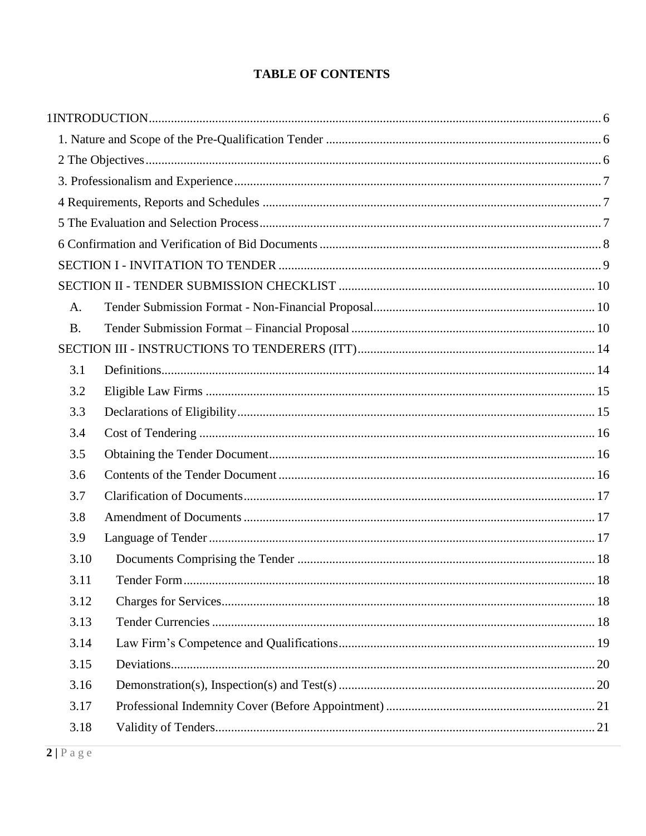## **TABLE OF CONTENTS**

| A.        |  |
|-----------|--|
| <b>B.</b> |  |
|           |  |
| 3.1       |  |
| 3.2       |  |
| 3.3       |  |
| 3.4       |  |
| 3.5       |  |
| 3.6       |  |
| 3.7       |  |
| 3.8       |  |
| 3.9       |  |
| 3.10      |  |
| 3.11      |  |
| 3.12      |  |
| 3.13      |  |
| 3.14      |  |
| 3.15      |  |
| 3.16      |  |
| 3.17      |  |
| 3.18      |  |
|           |  |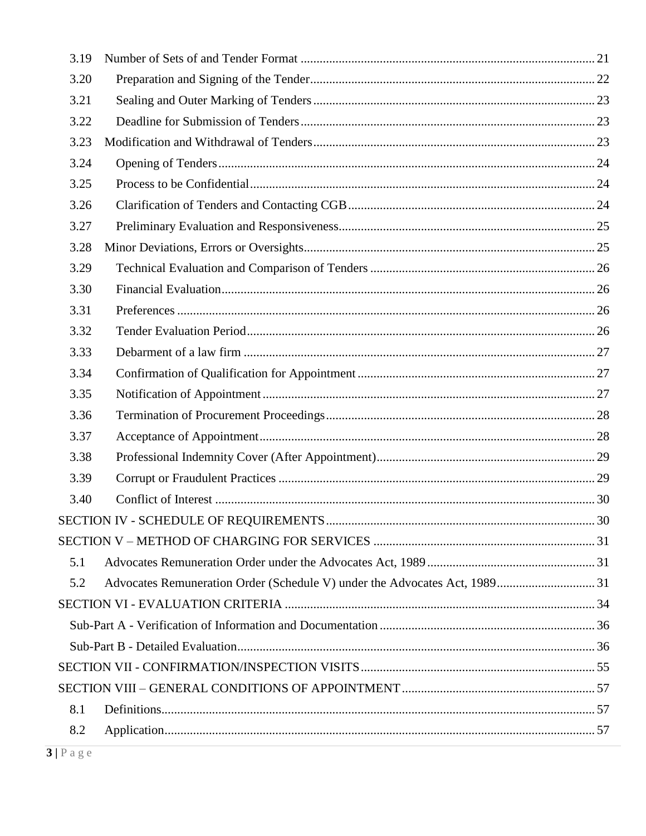| 3.19 |    |
|------|----|
| 3.20 |    |
| 3.21 |    |
| 3.22 |    |
| 3.23 |    |
| 3.24 |    |
| 3.25 |    |
| 3.26 |    |
| 3.27 |    |
| 3.28 |    |
| 3.29 |    |
| 3.30 |    |
| 3.31 |    |
| 3.32 |    |
| 3.33 |    |
| 3.34 |    |
| 3.35 |    |
| 3.36 |    |
| 3.37 |    |
| 3.38 |    |
| 3.39 |    |
| 3.40 |    |
|      | 30 |
|      |    |
| 5.1  |    |
| 5.2  |    |
|      |    |
|      |    |
|      |    |
|      |    |
|      |    |
| 8.1  |    |
| 8.2  |    |
|      |    |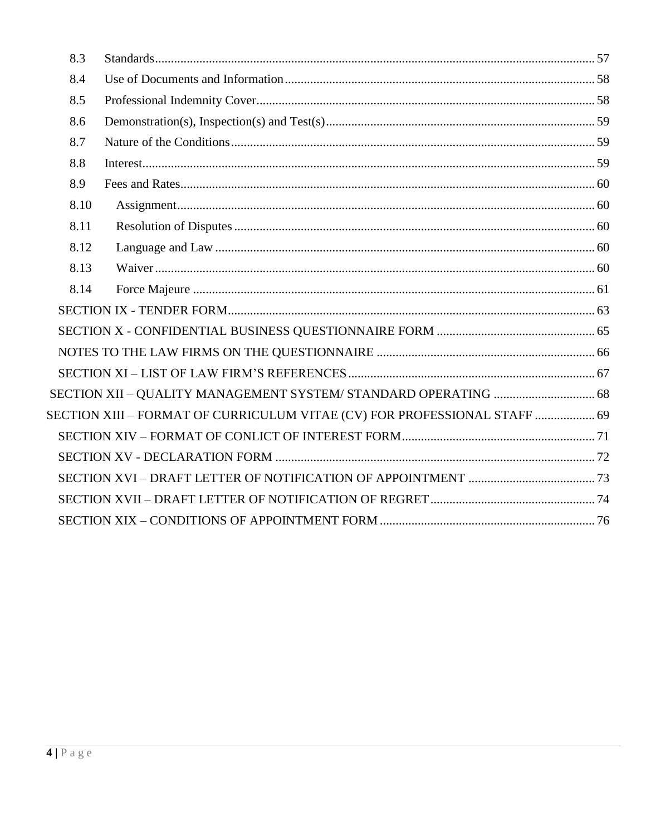| 8.3  |                                                                           |  |
|------|---------------------------------------------------------------------------|--|
| 8.4  |                                                                           |  |
| 8.5  |                                                                           |  |
| 8.6  |                                                                           |  |
| 8.7  |                                                                           |  |
| 8.8  |                                                                           |  |
| 8.9  |                                                                           |  |
| 8.10 |                                                                           |  |
| 8.11 |                                                                           |  |
| 8.12 |                                                                           |  |
| 8.13 |                                                                           |  |
| 8.14 |                                                                           |  |
|      |                                                                           |  |
|      |                                                                           |  |
|      |                                                                           |  |
|      |                                                                           |  |
|      |                                                                           |  |
|      | SECTION XIII - FORMAT OF CURRICULUM VITAE (CV) FOR PROFESSIONAL STAFF  69 |  |
|      |                                                                           |  |
|      |                                                                           |  |
|      |                                                                           |  |
|      |                                                                           |  |
|      |                                                                           |  |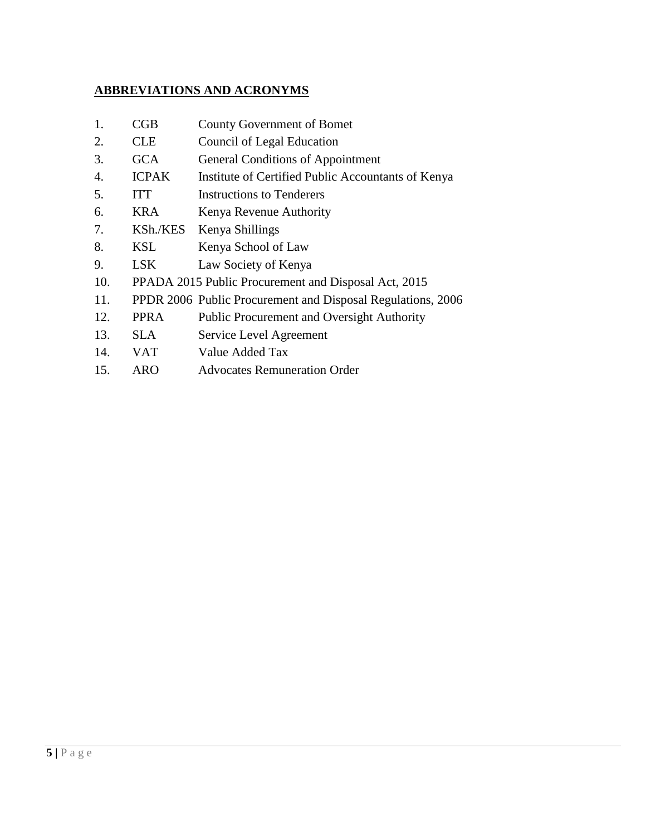## **ABBREVIATIONS AND ACRONYMS**

| CGB          | <b>County Government of Bomet</b>                           |
|--------------|-------------------------------------------------------------|
| <b>CLE</b>   | Council of Legal Education                                  |
| <b>GCA</b>   | <b>General Conditions of Appointment</b>                    |
| <b>ICPAK</b> | Institute of Certified Public Accountants of Kenya          |
| <b>ITT</b>   | Instructions to Tenderers                                   |
| <b>KRA</b>   | Kenya Revenue Authority                                     |
| KSh./KES     | Kenya Shillings                                             |
| <b>KSL</b>   | Kenya School of Law                                         |
| <b>LSK</b>   | Law Society of Kenya                                        |
|              | PPADA 2015 Public Procurement and Disposal Act, 2015        |
|              | PPDR 2006 Public Procurement and Disposal Regulations, 2006 |
| <b>PPRA</b>  | <b>Public Procurement and Oversight Authority</b>           |
| <b>SLA</b>   | Service Level Agreement                                     |
| <b>VAT</b>   | Value Added Tax                                             |
| ARO          | <b>Advocates Remuneration Order</b>                         |
|              |                                                             |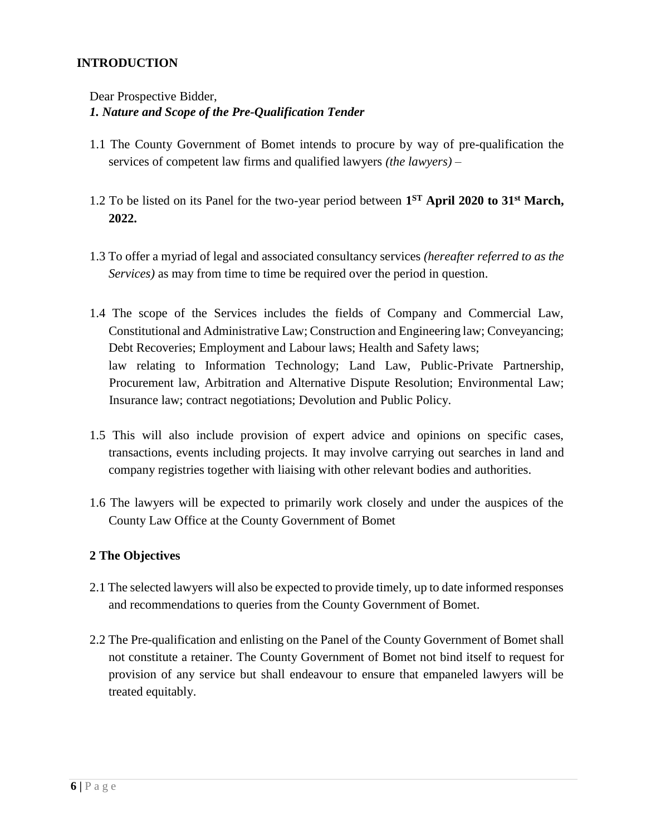#### **INTRODUCTION**

#### <span id="page-5-0"></span>Dear Prospective Bidder, *1. Nature and Scope of the Pre-Qualification Tender*

- 1.1 The County Government of Bomet intends to procure by way of pre-qualification the services of competent law firms and qualified lawyers *(the lawyers)* –
- 1.2 To be listed on its Panel for the two-year period between **1 ST April 2020 to 31st March, 2022.**
- 1.3 To offer a myriad of legal and associated consultancy services *(hereafter referred to as the Services)* as may from time to time be required over the period in question.
- 1.4 The scope of the Services includes the fields of Company and Commercial Law, Constitutional and Administrative Law; Construction and Engineering law; Conveyancing; Debt Recoveries; Employment and Labour laws; Health and Safety laws; law relating to Information Technology; Land Law, Public-Private Partnership, Procurement law, Arbitration and Alternative Dispute Resolution; Environmental Law; Insurance law; contract negotiations; Devolution and Public Policy.
- 1.5 This will also include provision of expert advice and opinions on specific cases, transactions, events including projects. It may involve carrying out searches in land and company registries together with liaising with other relevant bodies and authorities.
- 1.6 The lawyers will be expected to primarily work closely and under the auspices of the County Law Office at the County Government of Bomet

#### <span id="page-5-1"></span>**2 The Objectives**

- 2.1 The selected lawyers will also be expected to provide timely, up to date informed responses and recommendations to queries from the County Government of Bomet.
- 2.2 The Pre-qualification and enlisting on the Panel of the County Government of Bomet shall not constitute a retainer. The County Government of Bomet not bind itself to request for provision of any service but shall endeavour to ensure that empaneled lawyers will be treated equitably.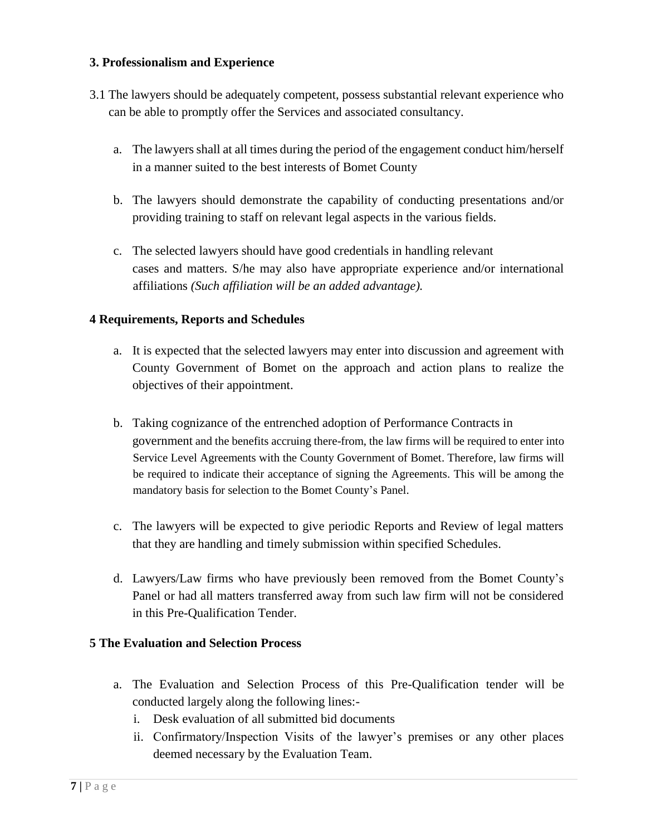#### <span id="page-6-0"></span>**3. Professionalism and Experience**

- 3.1 The lawyers should be adequately competent, possess substantial relevant experience who can be able to promptly offer the Services and associated consultancy.
	- a. The lawyers shall at all times during the period of the engagement conduct him/herself in a manner suited to the best interests of Bomet County
	- b. The lawyers should demonstrate the capability of conducting presentations and/or providing training to staff on relevant legal aspects in the various fields.
	- c. The selected lawyers should have good credentials in handling relevant cases and matters. S/he may also have appropriate experience and/or international affiliations *(Such affiliation will be an added advantage).*

#### <span id="page-6-1"></span>**4 Requirements, Reports and Schedules**

- a. It is expected that the selected lawyers may enter into discussion and agreement with County Government of Bomet on the approach and action plans to realize the objectives of their appointment.
- b. Taking cognizance of the entrenched adoption of Performance Contracts in government and the benefits accruing there-from, the law firms will be required to enter into Service Level Agreements with the County Government of Bomet. Therefore, law firms will be required to indicate their acceptance of signing the Agreements. This will be among the mandatory basis for selection to the Bomet County's Panel.
- c. The lawyers will be expected to give periodic Reports and Review of legal matters that they are handling and timely submission within specified Schedules.
- d. Lawyers/Law firms who have previously been removed from the Bomet County's Panel or had all matters transferred away from such law firm will not be considered in this Pre-Qualification Tender.

#### <span id="page-6-2"></span>**5 The Evaluation and Selection Process**

- a. The Evaluation and Selection Process of this Pre-Qualification tender will be conducted largely along the following lines:
	- i. Desk evaluation of all submitted bid documents
	- ii. Confirmatory/Inspection Visits of the lawyer's premises or any other places deemed necessary by the Evaluation Team.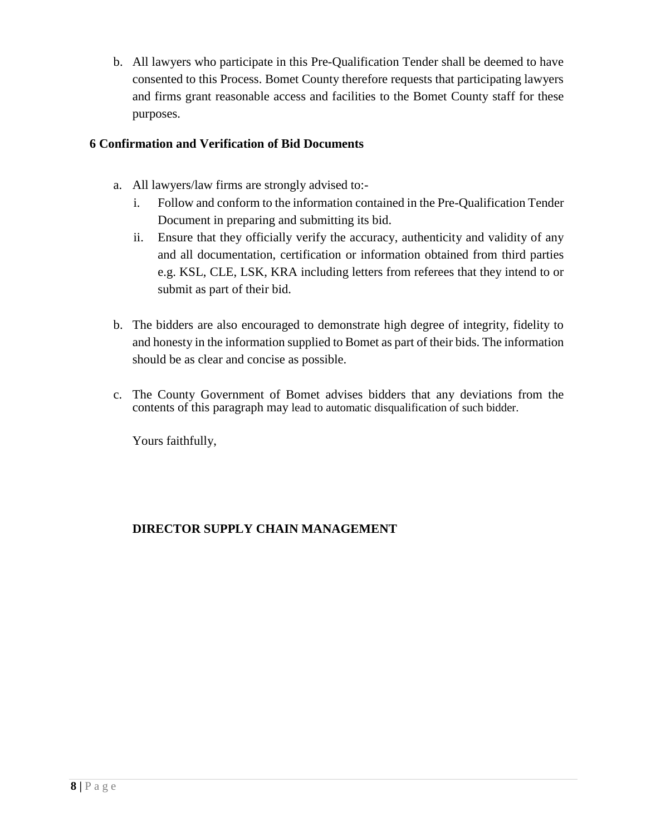b. All lawyers who participate in this Pre-Qualification Tender shall be deemed to have consented to this Process. Bomet County therefore requests that participating lawyers and firms grant reasonable access and facilities to the Bomet County staff for these purposes.

#### <span id="page-7-0"></span>**6 Confirmation and Verification of Bid Documents**

- a. All lawyers/law firms are strongly advised to:
	- i. Follow and conform to the information contained in the Pre-Qualification Tender Document in preparing and submitting its bid.
	- ii. Ensure that they officially verify the accuracy, authenticity and validity of any and all documentation, certification or information obtained from third parties e.g. KSL, CLE, LSK, KRA including letters from referees that they intend to or submit as part of their bid.
- b. The bidders are also encouraged to demonstrate high degree of integrity, fidelity to and honesty in the information supplied to Bomet as part of their bids. The information should be as clear and concise as possible.
- c. The County Government of Bomet advises bidders that any deviations from the contents of this paragraph may lead to automatic disqualification of such bidder.

Yours faithfully,

## **DIRECTOR SUPPLY CHAIN MANAGEMENT**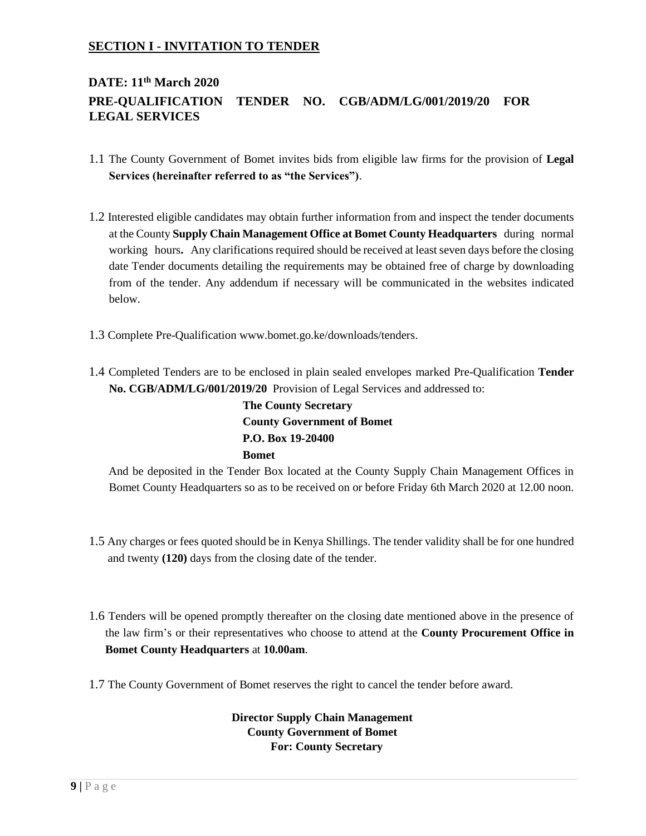#### <span id="page-8-0"></span>**SECTION I - INVITATION TO TENDER**

## **DATE: 11th March 2020 PRE-QUALIFICATION TENDER NO. CGB/ADM/LG/001/2019/20 FOR LEGAL SERVICES**

- 1.1 The County Government of Bomet invites bids from eligible law firms for the provision of **Legal Services (hereinafter referred to as "the Services")**.
- 1.2 Interested eligible candidates may obtain further information from and inspect the tender documents at the County **Supply Chain Management Office at Bomet County Headquarters** during normal working hours**.** Any clarifications required should be received at least seven days before the closing date Tender documents detailing the requirements may be obtained free of charge by downloading from of the tender. Any addendum if necessary will be communicated in the websites indicated below.
- 1.3 Complete Pre-Qualification www.bomet.go.ke/downloads/tender[s.](http://www.statelaw.go.ke/)
- 1.4 Completed Tenders are to be enclosed in plain sealed envelopes marked Pre-Qualification **Tender No. CGB/ADM/LG/001/2019/20** Provision of Legal Services and addressed to:

**The County Secretary County Government of Bomet P.O. Box 19-20400 Bomet**

And be deposited in the Tender Box located at the County Supply Chain Management Offices in Bomet County Headquarters so as to be received on or before Friday 6th March 2020 at 12.00 noon.

- 1.5 Any charges or fees quoted should be in Kenya Shillings. The tender validity shall be for one hundred and twenty **(120)** days from the closing date of the tender.
- 1.6 Tenders will be opened promptly thereafter on the closing date mentioned above in the presence of the law firm's or their representatives who choose to attend at the **County Procurement Office in Bomet County Headquarters** at **10.00am**.
- 1.7 The County Government of Bomet reserves the right to cancel the tender before award.

#### **Director Supply Chain Management County Government of Bomet For: County Secretary**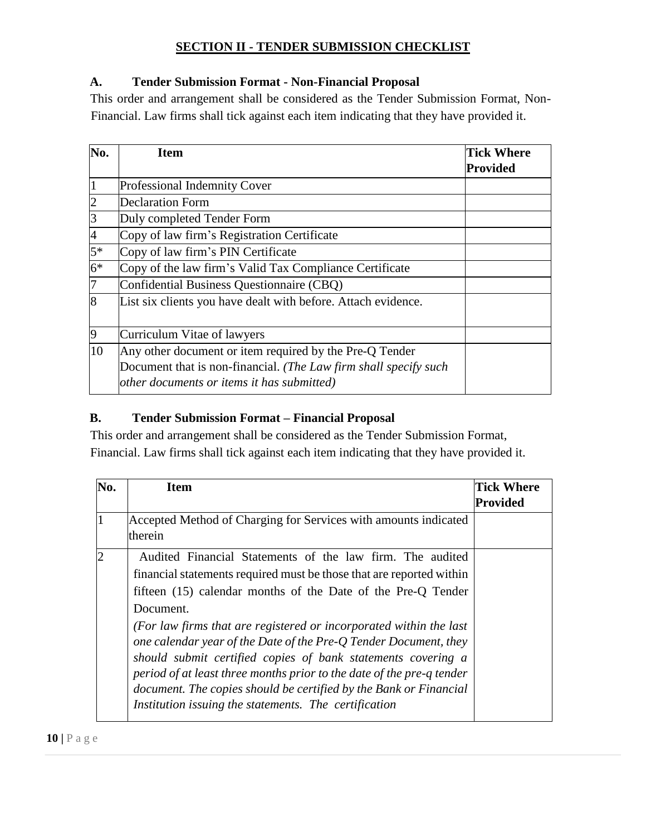## **SECTION II - TENDER SUBMISSION CHECKLIST**

### <span id="page-9-1"></span><span id="page-9-0"></span>**A. Tender Submission Format - Non-Financial Proposal**

This order and arrangement shall be considered as the Tender Submission Format, Non-Financial. Law firms shall tick against each item indicating that they have provided it.

| No.            | Item                                                             | <b>Tick Where</b> |
|----------------|------------------------------------------------------------------|-------------------|
|                |                                                                  | Provided          |
| $\vert$ 1      | <b>Professional Indemnity Cover</b>                              |                   |
| $\overline{2}$ | Declaration Form                                                 |                   |
| $\overline{3}$ | Duly completed Tender Form                                       |                   |
| $\overline{4}$ | Copy of law firm's Registration Certificate                      |                   |
| $5*$           | Copy of law firm's PIN Certificate                               |                   |
| $6*$           | Copy of the law firm's Valid Tax Compliance Certificate          |                   |
| 7              | Confidential Business Questionnaire (CBQ)                        |                   |
| 8              | List six clients you have dealt with before. Attach evidence.    |                   |
| $\overline{9}$ | Curriculum Vitae of lawyers                                      |                   |
| 10             | Any other document or item required by the Pre-Q Tender          |                   |
|                | Document that is non-financial. (The Law firm shall specify such |                   |
|                | other documents or items it has submitted)                       |                   |

### <span id="page-9-2"></span>**B. Tender Submission Format – Financial Proposal**

This order and arrangement shall be considered as the Tender Submission Format, Financial. Law firms shall tick against each item indicating that they have provided it.

| No.            | Item                                                                                                                                                                                                                                                                                                                                                                                                                                                                                                                                                                                                                            | <b>Tick Where</b> |
|----------------|---------------------------------------------------------------------------------------------------------------------------------------------------------------------------------------------------------------------------------------------------------------------------------------------------------------------------------------------------------------------------------------------------------------------------------------------------------------------------------------------------------------------------------------------------------------------------------------------------------------------------------|-------------------|
|                |                                                                                                                                                                                                                                                                                                                                                                                                                                                                                                                                                                                                                                 | Provided          |
|                | Accepted Method of Charging for Services with amounts indicated<br>therein                                                                                                                                                                                                                                                                                                                                                                                                                                                                                                                                                      |                   |
| $\overline{2}$ | Audited Financial Statements of the law firm. The audited<br>financial statements required must be those that are reported within<br>fifteen (15) calendar months of the Date of the Pre-Q Tender<br>Document.<br>(For law firms that are registered or incorporated within the last<br>one calendar year of the Date of the Pre-Q Tender Document, they<br>should submit certified copies of bank statements covering a<br>period of at least three months prior to the date of the pre-q tender<br>document. The copies should be certified by the Bank or Financial<br>Institution issuing the statements. The certification |                   |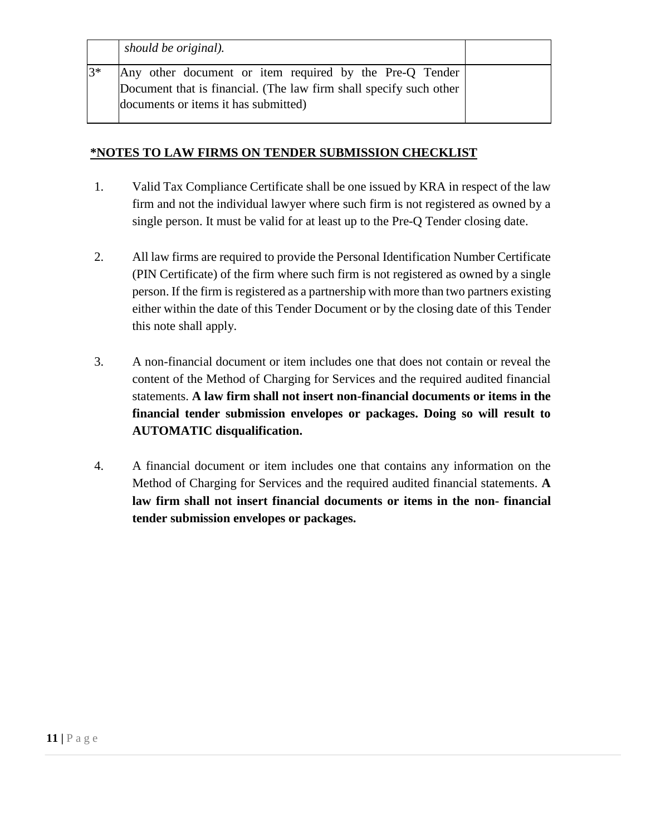|      | should be original).                                                                                                                                                  |  |
|------|-----------------------------------------------------------------------------------------------------------------------------------------------------------------------|--|
| $3*$ | Any other document or item required by the Pre-Q Tender<br>Document that is financial. (The law firm shall specify such other<br>documents or items it has submitted) |  |

#### **\*NOTES TO LAW FIRMS ON TENDER SUBMISSION CHECKLIST**

- 1. Valid Tax Compliance Certificate shall be one issued by KRA in respect of the law firm and not the individual lawyer where such firm is not registered as owned by a single person. It must be valid for at least up to the Pre-Q Tender closing date.
- 2. All law firms are required to provide the Personal Identification Number Certificate (PIN Certificate) of the firm where such firm is not registered as owned by a single person. If the firm is registered as a partnership with more than two partners existing either within the date of this Tender Document or by the closing date of this Tender this note shall apply.
- 3. A non-financial document or item includes one that does not contain or reveal the content of the Method of Charging for Services and the required audited financial statements. **A law firm shall not insert non-financial documents or items in the financial tender submission envelopes or packages. Doing so will result to AUTOMATIC disqualification.**
- 4. A financial document or item includes one that contains any information on the Method of Charging for Services and the required audited financial statements. **A law firm shall not insert financial documents or items in the non- financial tender submission envelopes or packages.**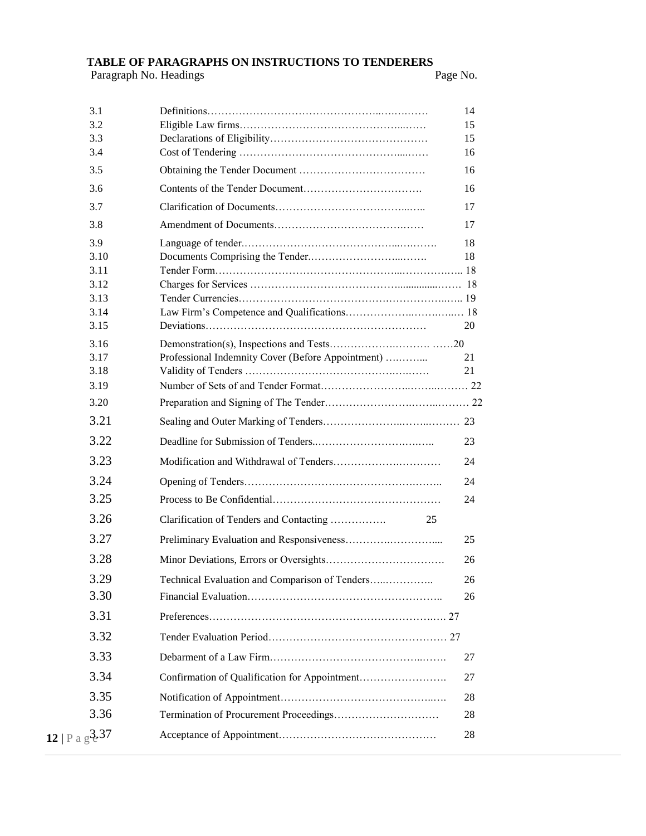# **TABLE OF PARAGRAPHS ON INSTRUCTIONS TO TENDERERS**<br>Paragraph No. Headings Page No.

Paragraph No. Headings

| 3.1<br>3.2                   |                                                   | 14<br>15 |
|------------------------------|---------------------------------------------------|----------|
| 3.3                          |                                                   | 15       |
| 3.4                          |                                                   | 16       |
| 3.5                          |                                                   | 16       |
| 3.6                          |                                                   | 16       |
| 3.7                          |                                                   | 17       |
| 3.8                          |                                                   | 17       |
| 3.9                          |                                                   | 18       |
| 3.10                         |                                                   | 18       |
| 3.11<br>3.12                 |                                                   |          |
| 3.13                         |                                                   |          |
| 3.14                         |                                                   |          |
| 3.15                         |                                                   | 20       |
| 3.16                         |                                                   |          |
| 3.17                         | Professional Indemnity Cover (Before Appointment) | 21       |
| 3.18                         |                                                   | 21       |
| 3.19                         |                                                   |          |
| 3.20                         |                                                   |          |
| 3.21                         |                                                   |          |
| 3.22                         |                                                   | 23       |
| 3.23                         |                                                   | 24       |
| 3.24                         |                                                   | 24       |
| 3.25                         |                                                   | 24       |
| 3.26                         | Clarification of Tenders and Contacting<br>25     |          |
| 3.27                         |                                                   | 25       |
| 3.28                         |                                                   | 26       |
| 3.29                         | Technical Evaluation and Comparison of Tenders    | 26       |
| 3.30                         |                                                   | 26       |
| 3.31                         |                                                   |          |
| 3.32                         |                                                   |          |
| 3.33                         |                                                   | 27       |
| 3.34                         |                                                   | 27       |
| 3.35                         |                                                   | 28       |
| 3.36                         |                                                   | 28       |
| 12   P a $g^{\frac{3}{2}37}$ |                                                   | 28       |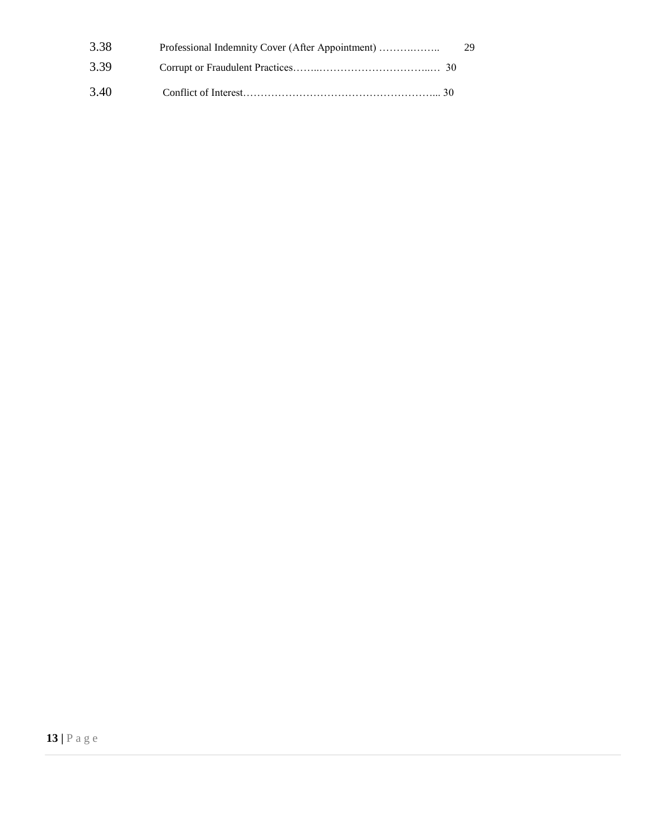| 3.38 | Professional Indemnity Cover (After Appointment) | - 29 |
|------|--------------------------------------------------|------|
| 3.39 |                                                  |      |
| 3.40 |                                                  |      |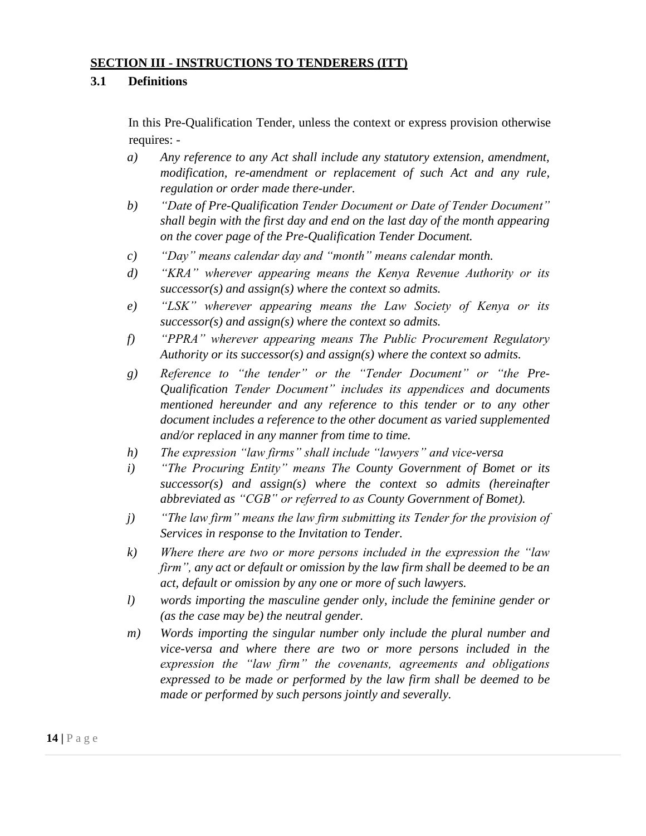#### <span id="page-13-0"></span>**SECTION III - INSTRUCTIONS TO TENDERERS (ITT)**

#### <span id="page-13-1"></span>**3.1 Definitions**

In this Pre-Qualification Tender, unless the context or express provision otherwise requires: -

- *a) Any reference to any Act shall include any statutory extension, amendment, modification, re-amendment or replacement of such Act and any rule, regulation or order made there-under.*
- *b) "Date of Pre-Qualification Tender Document or Date of Tender Document" shall begin with the first day and end on the last day of the month appearing on the cover page of the Pre-Qualification Tender Document.*
- *c) "Day" means calendar day and "month" means calendar month.*
- *d) "KRA" wherever appearing means the Kenya Revenue Authority or its successor(s) and assign(s) where the context so admits.*
- *e) "LSK" wherever appearing means the Law Society of Kenya or its successor(s) and assign(s) where the context so admits.*
- *f) "PPRA" wherever appearing means The Public Procurement Regulatory Authority or its successor(s) and assign(s) where the context so admits.*
- *g) Reference to "the tender" or the "Tender Document" or "the Pre-Qualification Tender Document" includes its appendices and documents mentioned hereunder and any reference to this tender or to any other document includes a reference to the other document as varied supplemented and/or replaced in any manner from time to time.*
- *h) The expression "law firms" shall include "lawyers" and vice-versa*
- *i) "The Procuring Entity" means The County Government of Bomet or its successor(s) and assign(s) where the context so admits (hereinafter abbreviated as "CGB" or referred to as County Government of Bomet).*
- *j) "The law firm" means the law firm submitting its Tender for the provision of Services in response to the Invitation to Tender.*
- *k) Where there are two or more persons included in the expression the "law firm", any act or default or omission by the law firm shall be deemed to be an act, default or omission by any one or more of such lawyers.*
- *l) words importing the masculine gender only, include the feminine gender or (as the case may be) the neutral gender.*
- *m) Words importing the singular number only include the plural number and vice-versa and where there are two or more persons included in the expression the "law firm" the covenants, agreements and obligations expressed to be made or performed by the law firm shall be deemed to be made or performed by such persons jointly and severally.*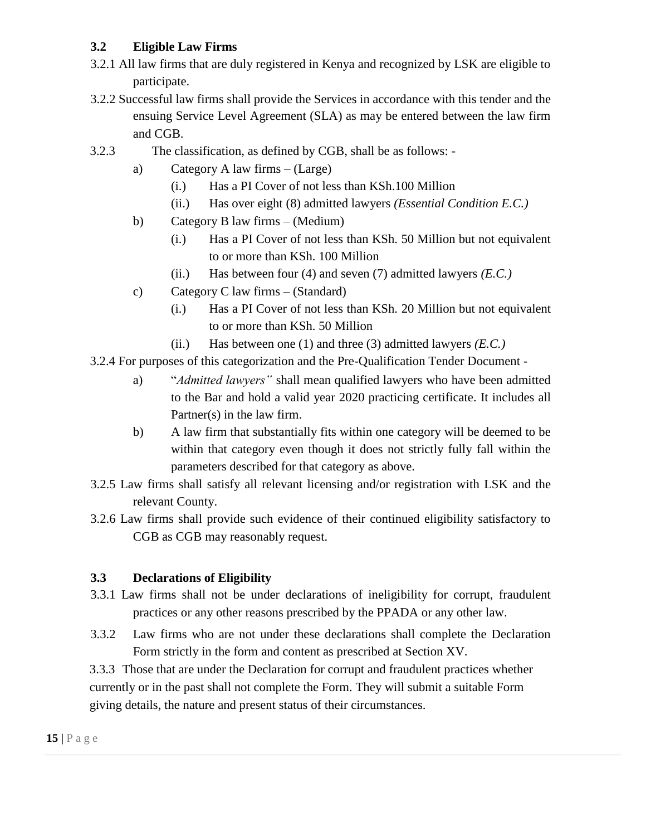## <span id="page-14-0"></span>**3.2 Eligible Law Firms**

- 3.2.1 All law firms that are duly registered in Kenya and recognized by LSK are eligible to participate.
- 3.2.2 Successful law firms shall provide the Services in accordance with this tender and the ensuing Service Level Agreement (SLA) as may be entered between the law firm and CGB.
- 3.2.3 The classification, as defined by CGB, shall be as follows:
	- a) Category A law firms (Large)
		- (i.) Has a PI Cover of not less than KSh.100 Million
		- (ii.) Has over eight (8) admitted lawyers *(Essential Condition E.C.)*
	- b) Category B law firms (Medium)
		- (i.) Has a PI Cover of not less than KSh. 50 Million but not equivalent to or more than KSh. 100 Million
		- (ii.) Has between four (4) and seven (7) admitted lawyers *(E.C.)*
	- c) Category C law firms (Standard)
		- (i.) Has a PI Cover of not less than KSh. 20 Million but not equivalent to or more than KSh. 50 Million
		- (ii.) Has between one (1) and three (3) admitted lawyers *(E.C.)*
- 3.2.4 For purposes of this categorization and the Pre-Qualification Tender Document
	- a) "*Admitted lawyers"* shall mean qualified lawyers who have been admitted to the Bar and hold a valid year 2020 practicing certificate. It includes all Partner(s) in the law firm.
	- b) A law firm that substantially fits within one category will be deemed to be within that category even though it does not strictly fully fall within the parameters described for that category as above.
- 3.2.5 Law firms shall satisfy all relevant licensing and/or registration with LSK and the relevant County.
- 3.2.6 Law firms shall provide such evidence of their continued eligibility satisfactory to CGB as CGB may reasonably request.

## <span id="page-14-1"></span>**3.3 Declarations of Eligibility**

- 3.3.1 Law firms shall not be under declarations of ineligibility for corrupt, fraudulent practices or any other reasons prescribed by the PPADA or any other law.
- 3.3.2 Law firms who are not under these declarations shall complete the Declaration Form strictly in the form and content as prescribed at Section XV.

3.3.3 Those that are under the Declaration for corrupt and fraudulent practices whether currently or in the past shall not complete the Form. They will submit a suitable Form giving details, the nature and present status of their circumstances.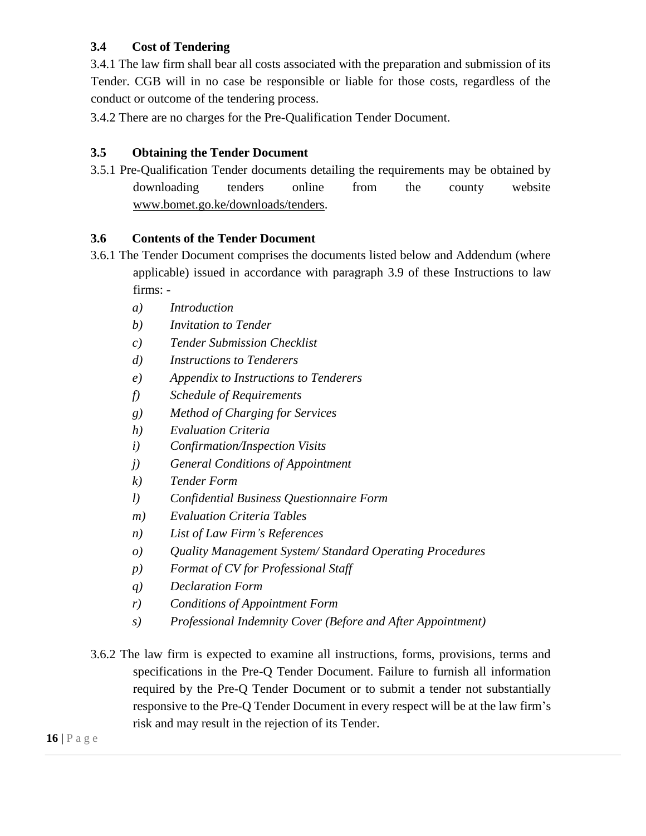## <span id="page-15-0"></span>**3.4 Cost of Tendering**

3.4.1 The law firm shall bear all costs associated with the preparation and submission of its Tender. CGB will in no case be responsible or liable for those costs, regardless of the conduct or outcome of the tendering process.

3.4.2 There are no charges for the Pre-Qualification Tender Document.

## <span id="page-15-1"></span>**3.5 Obtaining the Tender Document**

3.5.1 Pre-Qualification Tender documents detailing the requirements may be obtained by downloading tenders online from the county website [www.bomet.go.ke/downloads/tenders.](http://www.bomet.go.ke/downloads/tenders)

## <span id="page-15-2"></span>**3.6 Contents of the Tender Document**

- 3.6.1 The Tender Document comprises the documents listed below and Addendum (where applicable) issued in accordance with paragraph 3.9 of these Instructions to law firms:
	- *a) Introduction*
	- *b) Invitation to Tender*
	- *c) Tender Submission Checklist*
	- *d) Instructions to Tenderers*
	- *e) Appendix to Instructions to Tenderers*
	- *f) Schedule of Requirements*
	- *g) Method of Charging for Services*
	- *h) Evaluation Criteria*
	- *i) Confirmation/Inspection Visits*
	- *j) General Conditions of Appointment*
	- *k) Tender Form*
	- *l) Confidential Business Questionnaire Form*
	- *m) Evaluation Criteria Tables*
	- *n) List of Law Firm's References*
	- *o) Quality Management System/ Standard Operating Procedures*
	- *p) Format of CV for Professional Staff*
	- *q) Declaration Form*
	- *r) Conditions of Appointment Form*
	- *s) Professional Indemnity Cover (Before and After Appointment)*
- 3.6.2 The law firm is expected to examine all instructions, forms, provisions, terms and specifications in the Pre-Q Tender Document. Failure to furnish all information required by the Pre-Q Tender Document or to submit a tender not substantially responsive to the Pre-Q Tender Document in every respect will be at the law firm's risk and may result in the rejection of its Tender.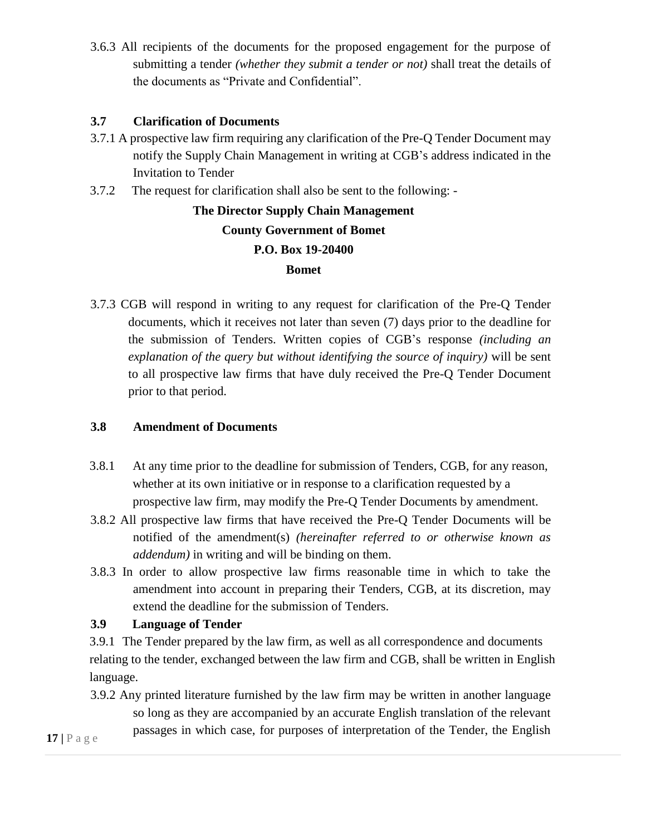3.6.3 All recipients of the documents for the proposed engagement for the purpose of submitting a tender *(whether they submit a tender or not)* shall treat the details of the documents as "Private and Confidential".

#### <span id="page-16-0"></span>**3.7 Clarification of Documents**

- 3.7.1 A prospective law firm requiring any clarification of the Pre-Q Tender Document may notify the Supply Chain Management in writing at CGB's address indicated in the Invitation to Tender
- 3.7.2 The request for clarification shall also be sent to the following: -

**The Director Supply Chain Management County Government of Bomet P.O. Box 19-20400 Bomet**

3.7.3 CGB will respond in writing to any request for clarification of the Pre-Q Tender documents, which it receives not later than seven (7) days prior to the deadline for the submission of Tenders. Written copies of CGB's response *(including an explanation of the query but without identifying the source of inquiry)* will be sent to all prospective law firms that have duly received the Pre-Q Tender Document prior to that period.

## <span id="page-16-1"></span>**3.8 Amendment of Documents**

- 3.8.1 At any time prior to the deadline for submission of Tenders, CGB, for any reason, whether at its own initiative or in response to a clarification requested by a prospective law firm, may modify the Pre-Q Tender Documents by amendment.
- 3.8.2 All prospective law firms that have received the Pre-Q Tender Documents will be notified of the amendment(s) *(hereinafter referred to or otherwise known as addendum)* in writing and will be binding on them.
- 3.8.3 In order to allow prospective law firms reasonable time in which to take the amendment into account in preparing their Tenders, CGB, at its discretion, may extend the deadline for the submission of Tenders.

## <span id="page-16-2"></span>**3.9 Language of Tender**

3.9.1 The Tender prepared by the law firm, as well as all correspondence and documents relating to the tender, exchanged between the law firm and CGB, shall be written in English language.

3.9.2 Any printed literature furnished by the law firm may be written in another language so long as they are accompanied by an accurate English translation of the relevant passages in which case, for purposes of interpretation of the Tender, the English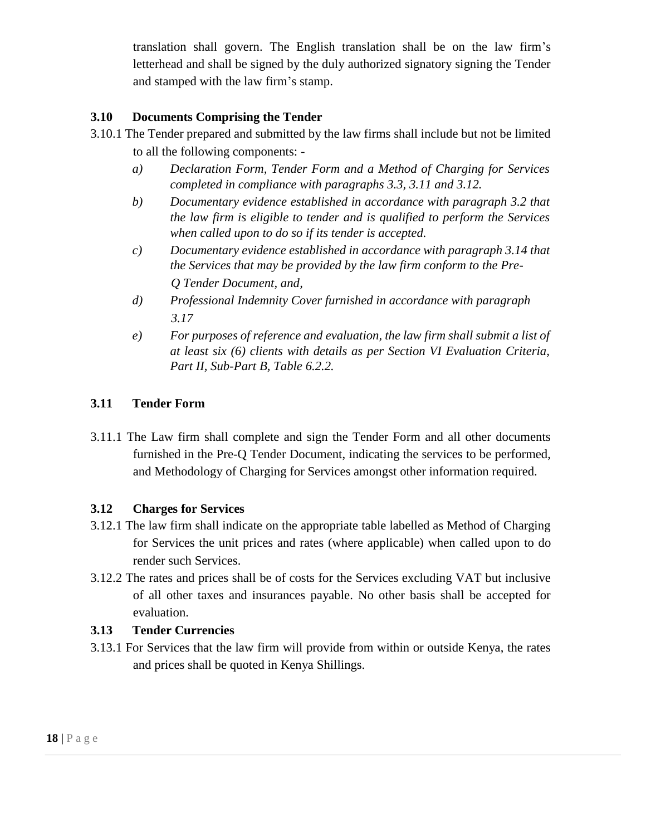translation shall govern. The English translation shall be on the law firm's letterhead and shall be signed by the duly authorized signatory signing the Tender and stamped with the law firm's stamp.

## <span id="page-17-0"></span>**3.10 Documents Comprising the Tender**

- 3.10.1 The Tender prepared and submitted by the law firms shall include but not be limited to all the following components:
	- *a) Declaration Form, Tender Form and a Method of Charging for Services completed in compliance with paragraphs 3.3, 3.11 and 3.12.*
	- *b) Documentary evidence established in accordance with paragraph 3.2 that the law firm is eligible to tender and is qualified to perform the Services when called upon to do so if its tender is accepted.*
	- *c) Documentary evidence established in accordance with paragraph 3.14 that the Services that may be provided by the law firm conform to the Pre-Q Tender Document, and,*
	- *d) Professional Indemnity Cover furnished in accordance with paragraph 3.17*
	- *e) For purposes of reference and evaluation, the law firm shall submit a list of at least six (6) clients with details as per Section VI Evaluation Criteria, Part II, Sub-Part B, Table 6.2.2.*

## <span id="page-17-1"></span>**3.11 Tender Form**

3.11.1 The Law firm shall complete and sign the Tender Form and all other documents furnished in the Pre-Q Tender Document, indicating the services to be performed, and Methodology of Charging for Services amongst other information required.

## <span id="page-17-2"></span>**3.12 Charges for Services**

- 3.12.1 The law firm shall indicate on the appropriate table labelled as Method of Charging for Services the unit prices and rates (where applicable) when called upon to do render such Services.
- 3.12.2 The rates and prices shall be of costs for the Services excluding VAT but inclusive of all other taxes and insurances payable. No other basis shall be accepted for evaluation.

## <span id="page-17-3"></span>**3.13 Tender Currencies**

3.13.1 For Services that the law firm will provide from within or outside Kenya, the rates and prices shall be quoted in Kenya Shillings.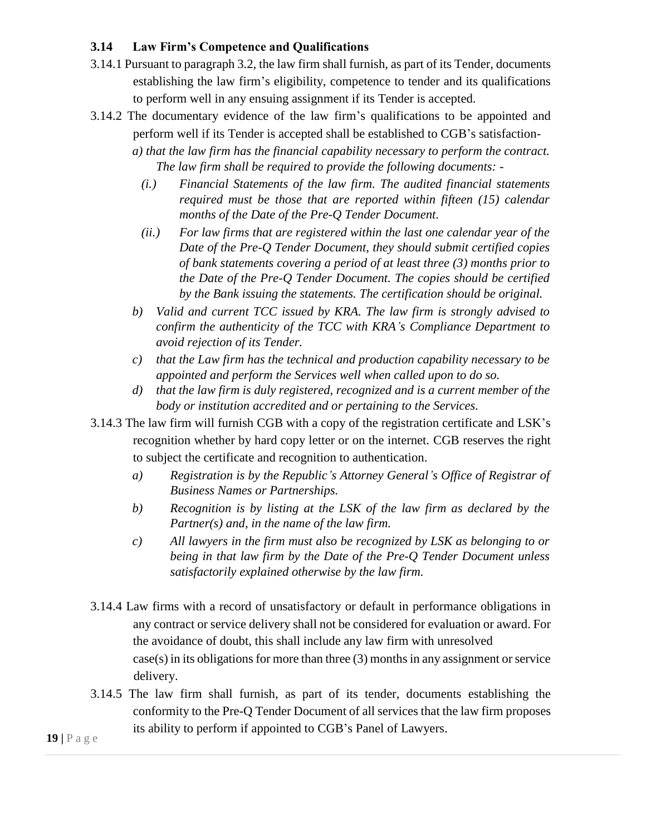## <span id="page-18-0"></span>**3.14 Law Firm's Competence and Qualifications**

- 3.14.1 Pursuant to paragraph 3.2, the law firm shall furnish, as part of its Tender, documents establishing the law firm's eligibility, competence to tender and its qualifications to perform well in any ensuing assignment if its Tender is accepted.
- 3.14.2 The documentary evidence of the law firm's qualifications to be appointed and perform well if its Tender is accepted shall be established to CGB's satisfaction-

*a) that the law firm has the financial capability necessary to perform the contract. The law firm shall be required to provide the following documents: -*

- *(i.) Financial Statements of the law firm. The audited financial statements required must be those that are reported within fifteen (15) calendar months of the Date of the Pre-Q Tender Document.*
- *(ii.) For law firms that are registered within the last one calendar year of the Date of the Pre-Q Tender Document, they should submit certified copies of bank statements covering a period of at least three (3) months prior to the Date of the Pre-Q Tender Document. The copies should be certified by the Bank issuing the statements. The certification should be original.*
- *b) Valid and current TCC issued by KRA. The law firm is strongly advised to confirm the authenticity of the TCC with KRA's Compliance Department to avoid rejection of its Tender.*
- *c) that the Law firm has the technical and production capability necessary to be appointed and perform the Services well when called upon to do so.*
- *d) that the law firm is duly registered, recognized and is a current member of the body or institution accredited and or pertaining to the Services.*
- 3.14.3 The law firm will furnish CGB with a copy of the registration certificate and LSK's recognition whether by hard copy letter or on the internet. CGB reserves the right to subject the certificate and recognition to authentication.
	- *a) Registration is by the Republic's Attorney General's Office of Registrar of Business Names or Partnerships.*
	- *b) Recognition is by listing at the LSK of the law firm as declared by the Partner(s) and, in the name of the law firm.*
	- *c) All lawyers in the firm must also be recognized by LSK as belonging to or being in that law firm by the Date of the Pre-Q Tender Document unless satisfactorily explained otherwise by the law firm.*
- 3.14.4 Law firms with a record of unsatisfactory or default in performance obligations in any contract or service delivery shall not be considered for evaluation or award. For the avoidance of doubt, this shall include any law firm with unresolved case(s) in its obligations for more than three (3) months in any assignment or service delivery.
- 3.14.5 The law firm shall furnish, as part of its tender, documents establishing the conformity to the Pre-Q Tender Document of all services that the law firm proposes its ability to perform if appointed to CGB's Panel of Lawyers.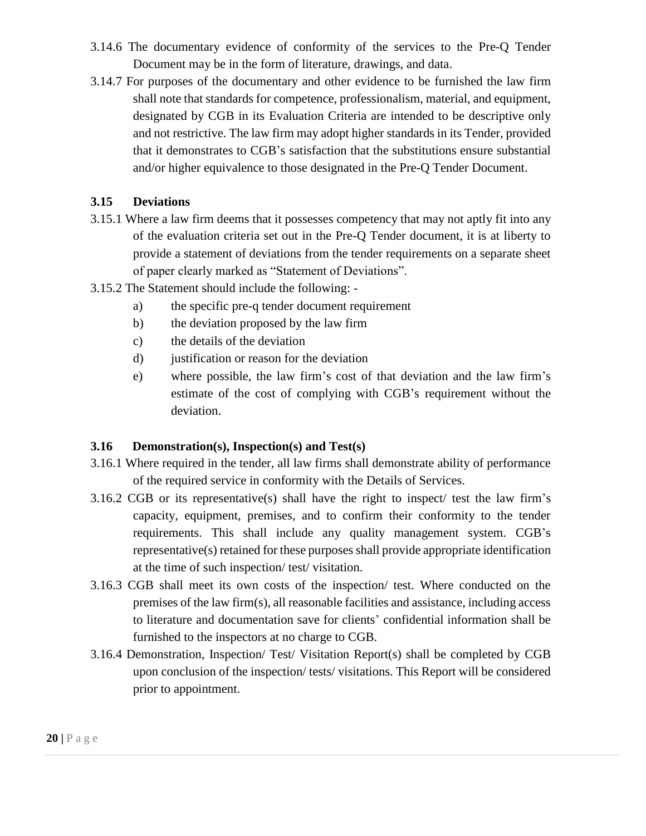- 3.14.6 The documentary evidence of conformity of the services to the Pre-Q Tender Document may be in the form of literature, drawings, and data.
- 3.14.7 For purposes of the documentary and other evidence to be furnished the law firm shall note that standards for competence, professionalism, material, and equipment, designated by CGB in its Evaluation Criteria are intended to be descriptive only and not restrictive. The law firm may adopt higher standards in its Tender, provided that it demonstrates to CGB's satisfaction that the substitutions ensure substantial and/or higher equivalence to those designated in the Pre-Q Tender Document.

### <span id="page-19-0"></span>**3.15 Deviations**

- 3.15.1 Where a law firm deems that it possesses competency that may not aptly fit into any of the evaluation criteria set out in the Pre-Q Tender document, it is at liberty to provide a statement of deviations from the tender requirements on a separate sheet of paper clearly marked as "Statement of Deviations".
- 3.15.2 The Statement should include the following:
	- a) the specific pre-q tender document requirement
	- b) the deviation proposed by the law firm
	- c) the details of the deviation
	- d) justification or reason for the deviation
	- e) where possible, the law firm's cost of that deviation and the law firm's estimate of the cost of complying with CGB's requirement without the deviation.

#### <span id="page-19-1"></span>**3.16 Demonstration(s), Inspection(s) and Test(s)**

- 3.16.1 Where required in the tender, all law firms shall demonstrate ability of performance of the required service in conformity with the Details of Services.
- 3.16.2 CGB or its representative(s) shall have the right to inspect/ test the law firm's capacity, equipment, premises, and to confirm their conformity to the tender requirements. This shall include any quality management system. CGB's representative(s) retained for these purposes shall provide appropriate identification at the time of such inspection/ test/ visitation.
- 3.16.3 CGB shall meet its own costs of the inspection/ test. Where conducted on the premises of the law firm(s), all reasonable facilities and assistance, including access to literature and documentation save for clients' confidential information shall be furnished to the inspectors at no charge to CGB.
- 3.16.4 Demonstration, Inspection/ Test/ Visitation Report(s) shall be completed by CGB upon conclusion of the inspection/ tests/ visitations. This Report will be considered prior to appointment.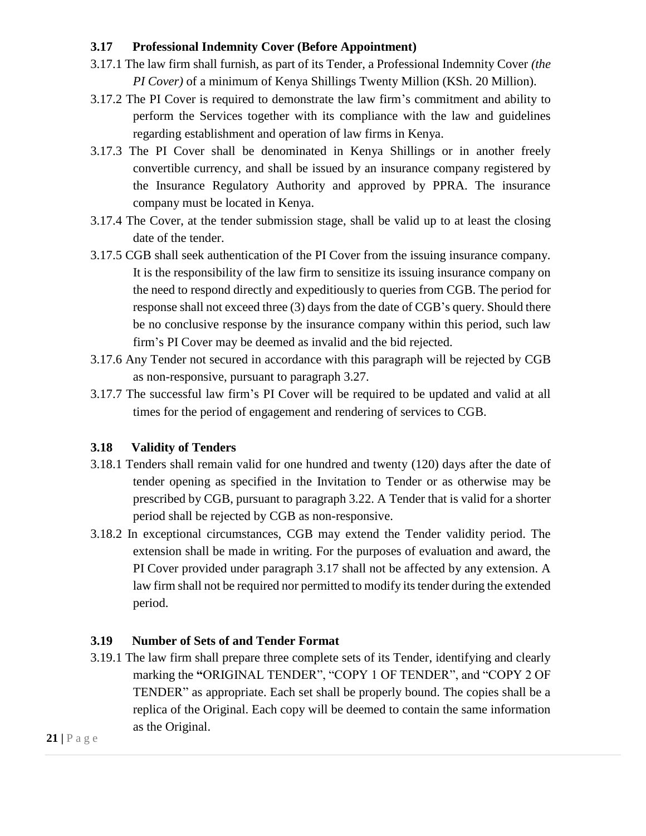## <span id="page-20-0"></span>**3.17 Professional Indemnity Cover (Before Appointment)**

- 3.17.1 The law firm shall furnish, as part of its Tender, a Professional Indemnity Cover *(the PI Cover)* of a minimum of Kenya Shillings Twenty Million (KSh. 20 Million).
- 3.17.2 The PI Cover is required to demonstrate the law firm's commitment and ability to perform the Services together with its compliance with the law and guidelines regarding establishment and operation of law firms in Kenya.
- 3.17.3 The PI Cover shall be denominated in Kenya Shillings or in another freely convertible currency, and shall be issued by an insurance company registered by the Insurance Regulatory Authority and approved by PPRA. The insurance company must be located in Kenya.
- 3.17.4 The Cover, at the tender submission stage, shall be valid up to at least the closing date of the tender.
- 3.17.5 CGB shall seek authentication of the PI Cover from the issuing insurance company. It is the responsibility of the law firm to sensitize its issuing insurance company on the need to respond directly and expeditiously to queries from CGB. The period for response shall not exceed three (3) days from the date of CGB's query. Should there be no conclusive response by the insurance company within this period, such law firm's PI Cover may be deemed as invalid and the bid rejected.
- 3.17.6 Any Tender not secured in accordance with this paragraph will be rejected by CGB as non-responsive, pursuant to paragraph 3.27.
- 3.17.7 The successful law firm's PI Cover will be required to be updated and valid at all times for the period of engagement and rendering of services to CGB.

## <span id="page-20-1"></span>**3.18 Validity of Tenders**

- 3.18.1 Tenders shall remain valid for one hundred and twenty (120) days after the date of tender opening as specified in the Invitation to Tender or as otherwise may be prescribed by CGB, pursuant to paragraph 3.22. A Tender that is valid for a shorter period shall be rejected by CGB as non-responsive.
- 3.18.2 In exceptional circumstances, CGB may extend the Tender validity period. The extension shall be made in writing. For the purposes of evaluation and award, the PI Cover provided under paragraph 3.17 shall not be affected by any extension. A law firm shall not be required nor permitted to modify its tender during the extended period.

## <span id="page-20-2"></span>**3.19 Number of Sets of and Tender Format**

3.19.1 The law firm shall prepare three complete sets of its Tender, identifying and clearly marking the **"**ORIGINAL TENDER", "COPY 1 OF TENDER", and "COPY 2 OF TENDER" as appropriate. Each set shall be properly bound. The copies shall be a replica of the Original. Each copy will be deemed to contain the same information as the Original.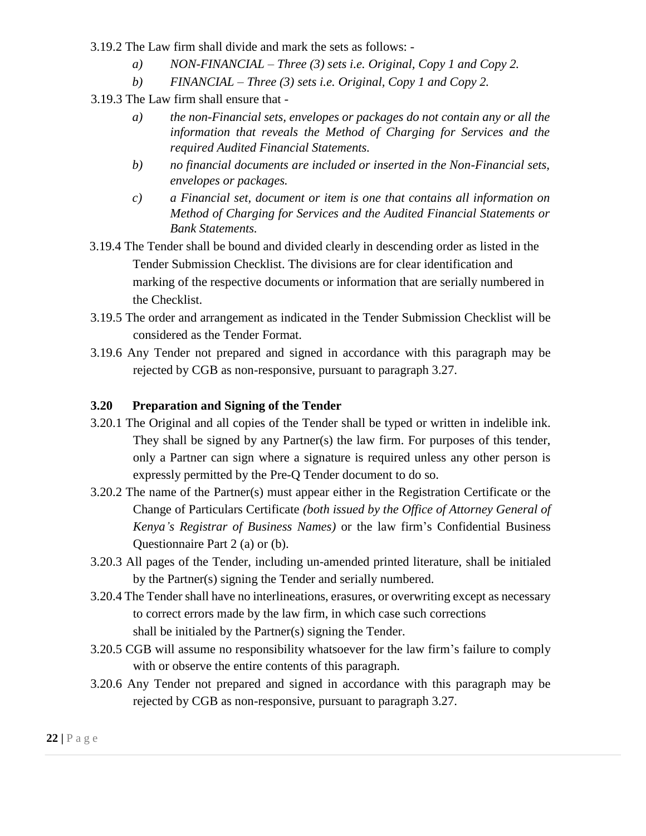3.19.2 The Law firm shall divide and mark the sets as follows: -

- *a) NON-FINANCIAL – Three (3) sets i.e. Original, Copy 1 and Copy 2.*
- *b) FINANCIAL – Three (3) sets i.e. Original, Copy 1 and Copy 2.*

3.19.3 The Law firm shall ensure that -

- *a) the non-Financial sets, envelopes or packages do not contain any or all the information that reveals the Method of Charging for Services and the required Audited Financial Statements.*
- *b) no financial documents are included or inserted in the Non-Financial sets, envelopes or packages.*
- *c) a Financial set, document or item is one that contains all information on Method of Charging for Services and the Audited Financial Statements or Bank Statements.*
- 3.19.4 The Tender shall be bound and divided clearly in descending order as listed in the Tender Submission Checklist. The divisions are for clear identification and marking of the respective documents or information that are serially numbered in the Checklist.
- 3.19.5 The order and arrangement as indicated in the Tender Submission Checklist will be considered as the Tender Format.
- 3.19.6 Any Tender not prepared and signed in accordance with this paragraph may be rejected by CGB as non-responsive, pursuant to paragraph 3.27.

#### <span id="page-21-0"></span>**3.20 Preparation and Signing of the Tender**

- 3.20.1 The Original and all copies of the Tender shall be typed or written in indelible ink. They shall be signed by any Partner(s) the law firm. For purposes of this tender, only a Partner can sign where a signature is required unless any other person is expressly permitted by the Pre-Q Tender document to do so.
- 3.20.2 The name of the Partner(s) must appear either in the Registration Certificate or the Change of Particulars Certificate *(both issued by the Office of Attorney General of Kenya's Registrar of Business Names)* or the law firm's Confidential Business Questionnaire Part 2 (a) or (b).
- 3.20.3 All pages of the Tender, including un-amended printed literature, shall be initialed by the Partner(s) signing the Tender and serially numbered.
- 3.20.4 The Tender shall have no interlineations, erasures, or overwriting except as necessary to correct errors made by the law firm, in which case such corrections shall be initialed by the Partner(s) signing the Tender.
- 3.20.5 CGB will assume no responsibility whatsoever for the law firm's failure to comply with or observe the entire contents of this paragraph.
- 3.20.6 Any Tender not prepared and signed in accordance with this paragraph may be rejected by CGB as non-responsive, pursuant to paragraph 3.27.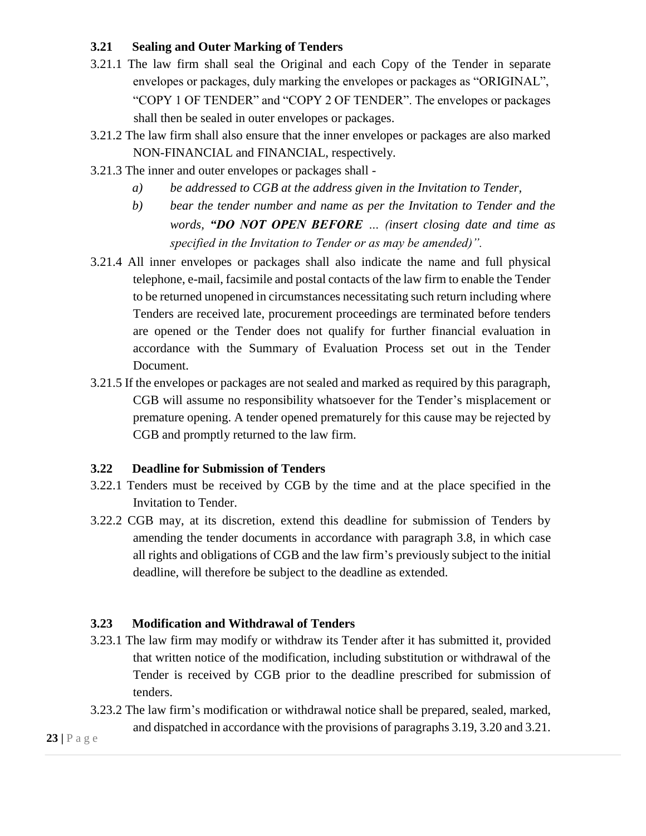## <span id="page-22-0"></span>**3.21 Sealing and Outer Marking of Tenders**

- 3.21.1 The law firm shall seal the Original and each Copy of the Tender in separate envelopes or packages, duly marking the envelopes or packages as "ORIGINAL", "COPY 1 OF TENDER" and "COPY 2 OF TENDER". The envelopes or packages shall then be sealed in outer envelopes or packages.
- 3.21.2 The law firm shall also ensure that the inner envelopes or packages are also marked NON-FINANCIAL and FINANCIAL, respectively.
- 3.21.3 The inner and outer envelopes or packages shall
	- *a) be addressed to CGB at the address given in the Invitation to Tender,*
	- *b) bear the tender number and name as per the Invitation to Tender and the words, "DO NOT OPEN BEFORE … (insert closing date and time as specified in the Invitation to Tender or as may be amended)".*
- 3.21.4 All inner envelopes or packages shall also indicate the name and full physical telephone, e-mail, facsimile and postal contacts of the law firm to enable the Tender to be returned unopened in circumstances necessitating such return including where Tenders are received late, procurement proceedings are terminated before tenders are opened or the Tender does not qualify for further financial evaluation in accordance with the Summary of Evaluation Process set out in the Tender Document.
- 3.21.5 If the envelopes or packages are not sealed and marked as required by this paragraph, CGB will assume no responsibility whatsoever for the Tender's misplacement or premature opening. A tender opened prematurely for this cause may be rejected by CGB and promptly returned to the law firm.

#### <span id="page-22-1"></span>**3.22 Deadline for Submission of Tenders**

- 3.22.1 Tenders must be received by CGB by the time and at the place specified in the Invitation to Tender.
- 3.22.2 CGB may, at its discretion, extend this deadline for submission of Tenders by amending the tender documents in accordance with paragraph 3.8, in which case all rights and obligations of CGB and the law firm's previously subject to the initial deadline, will therefore be subject to the deadline as extended.

#### <span id="page-22-2"></span>**3.23 Modification and Withdrawal of Tenders**

- 3.23.1 The law firm may modify or withdraw its Tender after it has submitted it, provided that written notice of the modification, including substitution or withdrawal of the Tender is received by CGB prior to the deadline prescribed for submission of tenders.
- 3.23.2 The law firm's modification or withdrawal notice shall be prepared, sealed, marked, and dispatched in accordance with the provisions of paragraphs 3.19, 3.20 and 3.21.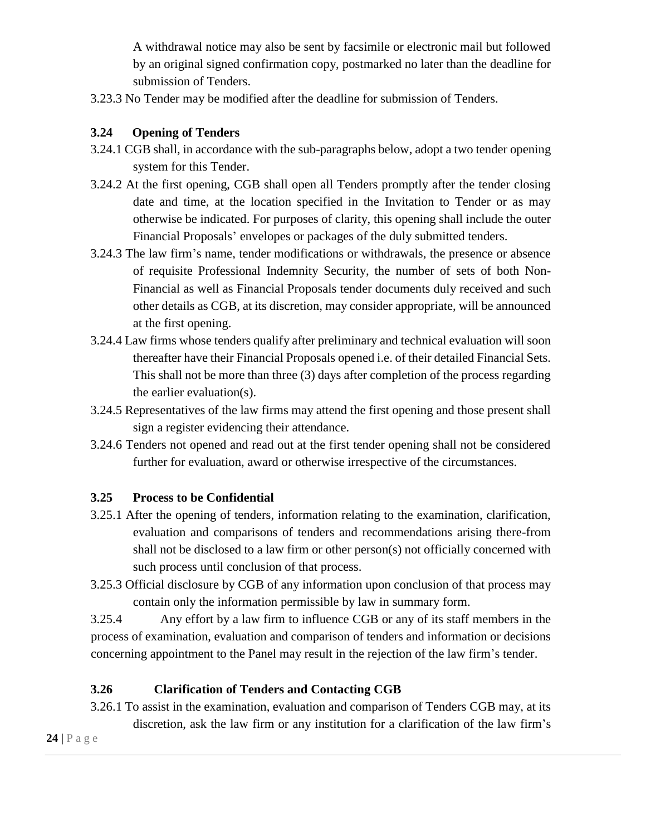A withdrawal notice may also be sent by facsimile or electronic mail but followed by an original signed confirmation copy, postmarked no later than the deadline for submission of Tenders.

3.23.3 No Tender may be modified after the deadline for submission of Tenders.

## <span id="page-23-0"></span>**3.24 Opening of Tenders**

- 3.24.1 CGB shall, in accordance with the sub-paragraphs below, adopt a two tender opening system for this Tender.
- 3.24.2 At the first opening, CGB shall open all Tenders promptly after the tender closing date and time, at the location specified in the Invitation to Tender or as may otherwise be indicated. For purposes of clarity, this opening shall include the outer Financial Proposals' envelopes or packages of the duly submitted tenders.
- 3.24.3 The law firm's name, tender modifications or withdrawals, the presence or absence of requisite Professional Indemnity Security, the number of sets of both Non-Financial as well as Financial Proposals tender documents duly received and such other details as CGB, at its discretion, may consider appropriate, will be announced at the first opening.
- 3.24.4 Law firms whose tenders qualify after preliminary and technical evaluation will soon thereafter have their Financial Proposals opened i.e. of their detailed Financial Sets. This shall not be more than three (3) days after completion of the process regarding the earlier evaluation(s).
- 3.24.5 Representatives of the law firms may attend the first opening and those present shall sign a register evidencing their attendance.
- 3.24.6 Tenders not opened and read out at the first tender opening shall not be considered further for evaluation, award or otherwise irrespective of the circumstances.

## <span id="page-23-1"></span>**3.25 Process to be Confidential**

- 3.25.1 After the opening of tenders, information relating to the examination, clarification, evaluation and comparisons of tenders and recommendations arising there-from shall not be disclosed to a law firm or other person(s) not officially concerned with such process until conclusion of that process.
- 3.25.3 Official disclosure by CGB of any information upon conclusion of that process may contain only the information permissible by law in summary form.

3.25.4 Any effort by a law firm to influence CGB or any of its staff members in the process of examination, evaluation and comparison of tenders and information or decisions concerning appointment to the Panel may result in the rejection of the law firm's tender.

## <span id="page-23-2"></span>**3.26 Clarification of Tenders and Contacting CGB**

3.26.1 To assist in the examination, evaluation and comparison of Tenders CGB may, at its discretion, ask the law firm or any institution for a clarification of the law firm's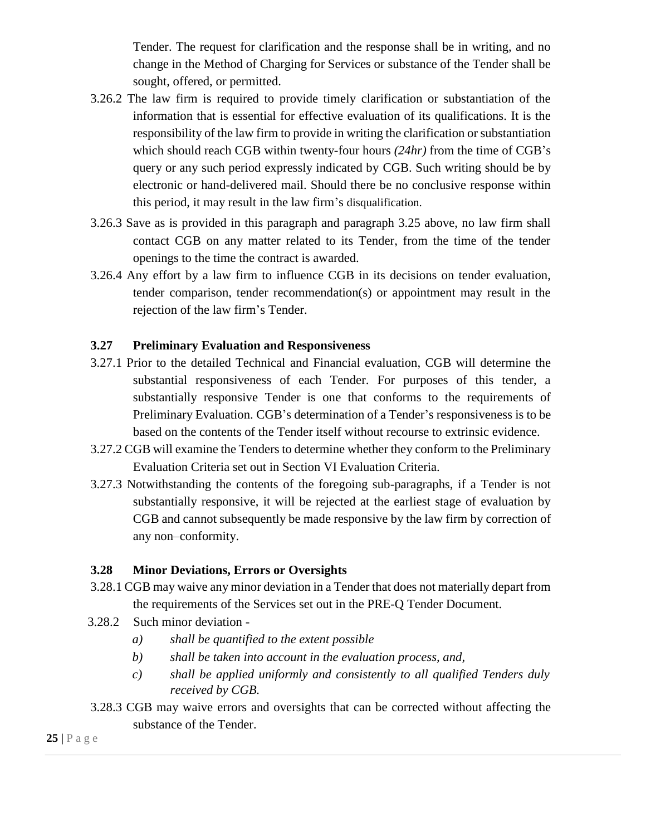Tender. The request for clarification and the response shall be in writing, and no change in the Method of Charging for Services or substance of the Tender shall be sought, offered, or permitted.

- 3.26.2 The law firm is required to provide timely clarification or substantiation of the information that is essential for effective evaluation of its qualifications. It is the responsibility of the law firm to provide in writing the clarification or substantiation which should reach CGB within twenty-four hours *(24hr)* from the time of CGB's query or any such period expressly indicated by CGB. Such writing should be by electronic or hand-delivered mail. Should there be no conclusive response within this period, it may result in the law firm's disqualification.
- 3.26.3 Save as is provided in this paragraph and paragraph 3.25 above, no law firm shall contact CGB on any matter related to its Tender, from the time of the tender openings to the time the contract is awarded.
- 3.26.4 Any effort by a law firm to influence CGB in its decisions on tender evaluation, tender comparison, tender recommendation(s) or appointment may result in the rejection of the law firm's Tender.

#### <span id="page-24-0"></span>**3.27 Preliminary Evaluation and Responsiveness**

- 3.27.1 Prior to the detailed Technical and Financial evaluation, CGB will determine the substantial responsiveness of each Tender. For purposes of this tender, a substantially responsive Tender is one that conforms to the requirements of Preliminary Evaluation. CGB's determination of a Tender's responsiveness is to be based on the contents of the Tender itself without recourse to extrinsic evidence.
- 3.27.2 CGB will examine the Tenders to determine whether they conform to the Preliminary Evaluation Criteria set out in Section VI Evaluation Criteria.
- 3.27.3 Notwithstanding the contents of the foregoing sub-paragraphs, if a Tender is not substantially responsive, it will be rejected at the earliest stage of evaluation by CGB and cannot subsequently be made responsive by the law firm by correction of any non–conformity.

#### <span id="page-24-1"></span>**3.28 Minor Deviations, Errors or Oversights**

- 3.28.1 CGB may waive any minor deviation in a Tender that does not materially depart from the requirements of the Services set out in the PRE-Q Tender Document.
- 3.28.2 Such minor deviation
	- *a) shall be quantified to the extent possible*
	- *b) shall be taken into account in the evaluation process, and,*
	- *c) shall be applied uniformly and consistently to all qualified Tenders duly received by CGB.*
- 3.28.3 CGB may waive errors and oversights that can be corrected without affecting the substance of the Tender.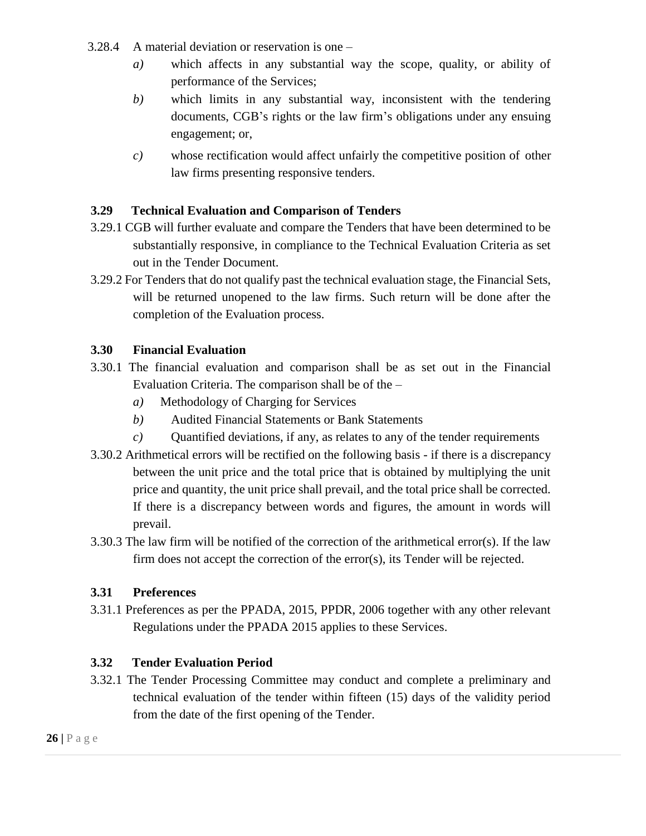- 3.28.4 A material deviation or reservation is one
	- *a)* which affects in any substantial way the scope, quality, or ability of performance of the Services;
	- *b)* which limits in any substantial way, inconsistent with the tendering documents, CGB's rights or the law firm's obligations under any ensuing engagement; or,
	- *c)* whose rectification would affect unfairly the competitive position of other law firms presenting responsive tenders.

#### <span id="page-25-0"></span>**3.29 Technical Evaluation and Comparison of Tenders**

- 3.29.1 CGB will further evaluate and compare the Tenders that have been determined to be substantially responsive, in compliance to the Technical Evaluation Criteria as set out in the Tender Document.
- 3.29.2 For Tenders that do not qualify past the technical evaluation stage, the Financial Sets, will be returned unopened to the law firms. Such return will be done after the completion of the Evaluation process.

#### <span id="page-25-1"></span>**3.30 Financial Evaluation**

- 3.30.1 The financial evaluation and comparison shall be as set out in the Financial Evaluation Criteria. The comparison shall be of the –
	- *a)* Methodology of Charging for Services
	- *b)* Audited Financial Statements or Bank Statements
	- *c)* Quantified deviations, if any, as relates to any of the tender requirements
- 3.30.2 Arithmetical errors will be rectified on the following basis if there is a discrepancy between the unit price and the total price that is obtained by multiplying the unit price and quantity, the unit price shall prevail, and the total price shall be corrected. If there is a discrepancy between words and figures, the amount in words will prevail.
- 3.30.3 The law firm will be notified of the correction of the arithmetical error(s). If the law firm does not accept the correction of the error(s), its Tender will be rejected.

## <span id="page-25-2"></span>**3.31 Preferences**

3.31.1 Preferences as per the PPADA, 2015, PPDR, 2006 together with any other relevant Regulations under the PPADA 2015 applies to these Services.

## <span id="page-25-3"></span>**3.32 Tender Evaluation Period**

3.32.1 The Tender Processing Committee may conduct and complete a preliminary and technical evaluation of the tender within fifteen (15) days of the validity period from the date of the first opening of the Tender.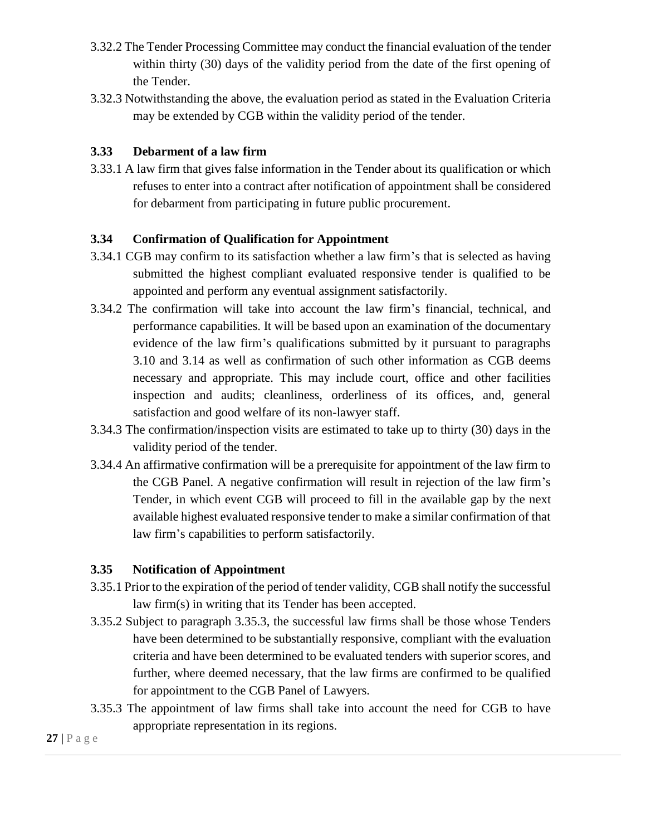- 3.32.2 The Tender Processing Committee may conduct the financial evaluation of the tender within thirty (30) days of the validity period from the date of the first opening of the Tender.
- 3.32.3 Notwithstanding the above, the evaluation period as stated in the Evaluation Criteria may be extended by CGB within the validity period of the tender.

### <span id="page-26-0"></span>**3.33 Debarment of a law firm**

3.33.1 A law firm that gives false information in the Tender about its qualification or which refuses to enter into a contract after notification of appointment shall be considered for debarment from participating in future public procurement.

#### <span id="page-26-1"></span>**3.34 Confirmation of Qualification for Appointment**

- 3.34.1 CGB may confirm to its satisfaction whether a law firm's that is selected as having submitted the highest compliant evaluated responsive tender is qualified to be appointed and perform any eventual assignment satisfactorily.
- 3.34.2 The confirmation will take into account the law firm's financial, technical, and performance capabilities. It will be based upon an examination of the documentary evidence of the law firm's qualifications submitted by it pursuant to paragraphs 3.10 and 3.14 as well as confirmation of such other information as CGB deems necessary and appropriate. This may include court, office and other facilities inspection and audits; cleanliness, orderliness of its offices, and, general satisfaction and good welfare of its non-lawyer staff.
- 3.34.3 The confirmation/inspection visits are estimated to take up to thirty (30) days in the validity period of the tender.
- 3.34.4 An affirmative confirmation will be a prerequisite for appointment of the law firm to the CGB Panel. A negative confirmation will result in rejection of the law firm's Tender, in which event CGB will proceed to fill in the available gap by the next available highest evaluated responsive tender to make a similar confirmation of that law firm's capabilities to perform satisfactorily.

#### <span id="page-26-2"></span>**3.35 Notification of Appointment**

- 3.35.1 Prior to the expiration of the period of tender validity, CGB shall notify the successful law firm(s) in writing that its Tender has been accepted.
- 3.35.2 Subject to paragraph 3.35.3, the successful law firms shall be those whose Tenders have been determined to be substantially responsive, compliant with the evaluation criteria and have been determined to be evaluated tenders with superior scores, and further, where deemed necessary, that the law firms are confirmed to be qualified for appointment to the CGB Panel of Lawyers.
- 3.35.3 The appointment of law firms shall take into account the need for CGB to have appropriate representation in its regions.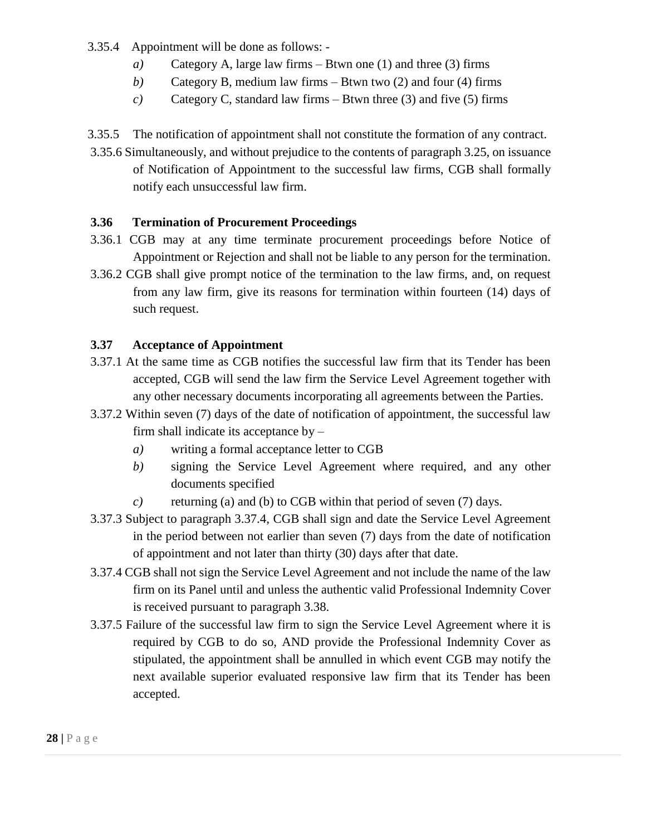3.35.4 Appointment will be done as follows: -

- *a)* Category A, large law firms Btwn one (1) and three (3) firms
- *b)* Category B, medium law firms Btwn two (2) and four (4) firms
- *c)* Category C, standard law firms Btwn three (3) and five (5) firms

3.35.5 The notification of appointment shall not constitute the formation of any contract.

3.35.6 Simultaneously, and without prejudice to the contents of paragraph 3.25, on issuance of Notification of Appointment to the successful law firms, CGB shall formally notify each unsuccessful law firm.

## <span id="page-27-0"></span>**3.36 Termination of Procurement Proceedings**

- 3.36.1 CGB may at any time terminate procurement proceedings before Notice of Appointment or Rejection and shall not be liable to any person for the termination.
- 3.36.2 CGB shall give prompt notice of the termination to the law firms, and, on request from any law firm, give its reasons for termination within fourteen (14) days of such request.

## <span id="page-27-1"></span>**3.37 Acceptance of Appointment**

- 3.37.1 At the same time as CGB notifies the successful law firm that its Tender has been accepted, CGB will send the law firm the Service Level Agreement together with any other necessary documents incorporating all agreements between the Parties.
- 3.37.2 Within seven (7) days of the date of notification of appointment, the successful law firm shall indicate its acceptance by –
	- *a)* writing a formal acceptance letter to CGB
	- *b)* signing the Service Level Agreement where required, and any other documents specified
	- *c*) returning (a) and (b) to CGB within that period of seven (7) days.
- 3.37.3 Subject to paragraph 3.37.4, CGB shall sign and date the Service Level Agreement in the period between not earlier than seven (7) days from the date of notification of appointment and not later than thirty (30) days after that date.
- 3.37.4 CGB shall not sign the Service Level Agreement and not include the name of the law firm on its Panel until and unless the authentic valid Professional Indemnity Cover is received pursuant to paragraph 3.38.
- 3.37.5 Failure of the successful law firm to sign the Service Level Agreement where it is required by CGB to do so, AND provide the Professional Indemnity Cover as stipulated, the appointment shall be annulled in which event CGB may notify the next available superior evaluated responsive law firm that its Tender has been accepted.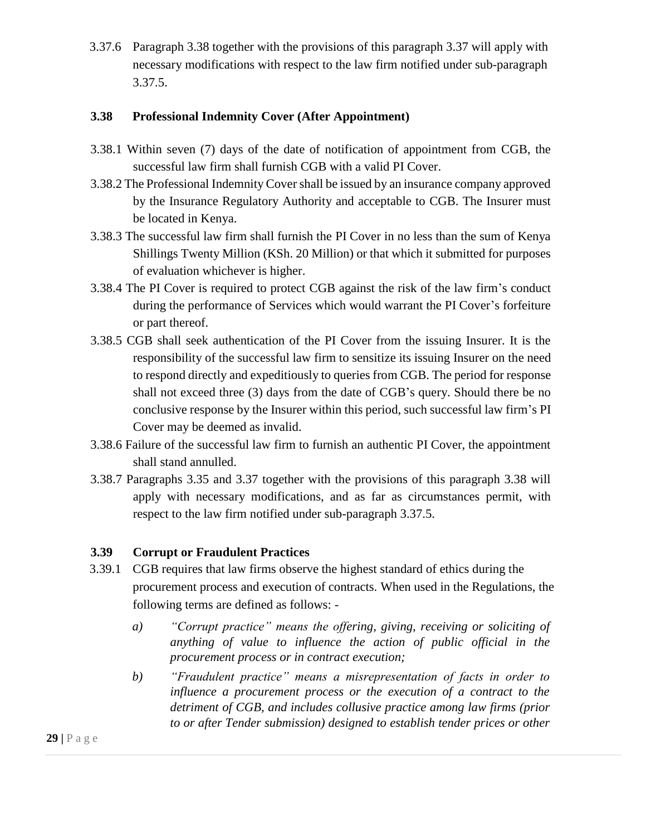3.37.6 Paragraph 3.38 together with the provisions of this paragraph 3.37 will apply with necessary modifications with respect to the law firm notified under sub-paragraph 3.37.5.

#### <span id="page-28-0"></span>**3.38 Professional Indemnity Cover (After Appointment)**

- 3.38.1 Within seven (7) days of the date of notification of appointment from CGB, the successful law firm shall furnish CGB with a valid PI Cover.
- 3.38.2 The Professional Indemnity Cover shall be issued by an insurance company approved by the Insurance Regulatory Authority and acceptable to CGB. The Insurer must be located in Kenya.
- 3.38.3 The successful law firm shall furnish the PI Cover in no less than the sum of Kenya Shillings Twenty Million (KSh. 20 Million) or that which it submitted for purposes of evaluation whichever is higher.
- 3.38.4 The PI Cover is required to protect CGB against the risk of the law firm's conduct during the performance of Services which would warrant the PI Cover's forfeiture or part thereof.
- 3.38.5 CGB shall seek authentication of the PI Cover from the issuing Insurer. It is the responsibility of the successful law firm to sensitize its issuing Insurer on the need to respond directly and expeditiously to queries from CGB. The period for response shall not exceed three (3) days from the date of CGB's query. Should there be no conclusive response by the Insurer within this period, such successful law firm's PI Cover may be deemed as invalid.
- 3.38.6 Failure of the successful law firm to furnish an authentic PI Cover, the appointment shall stand annulled.
- 3.38.7 Paragraphs 3.35 and 3.37 together with the provisions of this paragraph 3.38 will apply with necessary modifications, and as far as circumstances permit, with respect to the law firm notified under sub-paragraph 3.37.5.

#### <span id="page-28-1"></span>**3.39 Corrupt or Fraudulent Practices**

- 3.39.1 CGB requires that law firms observe the highest standard of ethics during the procurement process and execution of contracts. When used in the Regulations, the following terms are defined as follows:
	- *a) "Corrupt practice" means the offering, giving, receiving or soliciting of anything of value to influence the action of public official in the procurement process or in contract execution;*
	- *b) "Fraudulent practice" means a misrepresentation of facts in order to influence a procurement process or the execution of a contract to the detriment of CGB, and includes collusive practice among law firms (prior to or after Tender submission) designed to establish tender prices or other*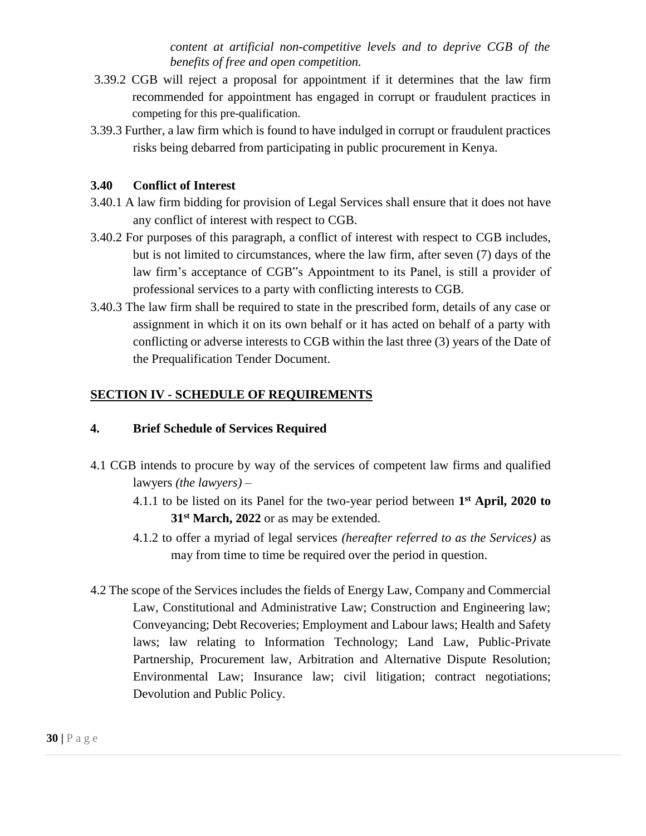*content at artificial non-competitive levels and to deprive CGB of the benefits of free and open competition.* 

- 3.39.2 CGB will reject a proposal for appointment if it determines that the law firm recommended for appointment has engaged in corrupt or fraudulent practices in competing for this pre-qualification.
- 3.39.3 Further, a law firm which is found to have indulged in corrupt or fraudulent practices risks being debarred from participating in public procurement in Kenya.

#### <span id="page-29-0"></span>**3.40 Conflict of Interest**

- 3.40.1 A law firm bidding for provision of Legal Services shall ensure that it does not have any conflict of interest with respect to CGB.
- 3.40.2 For purposes of this paragraph, a conflict of interest with respect to CGB includes, but is not limited to circumstances, where the law firm, after seven (7) days of the law firm's acceptance of CGB"s Appointment to its Panel, is still a provider of professional services to a party with conflicting interests to CGB.
- 3.40.3 The law firm shall be required to state in the prescribed form, details of any case or assignment in which it on its own behalf or it has acted on behalf of a party with conflicting or adverse interests to CGB within the last three (3) years of the Date of the Prequalification Tender Document.

## <span id="page-29-1"></span>**SECTION IV - SCHEDULE OF REQUIREMENTS**

#### **4. Brief Schedule of Services Required**

- 4.1 CGB intends to procure by way of the services of competent law firms and qualified lawyers *(the lawyers)* –
	- 4.1.1 to be listed on its Panel for the two-year period between **1 st April, 2020 to 31st March, 2022** or as may be extended.
	- 4.1.2 to offer a myriad of legal services *(hereafter referred to as the Services)* as may from time to time be required over the period in question.
- 4.2 The scope of the Services includes the fields of Energy Law, Company and Commercial Law, Constitutional and Administrative Law; Construction and Engineering law; Conveyancing; Debt Recoveries; Employment and Labour laws; Health and Safety laws; law relating to Information Technology; Land Law, Public-Private Partnership, Procurement law, Arbitration and Alternative Dispute Resolution; Environmental Law; Insurance law; civil litigation; contract negotiations; Devolution and Public Policy.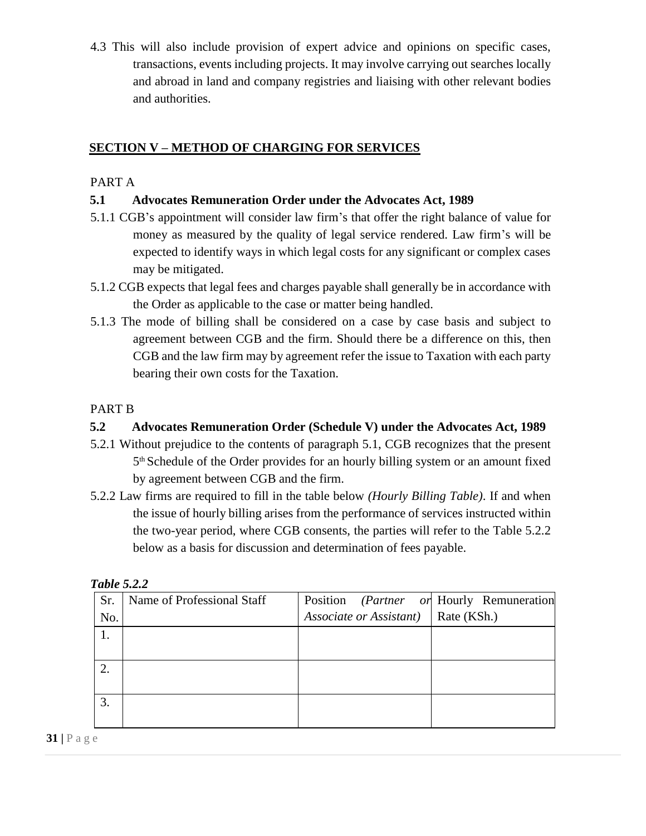4.3 This will also include provision of expert advice and opinions on specific cases, transactions, events including projects. It may involve carrying out searches locally and abroad in land and company registries and liaising with other relevant bodies and authorities.

## <span id="page-30-0"></span>**SECTION V – METHOD OF CHARGING FOR SERVICES**

## PART A

### <span id="page-30-1"></span>**5.1 Advocates Remuneration Order under the Advocates Act, 1989**

- 5.1.1 CGB's appointment will consider law firm's that offer the right balance of value for money as measured by the quality of legal service rendered. Law firm's will be expected to identify ways in which legal costs for any significant or complex cases may be mitigated.
- 5.1.2 CGB expects that legal fees and charges payable shall generally be in accordance with the Order as applicable to the case or matter being handled.
- 5.1.3 The mode of billing shall be considered on a case by case basis and subject to agreement between CGB and the firm. Should there be a difference on this, then CGB and the law firm may by agreement refer the issue to Taxation with each party bearing their own costs for the Taxation.

## PART B

## <span id="page-30-2"></span>**5.2 Advocates Remuneration Order (Schedule V) under the Advocates Act, 1989**

- 5.2.1 Without prejudice to the contents of paragraph 5.1, CGB recognizes that the present 5 th Schedule of the Order provides for an hourly billing system or an amount fixed by agreement between CGB and the firm.
- 5.2.2 Law firms are required to fill in the table below *(Hourly Billing Table)*. If and when the issue of hourly billing arises from the performance of services instructed within the two-year period, where CGB consents, the parties will refer to the Table 5.2.2 below as a basis for discussion and determination of fees payable.

| Sr. | Name of Professional Staff |                         | Position (Partner or Hourly Remuneration |
|-----|----------------------------|-------------------------|------------------------------------------|
| No. |                            | Associate or Assistant) | Rate (KSh.)                              |
| 1.  |                            |                         |                                          |
|     |                            |                         |                                          |
| 2.  |                            |                         |                                          |
|     |                            |                         |                                          |
| 3.  |                            |                         |                                          |
|     |                            |                         |                                          |

| Table 5.2.2 |  |
|-------------|--|
|-------------|--|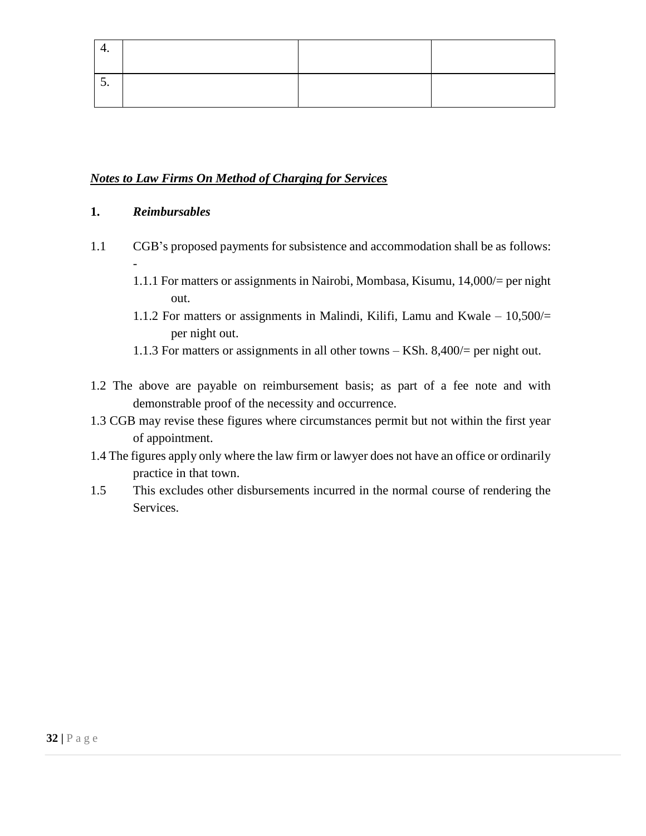#### *Notes to Law Firms On Method of Charging for Services*

#### **1.** *Reimbursables*

- 1.1 CGB's proposed payments for subsistence and accommodation shall be as follows: -
	- 1.1.1 For matters or assignments in Nairobi, Mombasa, Kisumu, 14,000/= per night out.
	- 1.1.2 For matters or assignments in Malindi, Kilifi, Lamu and Kwale 10,500/= per night out.
	- 1.1.3 For matters or assignments in all other towns KSh. 8,400/= per night out.
- 1.2 The above are payable on reimbursement basis; as part of a fee note and with demonstrable proof of the necessity and occurrence.
- 1.3 CGB may revise these figures where circumstances permit but not within the first year of appointment.
- 1.4 The figures apply only where the law firm or lawyer does not have an office or ordinarily practice in that town.
- 1.5 This excludes other disbursements incurred in the normal course of rendering the Services.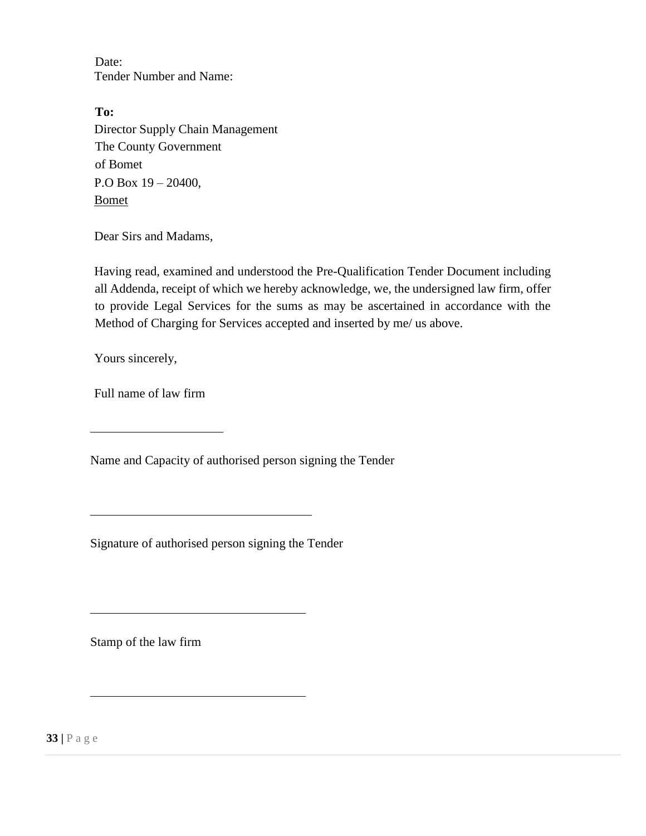Date: Tender Number and Name:

**To:**  Director Supply Chain Management The County Government of Bomet P.O Box 19 – 20400, Bomet

Dear Sirs and Madams,

Having read, examined and understood the Pre-Qualification Tender Document including all Addenda, receipt of which we hereby acknowledge, we, the undersigned law firm, offer to provide Legal Services for the sums as may be ascertained in accordance with the Method of Charging for Services accepted and inserted by me/ us above.

Yours sincerely,

Full name of law firm

Name and Capacity of authorised person signing the Tender

Signature of authorised person signing the Tender

Stamp of the law firm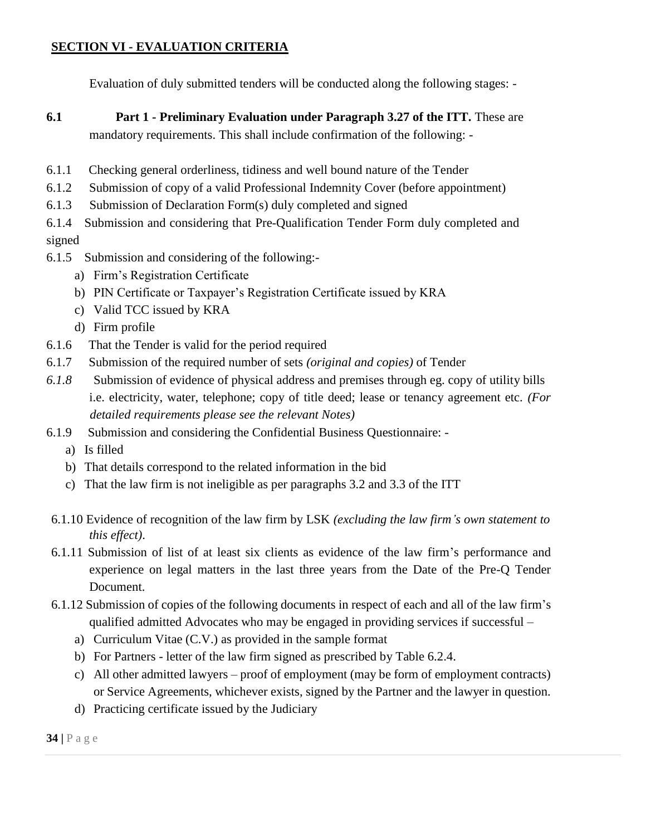## <span id="page-33-0"></span>**SECTION VI - EVALUATION CRITERIA**

Evaluation of duly submitted tenders will be conducted along the following stages: -

- **6.1 Part 1 - Preliminary Evaluation under Paragraph 3.27 of the ITT.** These are mandatory requirements. This shall include confirmation of the following: -
- 6.1.1 Checking general orderliness, tidiness and well bound nature of the Tender
- 6.1.2 Submission of copy of a valid Professional Indemnity Cover (before appointment)
- 6.1.3 Submission of Declaration Form(s) duly completed and signed
- 6.1.4 Submission and considering that Pre-Qualification Tender Form duly completed and signed
- 6.1.5 Submission and considering of the following:
	- a) Firm's Registration Certificate
	- b) PIN Certificate or Taxpayer's Registration Certificate issued by KRA
	- c) Valid TCC issued by KRA
	- d) Firm profile
- 6.1.6 That the Tender is valid for the period required
- 6.1.7 Submission of the required number of sets *(original and copies)* of Tender
- *6.1.8* Submission of evidence of physical address and premises through eg. copy of utility bills i.e. electricity, water, telephone; copy of title deed; lease or tenancy agreement etc. *(For detailed requirements please see the relevant Notes)*
- 6.1.9 Submission and considering the Confidential Business Questionnaire:
	- a) Is filled
	- b) That details correspond to the related information in the bid
	- c) That the law firm is not ineligible as per paragraphs 3.2 and 3.3 of the ITT
- 6.1.10 Evidence of recognition of the law firm by LSK *(excluding the law firm's own statement to this effect)*.
- 6.1.11 Submission of list of at least six clients as evidence of the law firm's performance and experience on legal matters in the last three years from the Date of the Pre-Q Tender Document.
- 6.1.12 Submission of copies of the following documents in respect of each and all of the law firm's qualified admitted Advocates who may be engaged in providing services if successful –
	- a) Curriculum Vitae (C.V.) as provided in the sample format
	- b) For Partners letter of the law firm signed as prescribed by Table 6.2.4.
	- c) All other admitted lawyers proof of employment (may be form of employment contracts) or Service Agreements, whichever exists, signed by the Partner and the lawyer in question.
	- d) Practicing certificate issued by the Judiciary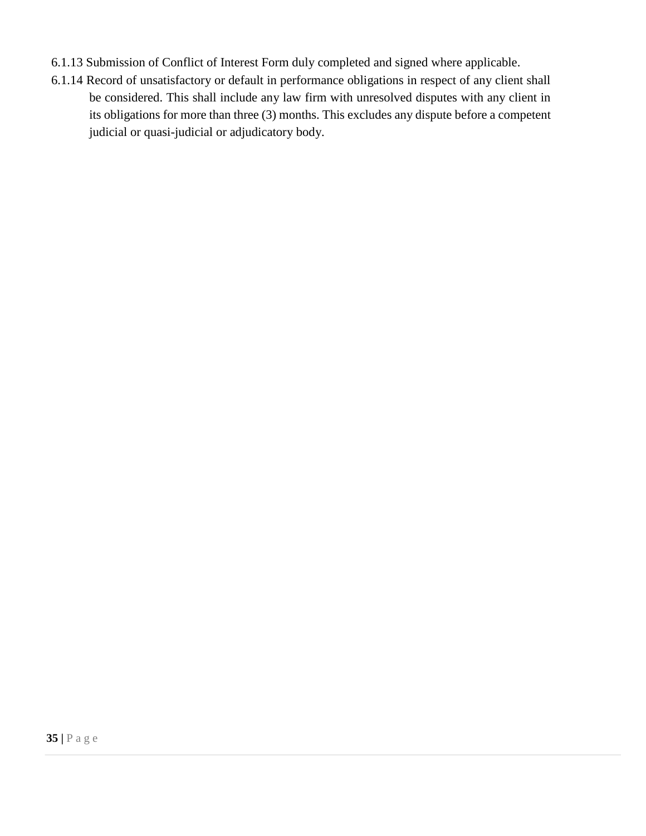- 6.1.13 Submission of Conflict of Interest Form duly completed and signed where applicable.
- 6.1.14 Record of unsatisfactory or default in performance obligations in respect of any client shall be considered. This shall include any law firm with unresolved disputes with any client in its obligations for more than three (3) months. This excludes any dispute before a competent judicial or quasi-judicial or adjudicatory body.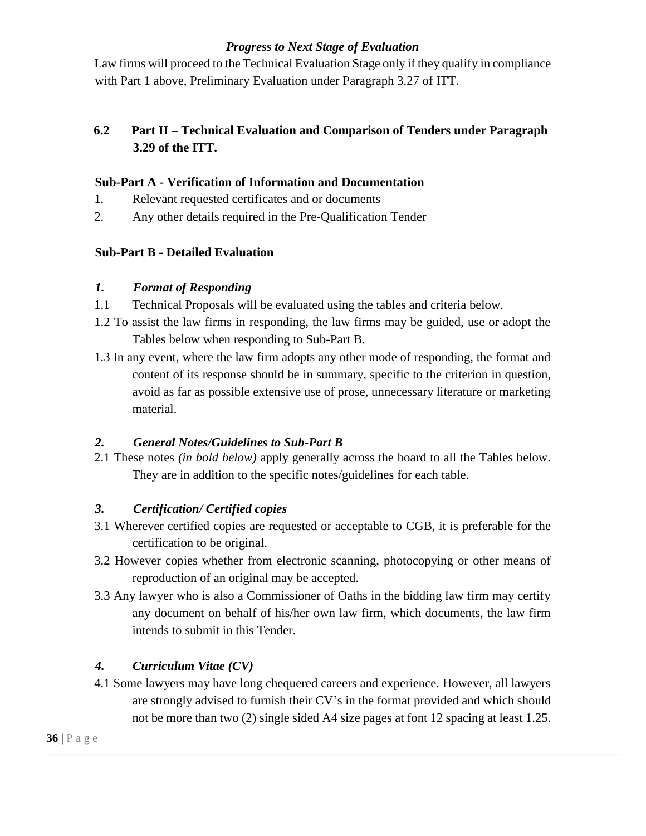### *Progress to Next Stage of Evaluation*

Law firms will proceed to the Technical Evaluation Stage only if they qualify in compliance with Part 1 above, Preliminary Evaluation under Paragraph 3.27 of ITT.

## **6.2 Part II – Technical Evaluation and Comparison of Tenders under Paragraph 3.29 of the ITT.**

#### <span id="page-35-0"></span>**Sub-Part A - Verification of Information and Documentation**

- 1. Relevant requested certificates and or documents
- 2. Any other details required in the Pre-Qualification Tender

## <span id="page-35-1"></span>**Sub-Part B - Detailed Evaluation**

#### *1. Format of Responding*

- 1.1 Technical Proposals will be evaluated using the tables and criteria below.
- 1.2 To assist the law firms in responding, the law firms may be guided, use or adopt the Tables below when responding to Sub-Part B.
- 1.3 In any event, where the law firm adopts any other mode of responding, the format and content of its response should be in summary, specific to the criterion in question, avoid as far as possible extensive use of prose, unnecessary literature or marketing material.

## *2. General Notes/Guidelines to Sub-Part B*

2.1 These notes *(in bold below)* apply generally across the board to all the Tables below. They are in addition to the specific notes/guidelines for each table.

## *3. Certification/ Certified copies*

- 3.1 Wherever certified copies are requested or acceptable to CGB, it is preferable for the certification to be original.
- 3.2 However copies whether from electronic scanning, photocopying or other means of reproduction of an original may be accepted.
- 3.3 Any lawyer who is also a Commissioner of Oaths in the bidding law firm may certify any document on behalf of his/her own law firm, which documents, the law firm intends to submit in this Tender.

## *4. Curriculum Vitae (CV)*

4.1 Some lawyers may have long chequered careers and experience. However, all lawyers are strongly advised to furnish their CV's in the format provided and which should not be more than two (2) single sided A4 size pages at font 12 spacing at least 1.25.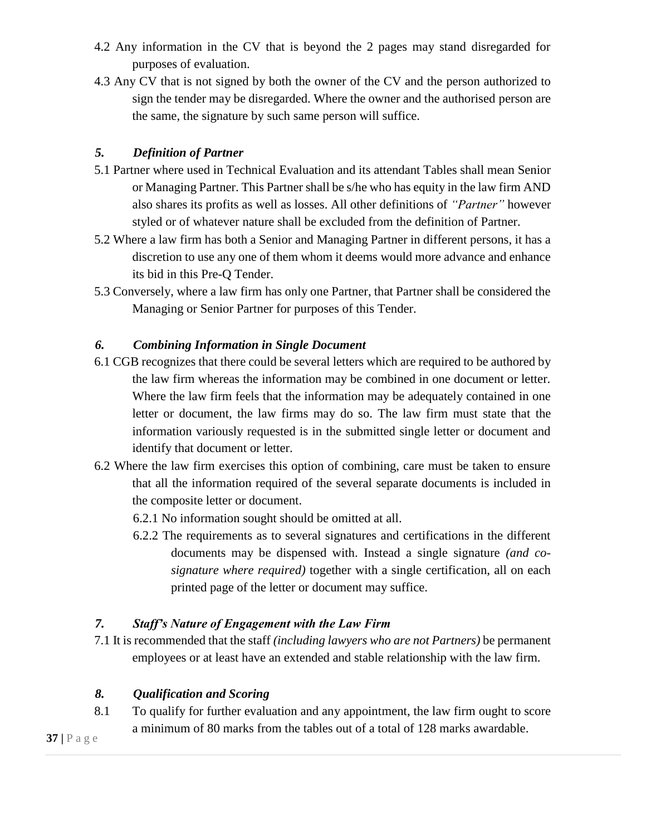- 4.2 Any information in the CV that is beyond the 2 pages may stand disregarded for purposes of evaluation.
- 4.3 Any CV that is not signed by both the owner of the CV and the person authorized to sign the tender may be disregarded. Where the owner and the authorised person are the same, the signature by such same person will suffice.

### *5. Definition of Partner*

- 5.1 Partner where used in Technical Evaluation and its attendant Tables shall mean Senior or Managing Partner. This Partner shall be s/he who has equity in the law firm AND also shares its profits as well as losses. All other definitions of *"Partner"* however styled or of whatever nature shall be excluded from the definition of Partner.
- 5.2 Where a law firm has both a Senior and Managing Partner in different persons, it has a discretion to use any one of them whom it deems would more advance and enhance its bid in this Pre-Q Tender.
- 5.3 Conversely, where a law firm has only one Partner, that Partner shall be considered the Managing or Senior Partner for purposes of this Tender.

### *6. Combining Information in Single Document*

- 6.1 CGB recognizes that there could be several letters which are required to be authored by the law firm whereas the information may be combined in one document or letter. Where the law firm feels that the information may be adequately contained in one letter or document, the law firms may do so. The law firm must state that the information variously requested is in the submitted single letter or document and identify that document or letter.
- 6.2 Where the law firm exercises this option of combining, care must be taken to ensure that all the information required of the several separate documents is included in the composite letter or document.
	- 6.2.1 No information sought should be omitted at all.
	- 6.2.2 The requirements as to several signatures and certifications in the different documents may be dispensed with. Instead a single signature *(and cosignature where required)* together with a single certification, all on each printed page of the letter or document may suffice.

### *7. Staff's Nature of Engagement with the Law Firm*

7.1 It is recommended that the staff *(including lawyers who are not Partners)* be permanent employees or at least have an extended and stable relationship with the law firm.

### *8. Qualification and Scoring*

8.1 To qualify for further evaluation and any appointment, the law firm ought to score a minimum of 80 marks from the tables out of a total of 128 marks awardable.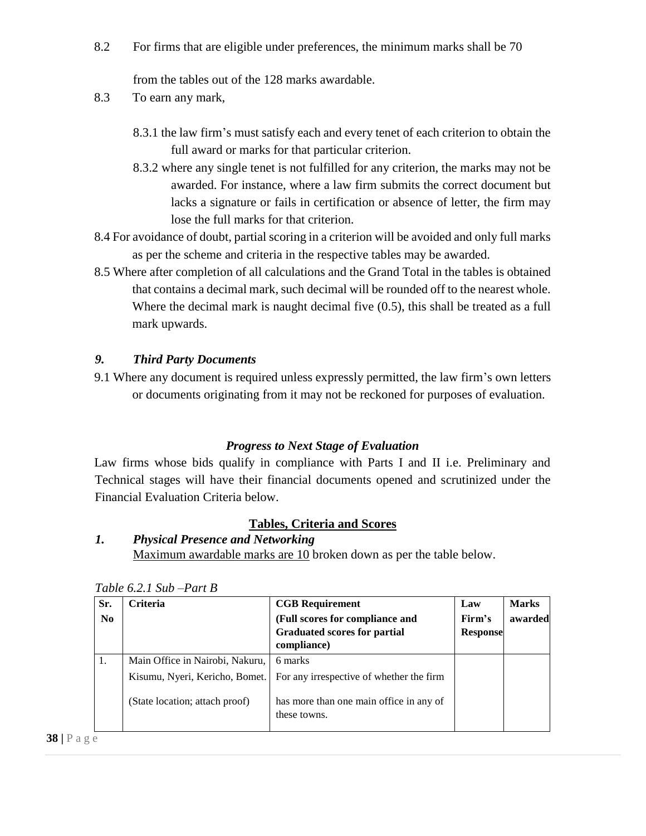8.2 For firms that are eligible under preferences, the minimum marks shall be 70

from the tables out of the 128 marks awardable.

- 8.3 To earn any mark,
	- 8.3.1 the law firm's must satisfy each and every tenet of each criterion to obtain the full award or marks for that particular criterion.
	- 8.3.2 where any single tenet is not fulfilled for any criterion, the marks may not be awarded. For instance, where a law firm submits the correct document but lacks a signature or fails in certification or absence of letter, the firm may lose the full marks for that criterion.
- 8.4 For avoidance of doubt, partial scoring in a criterion will be avoided and only full marks as per the scheme and criteria in the respective tables may be awarded.
- 8.5 Where after completion of all calculations and the Grand Total in the tables is obtained that contains a decimal mark, such decimal will be rounded off to the nearest whole. Where the decimal mark is naught decimal five (0.5), this shall be treated as a full mark upwards.

#### *9. Third Party Documents*

9.1 Where any document is required unless expressly permitted, the law firm's own letters or documents originating from it may not be reckoned for purposes of evaluation.

#### *Progress to Next Stage of Evaluation*

Law firms whose bids qualify in compliance with Parts I and II i.e. Preliminary and Technical stages will have their financial documents opened and scrutinized under the Financial Evaluation Criteria below.

#### **Tables, Criteria and Scores**

# *1. Physical Presence and Networking*

Maximum awardable marks are 10 broken down as per the table below.

| Sr.<br>$\mathbf{N}\mathbf{0}$ | <b>Criteria</b>                 | <b>CGB</b> Requirement<br>(Full scores for compliance and<br><b>Graduated scores for partial</b><br>compliance) | Law<br>Firm's<br><b>Response</b> | <b>Marks</b><br>awarded |
|-------------------------------|---------------------------------|-----------------------------------------------------------------------------------------------------------------|----------------------------------|-------------------------|
| 1.                            | Main Office in Nairobi, Nakuru, | 6 marks                                                                                                         |                                  |                         |
|                               | Kisumu, Nyeri, Kericho, Bomet.  | For any irrespective of whether the firm                                                                        |                                  |                         |
|                               | (State location; attach proof)  | has more than one main office in any of<br>these towns.                                                         |                                  |                         |

*Table 6.2.1 Sub –Part B*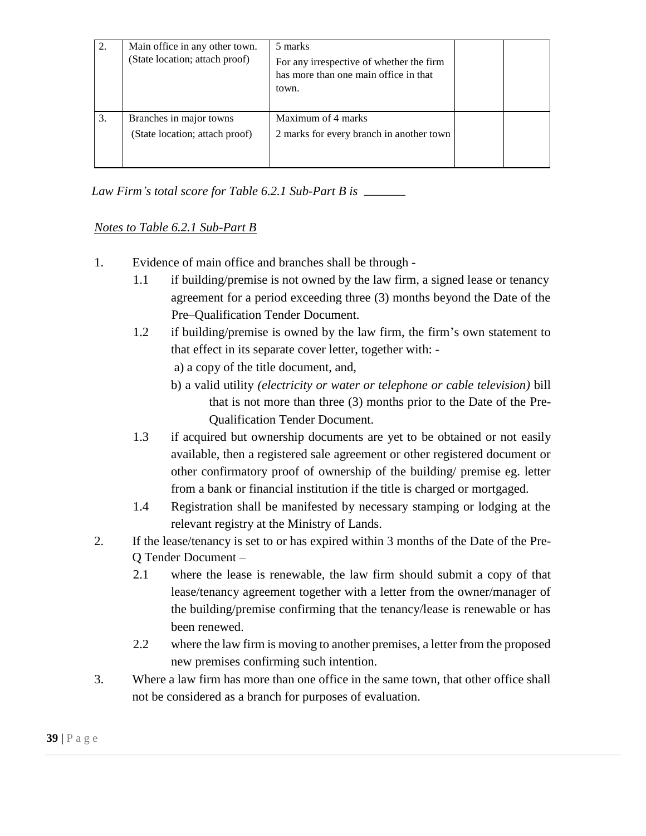| 2. | Main office in any other town.<br>(State location; attach proof) | 5 marks<br>For any irrespective of whether the firm<br>has more than one main office in that<br>town. |  |
|----|------------------------------------------------------------------|-------------------------------------------------------------------------------------------------------|--|
| 3. | Branches in major towns<br>(State location; attach proof)        | Maximum of 4 marks<br>2 marks for every branch in another town                                        |  |

*Law Firm's total score for Table 6.2.1 Sub-Part B is* 

### *Notes to Table 6.2.1 Sub-Part B*

- 1. Evidence of main office and branches shall be through
	- 1.1 if building/premise is not owned by the law firm, a signed lease or tenancy agreement for a period exceeding three (3) months beyond the Date of the Pre–Qualification Tender Document.
	- 1.2 if building/premise is owned by the law firm, the firm's own statement to that effect in its separate cover letter, together with:
		- a) a copy of the title document, and,
		- b) a valid utility *(electricity or water or telephone or cable television)* bill that is not more than three (3) months prior to the Date of the Pre-Qualification Tender Document.
	- 1.3 if acquired but ownership documents are yet to be obtained or not easily available, then a registered sale agreement or other registered document or other confirmatory proof of ownership of the building/ premise eg. letter from a bank or financial institution if the title is charged or mortgaged.
	- 1.4 Registration shall be manifested by necessary stamping or lodging at the relevant registry at the Ministry of Lands.
- 2. If the lease/tenancy is set to or has expired within 3 months of the Date of the Pre-Q Tender Document –
	- 2.1 where the lease is renewable, the law firm should submit a copy of that lease/tenancy agreement together with a letter from the owner/manager of the building/premise confirming that the tenancy/lease is renewable or has been renewed.
	- 2.2 where the law firm is moving to another premises, a letter from the proposed new premises confirming such intention.
- 3. Where a law firm has more than one office in the same town, that other office shall not be considered as a branch for purposes of evaluation.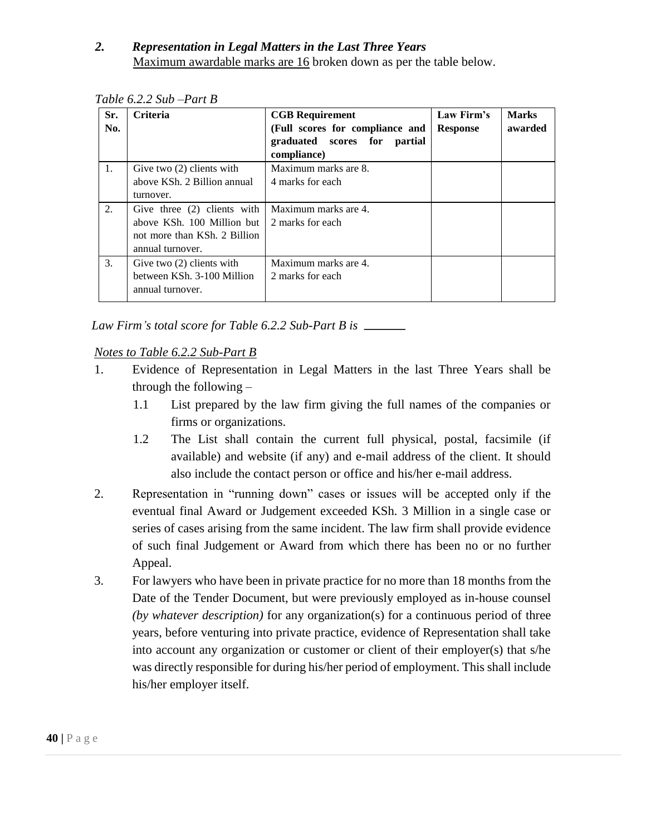### *2. Representation in Legal Matters in the Last Three Years*  Maximum awardable marks are 16 broken down as per the table below.

| Sr.<br>No. | <b>Criteria</b>                                                                                               | <b>CGB</b> Requirement<br>(Full scores for compliance and<br>graduated scores for<br>partial<br>compliance) | Law Firm's<br><b>Response</b> | <b>Marks</b><br>awarded |
|------------|---------------------------------------------------------------------------------------------------------------|-------------------------------------------------------------------------------------------------------------|-------------------------------|-------------------------|
| 1.         | Give two $(2)$ clients with<br>above KSh. 2 Billion annual<br>turnover.                                       | Maximum marks are 8.<br>4 marks for each                                                                    |                               |                         |
| 2.         | Give three (2) clients with<br>above KSh. 100 Million but<br>not more than KSh, 2 Billion<br>annual turnover. | Maximum marks are 4.<br>2 marks for each                                                                    |                               |                         |
| 3.         | Give two $(2)$ clients with<br>between KSh. 3-100 Million<br>annual turnover.                                 | Maximum marks are 4.<br>2 marks for each                                                                    |                               |                         |

*Table 6.2.2 Sub –Part B* 

*Law Firm's total score for Table 6.2.2 Sub-Part B is* 

### *Notes to Table 6.2.2 Sub-Part B*

- 1. Evidence of Representation in Legal Matters in the last Three Years shall be through the following –
	- 1.1 List prepared by the law firm giving the full names of the companies or firms or organizations.
	- 1.2 The List shall contain the current full physical, postal, facsimile (if available) and website (if any) and e-mail address of the client. It should also include the contact person or office and his/her e-mail address.
- 2. Representation in "running down" cases or issues will be accepted only if the eventual final Award or Judgement exceeded KSh. 3 Million in a single case or series of cases arising from the same incident. The law firm shall provide evidence of such final Judgement or Award from which there has been no or no further Appeal.
- 3. For lawyers who have been in private practice for no more than 18 months from the Date of the Tender Document, but were previously employed as in-house counsel *(by whatever description)* for any organization(s) for a continuous period of three years, before venturing into private practice, evidence of Representation shall take into account any organization or customer or client of their employer(s) that s/he was directly responsible for during his/her period of employment. This shall include his/her employer itself.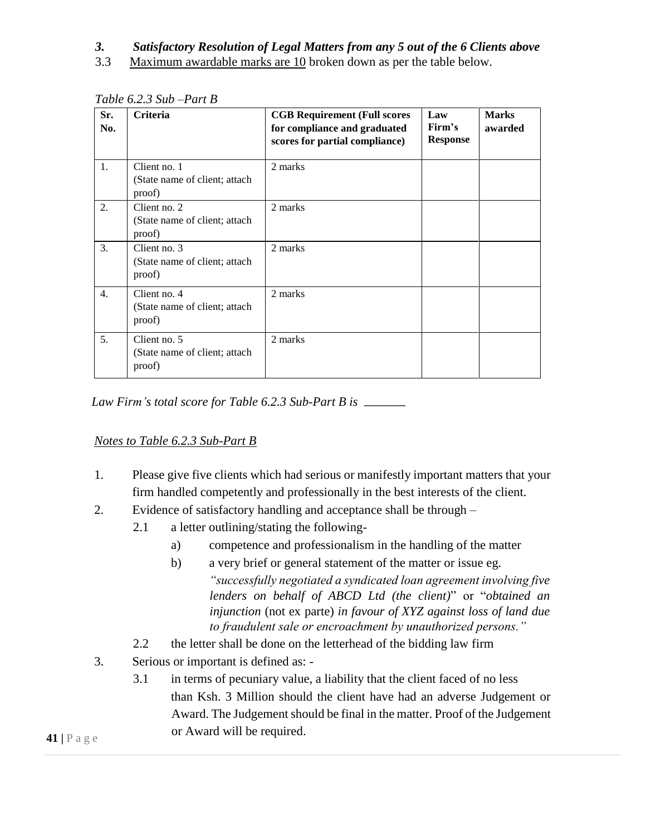#### *3. Satisfactory Resolution of Legal Matters from any 5 out of the 6 Clients above*

3.3 Maximum awardable marks are 10 broken down as per the table below.

| Sr.<br>No. | <b>Criteria</b>                                         | <b>CGB Requirement (Full scores)</b><br>for compliance and graduated<br>scores for partial compliance) | Law<br>Firm's<br><b>Response</b> | <b>Marks</b><br>awarded |
|------------|---------------------------------------------------------|--------------------------------------------------------------------------------------------------------|----------------------------------|-------------------------|
| 1.         | Client no. 1<br>(State name of client; attach<br>proof) | 2 marks                                                                                                |                                  |                         |
| 2.         | Client no. 2<br>(State name of client; attach<br>proof) | 2 marks                                                                                                |                                  |                         |
| 3.         | Client no. 3<br>(State name of client; attach<br>proof) | 2 marks                                                                                                |                                  |                         |
| 4.         | Client no. 4<br>(State name of client; attach<br>proof) | 2 marks                                                                                                |                                  |                         |
| 5.         | Client no. 5<br>(State name of client; attach<br>proof) | 2 marks                                                                                                |                                  |                         |

*Table 6.2.3 Sub –Part B* 

*Law Firm's total score for Table 6.2.3 Sub-Part B is*

### *Notes to Table 6.2.3 Sub-Part B*

- 1. Please give five clients which had serious or manifestly important matters that your firm handled competently and professionally in the best interests of the client.
- 2. Evidence of satisfactory handling and acceptance shall be through
	- 2.1 a letter outlining/stating the following
		- a) competence and professionalism in the handling of the matter
		- b) a very brief or general statement of the matter or issue eg. *"successfully negotiated a syndicated loan agreement involving five lenders on behalf of ABCD Ltd (the client)*" or "*obtained an injunction* (not ex parte) *in favour of XYZ against loss of land due to fraudulent sale or encroachment by unauthorized persons."*
	- 2.2 the letter shall be done on the letterhead of the bidding law firm
- 3. Serious or important is defined as:
	- 3.1 in terms of pecuniary value, a liability that the client faced of no less than Ksh. 3 Million should the client have had an adverse Judgement or Award. The Judgement should be final in the matter. Proof of the Judgement or Award will be required.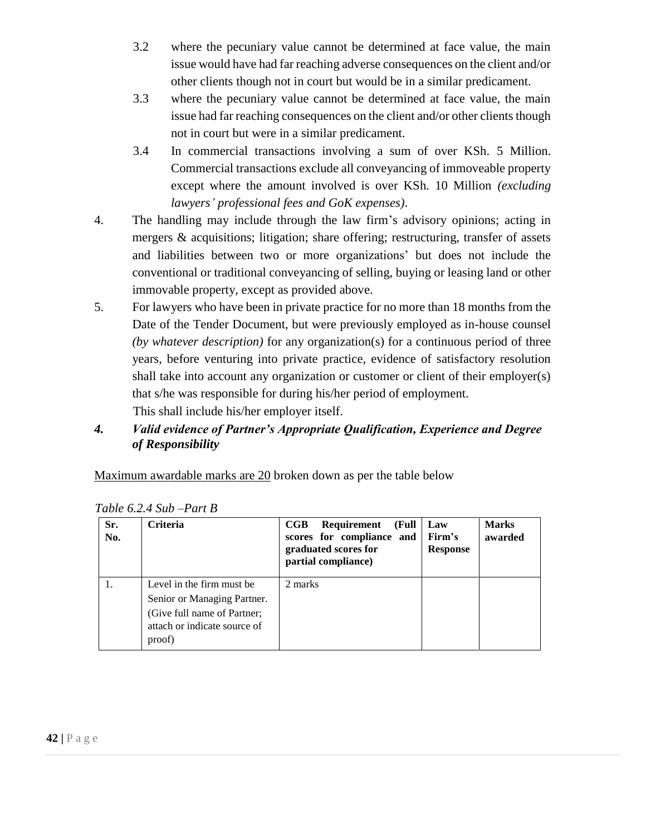- 3.2 where the pecuniary value cannot be determined at face value, the main issue would have had far reaching adverse consequences on the client and/or other clients though not in court but would be in a similar predicament.
- 3.3 where the pecuniary value cannot be determined at face value, the main issue had far reaching consequences on the client and/or other clients though not in court but were in a similar predicament.
- 3.4 In commercial transactions involving a sum of over KSh. 5 Million. Commercial transactions exclude all conveyancing of immoveable property except where the amount involved is over KSh. 10 Million *(excluding lawyers' professional fees and GoK expenses)*.
- 4. The handling may include through the law firm's advisory opinions; acting in mergers & acquisitions; litigation; share offering; restructuring, transfer of assets and liabilities between two or more organizations' but does not include the conventional or traditional conveyancing of selling, buying or leasing land or other immovable property, except as provided above.
- 5. For lawyers who have been in private practice for no more than 18 months from the Date of the Tender Document, but were previously employed as in-house counsel *(by whatever description)* for any organization(s) for a continuous period of three years, before venturing into private practice, evidence of satisfactory resolution shall take into account any organization or customer or client of their employer(s) that s/he was responsible for during his/her period of employment.

This shall include his/her employer itself.

*4. Valid evidence of Partner's Appropriate Qualification, Experience and Degree of Responsibility* 

Maximum awardable marks are 20 broken down as per the table below

| Sr.<br>No. | Criteria                                                                                                                          | Requirement<br>$_{\rm CGB}$<br>(Full<br>scores for compliance and<br>graduated scores for<br>partial compliance) | Law<br>Firm's<br><b>Response</b> | <b>Marks</b><br>awarded |
|------------|-----------------------------------------------------------------------------------------------------------------------------------|------------------------------------------------------------------------------------------------------------------|----------------------------------|-------------------------|
|            | Level in the firm must be<br>Senior or Managing Partner.<br>(Give full name of Partner;<br>attach or indicate source of<br>proof) | 2 marks                                                                                                          |                                  |                         |

*Table 6.2.4 Sub –Part B*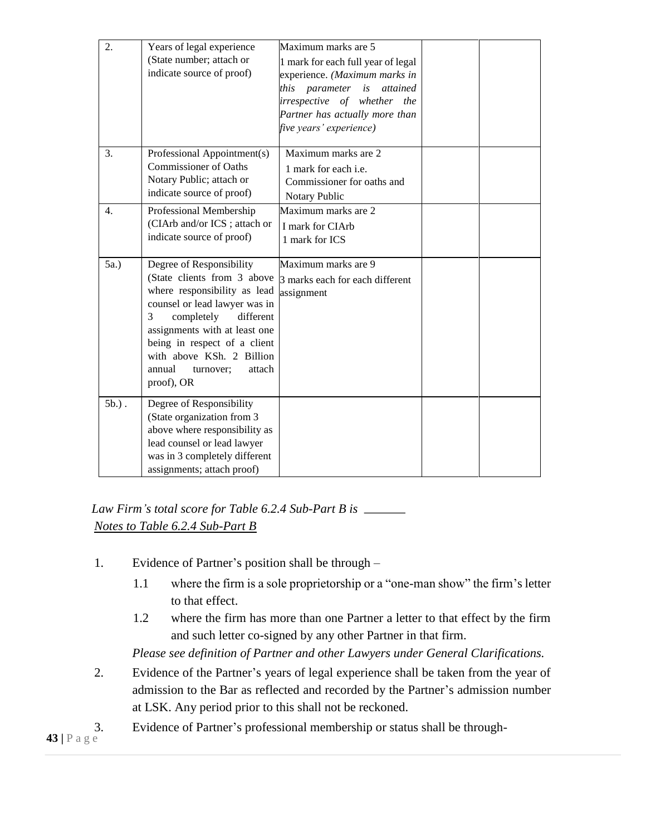| 2.       | Years of legal experience<br>(State number; attach or<br>indicate source of proof)                                                                                                                                                                                                                    | Maximum marks are 5<br>1 mark for each full year of legal<br>experience. (Maximum marks in<br>this<br>parameter<br>is<br>attained<br>irrespective of whether the<br>Partner has actually more than<br>five years' experience) |  |
|----------|-------------------------------------------------------------------------------------------------------------------------------------------------------------------------------------------------------------------------------------------------------------------------------------------------------|-------------------------------------------------------------------------------------------------------------------------------------------------------------------------------------------------------------------------------|--|
| 3.       | Professional Appointment(s)<br><b>Commissioner of Oaths</b><br>Notary Public; attach or<br>indicate source of proof)                                                                                                                                                                                  | Maximum marks are 2<br>1 mark for each i.e.<br>Commissioner for oaths and<br>Notary Public                                                                                                                                    |  |
| 4.       | Professional Membership<br>(CIArb and/or ICS; attach or<br>indicate source of proof)                                                                                                                                                                                                                  | Maximum marks are 2<br>I mark for CIArb<br>1 mark for ICS                                                                                                                                                                     |  |
| 5a.)     | Degree of Responsibility<br>(State clients from 3 above<br>where responsibility as lead<br>counsel or lead lawyer was in<br>3<br>completely<br>different<br>assignments with at least one<br>being in respect of a client<br>with above KSh. 2 Billion<br>annual<br>attach<br>turnover;<br>proof), OR | Maximum marks are 9<br>3 marks each for each different<br>assignment                                                                                                                                                          |  |
| $5b.$ ). | Degree of Responsibility<br>(State organization from 3)<br>above where responsibility as<br>lead counsel or lead lawyer<br>was in 3 completely different<br>assignments; attach proof)                                                                                                                |                                                                                                                                                                                                                               |  |

*Law Firm's total score for Table 6.2.4 Sub-Part B is Notes to Table 6.2.4 Sub-Part B*

- 1. Evidence of Partner's position shall be through
	- 1.1 where the firm is a sole proprietorship or a "one-man show" the firm's letter to that effect.
	- 1.2 where the firm has more than one Partner a letter to that effect by the firm and such letter co-signed by any other Partner in that firm.

*Please see definition of Partner and other Lawyers under General Clarifications.* 

- 2. Evidence of the Partner's years of legal experience shall be taken from the year of admission to the Bar as reflected and recorded by the Partner's admission number at LSK. Any period prior to this shall not be reckoned.
- 3. Evidence of Partner's professional membership or status shall be through-

**43** |  $P$  a g e  $\frac{3}{4}$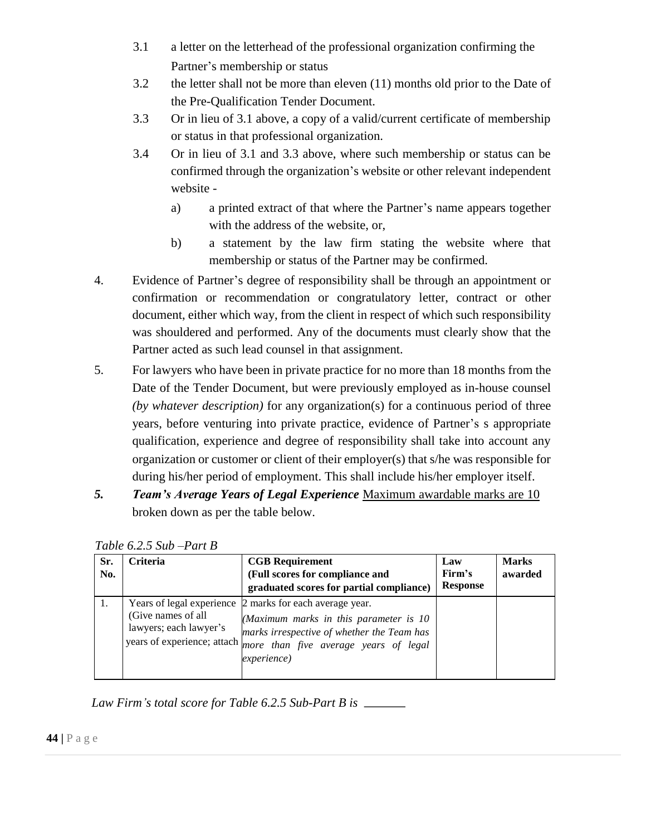- 3.1 a letter on the letterhead of the professional organization confirming the Partner's membership or status
- 3.2 the letter shall not be more than eleven (11) months old prior to the Date of the Pre-Qualification Tender Document.
- 3.3 Or in lieu of 3.1 above, a copy of a valid/current certificate of membership or status in that professional organization.
- 3.4 Or in lieu of 3.1 and 3.3 above, where such membership or status can be confirmed through the organization's website or other relevant independent website
	- a) a printed extract of that where the Partner's name appears together with the address of the website, or,
	- b) a statement by the law firm stating the website where that membership or status of the Partner may be confirmed.
- 4. Evidence of Partner's degree of responsibility shall be through an appointment or confirmation or recommendation or congratulatory letter, contract or other document, either which way, from the client in respect of which such responsibility was shouldered and performed. Any of the documents must clearly show that the Partner acted as such lead counsel in that assignment.
- 5. For lawyers who have been in private practice for no more than 18 months from the Date of the Tender Document, but were previously employed as in-house counsel *(by whatever description)* for any organization(s) for a continuous period of three years, before venturing into private practice, evidence of Partner's s appropriate qualification, experience and degree of responsibility shall take into account any organization or customer or client of their employer(s) that s/he was responsible for during his/her period of employment. This shall include his/her employer itself.
- *5. Team's Average Years of Legal Experience* Maximum awardable marks are 10 broken down as per the table below.

| Sr.<br>No. | <b>Criteria</b>                              | <b>CGB</b> Requirement<br>(Full scores for compliance and<br>graduated scores for partial compliance)                                                                                                                                       | Law<br>Firm's<br><b>Response</b> | <b>Marks</b><br>awarded |
|------------|----------------------------------------------|---------------------------------------------------------------------------------------------------------------------------------------------------------------------------------------------------------------------------------------------|----------------------------------|-------------------------|
|            | (Give names of all<br>lawyers; each lawyer's | Years of legal experience 2 marks for each average year.<br>(Maximum marks in this parameter is 10<br>marks irrespective of whether the Team has<br>years of experience; attach <i>more than five average years of legal</i><br>experience) |                                  |                         |

*Table 6.2.5 Sub –Part B* 

*Law Firm's total score for Table 6.2.5 Sub-Part B is*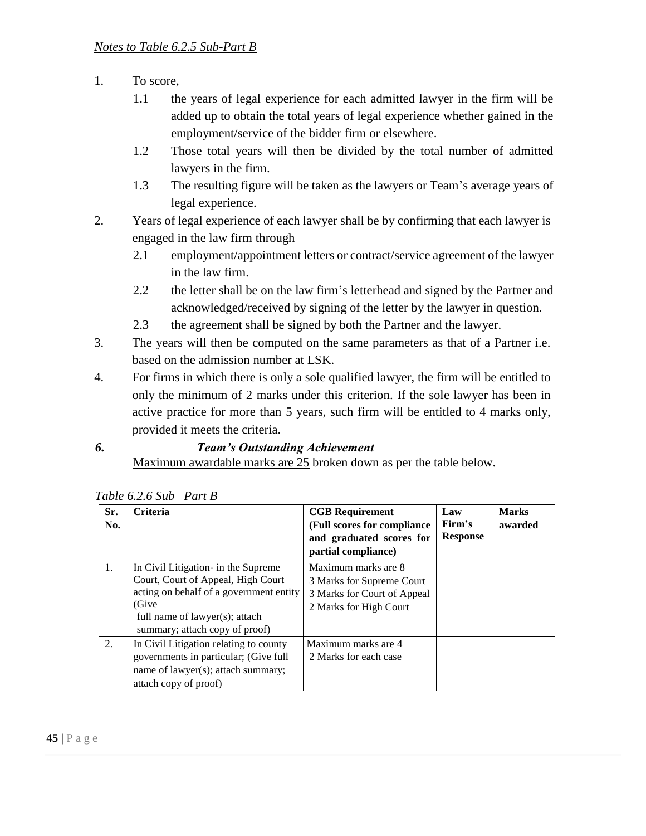- 1. To score,
	- 1.1 the years of legal experience for each admitted lawyer in the firm will be added up to obtain the total years of legal experience whether gained in the employment/service of the bidder firm or elsewhere.
	- 1.2 Those total years will then be divided by the total number of admitted lawyers in the firm.
	- 1.3 The resulting figure will be taken as the lawyers or Team's average years of legal experience.
- 2. Years of legal experience of each lawyer shall be by confirming that each lawyer is engaged in the law firm through –
	- 2.1 employment/appointment letters or contract/service agreement of the lawyer in the law firm.
	- 2.2 the letter shall be on the law firm's letterhead and signed by the Partner and acknowledged/received by signing of the letter by the lawyer in question.
	- 2.3 the agreement shall be signed by both the Partner and the lawyer.
- 3. The years will then be computed on the same parameters as that of a Partner i.e. based on the admission number at LSK.
- 4. For firms in which there is only a sole qualified lawyer, the firm will be entitled to only the minimum of 2 marks under this criterion. If the sole lawyer has been in active practice for more than 5 years, such firm will be entitled to 4 marks only, provided it meets the criteria.
- *6. Team's Outstanding Achievement*

Maximum awardable marks are 25 broken down as per the table below.

| Sr.<br>No. | <b>Criteria</b>                                                                                                                                                                                   | <b>CGB</b> Requirement<br>(Full scores for compliance<br>and graduated scores for<br>partial compliance)  | Law<br>Firm's<br><b>Response</b> | <b>Marks</b><br>awarded |
|------------|---------------------------------------------------------------------------------------------------------------------------------------------------------------------------------------------------|-----------------------------------------------------------------------------------------------------------|----------------------------------|-------------------------|
| 1.         | In Civil Litigation- in the Supreme<br>Court, Court of Appeal, High Court<br>acting on behalf of a government entity<br>(Give<br>full name of lawyer(s); attach<br>summary; attach copy of proof) | Maximum marks are 8<br>3 Marks for Supreme Court<br>3 Marks for Court of Appeal<br>2 Marks for High Court |                                  |                         |
| 2.         | In Civil Litigation relating to county<br>governments in particular; (Give full<br>name of lawyer(s); attach summary;<br>attach copy of proof)                                                    | Maximum marks are 4<br>2 Marks for each case                                                              |                                  |                         |

| Table 6.2.6 Sub –Part B |
|-------------------------|
|-------------------------|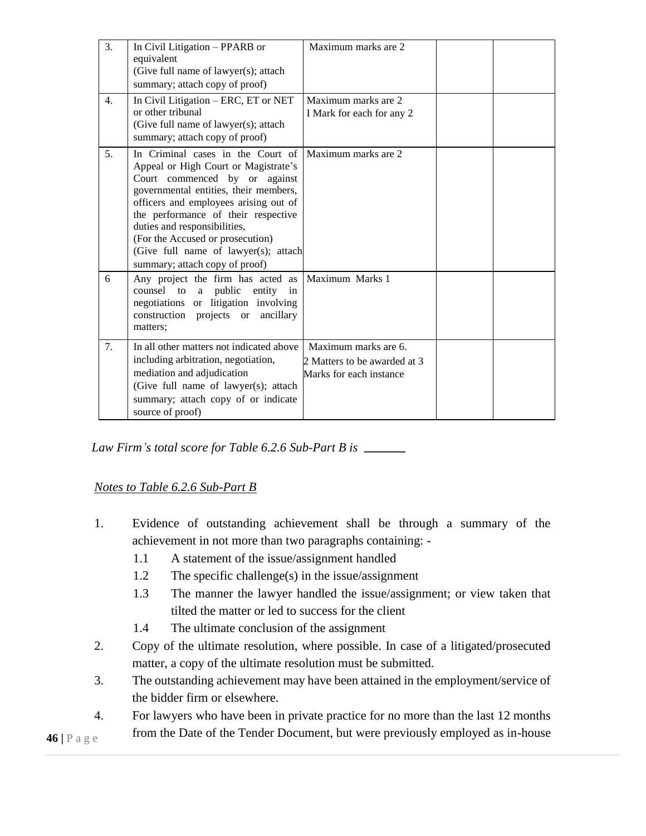| 3.             | In Civil Litigation - PPARB or<br>equivalent<br>(Give full name of lawyer(s); attach<br>summary; attach copy of proof)                                                                                                                                                                                                                                                            | Maximum marks are 2                                                             |  |
|----------------|-----------------------------------------------------------------------------------------------------------------------------------------------------------------------------------------------------------------------------------------------------------------------------------------------------------------------------------------------------------------------------------|---------------------------------------------------------------------------------|--|
| 4.             | In Civil Litigation - ERC, ET or NET<br>or other tribunal<br>(Give full name of lawyer(s); attach<br>summary; attach copy of proof)                                                                                                                                                                                                                                               | Maximum marks are 2<br>I Mark for each for any 2                                |  |
| 5 <sub>1</sub> | In Criminal cases in the Court of<br>Appeal or High Court or Magistrate's<br>Court commenced by or against<br>governmental entities, their members,<br>officers and employees arising out of<br>the performance of their respective<br>duties and responsibilities,<br>(For the Accused or prosecution)<br>(Give full name of lawyer(s); attach<br>summary; attach copy of proof) | Maximum marks are 2                                                             |  |
| 6              | Any project the firm has acted as<br>counsel to a public entity in<br>negotiations or litigation involving<br>construction projects or ancillary<br>matters;                                                                                                                                                                                                                      | Maximum Marks 1                                                                 |  |
| 7.             | In all other matters not indicated above<br>including arbitration, negotiation,<br>mediation and adjudication<br>(Give full name of lawyer(s); attach<br>summary; attach copy of or indicate<br>source of proof)                                                                                                                                                                  | Maximum marks are 6.<br>2 Matters to be awarded at 3<br>Marks for each instance |  |

*Law Firm's total score for Table 6.2.6 Sub-Part B is* 

### *Notes to Table 6.2.6 Sub-Part B*

- 1. Evidence of outstanding achievement shall be through a summary of the achievement in not more than two paragraphs containing: -
	- 1.1 A statement of the issue/assignment handled
	- 1.2 The specific challenge(s) in the issue/assignment
	- 1.3 The manner the lawyer handled the issue/assignment; or view taken that tilted the matter or led to success for the client
	- 1.4 The ultimate conclusion of the assignment
- 2. Copy of the ultimate resolution, where possible. In case of a litigated/prosecuted matter, a copy of the ultimate resolution must be submitted.
- 3. The outstanding achievement may have been attained in the employment/service of the bidder firm or elsewhere.
- 4. For lawyers who have been in private practice for no more than the last 12 months from the Date of the Tender Document, but were previously employed as in-house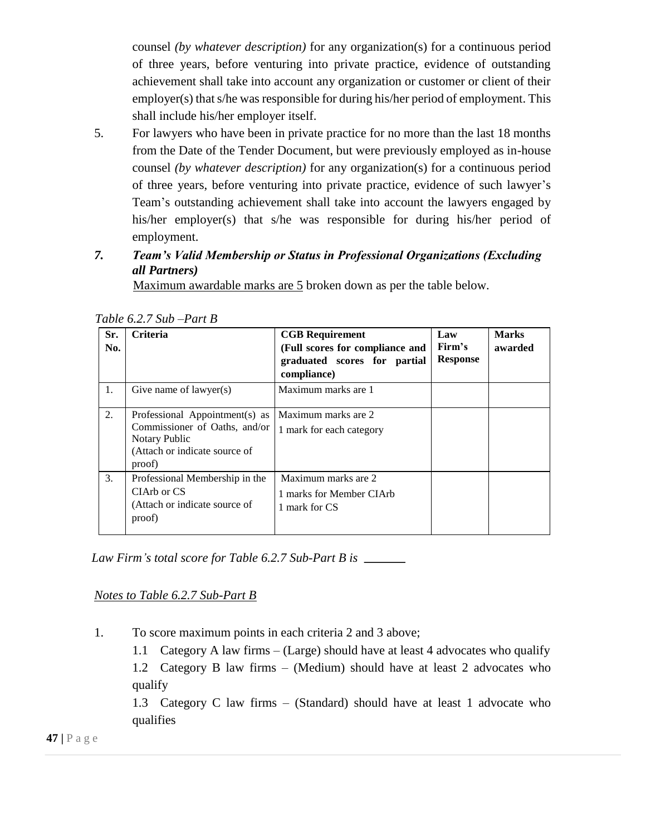counsel *(by whatever description)* for any organization(s) for a continuous period of three years, before venturing into private practice, evidence of outstanding achievement shall take into account any organization or customer or client of their employer(s) that s/he was responsible for during his/her period of employment. This shall include his/her employer itself.

5. For lawyers who have been in private practice for no more than the last 18 months from the Date of the Tender Document, but were previously employed as in-house counsel *(by whatever description)* for any organization(s) for a continuous period of three years, before venturing into private practice, evidence of such lawyer's Team's outstanding achievement shall take into account the lawyers engaged by his/her employer(s) that s/he was responsible for during his/her period of employment.

# *7. Team's Valid Membership or Status in Professional Organizations (Excluding all Partners)*

Maximum awardable marks are 5 broken down as per the table below.

| Sr.<br>No. | <b>Criteria</b>                                                                                                             | <b>CGB Requirement</b><br>(Full scores for compliance and<br>graduated scores for partial<br>compliance) | Law<br>Firm's<br><b>Response</b> | <b>Marks</b><br>awarded |
|------------|-----------------------------------------------------------------------------------------------------------------------------|----------------------------------------------------------------------------------------------------------|----------------------------------|-------------------------|
| 1.         | Give name of lawyer(s)                                                                                                      | Maximum marks are 1                                                                                      |                                  |                         |
| 2.         | Professional Appointment(s) as<br>Commissioner of Oaths, and/or<br>Notary Public<br>(Attach or indicate source of<br>proof) | Maximum marks are 2<br>1 mark for each category                                                          |                                  |                         |
| 3.         | Professional Membership in the<br>CIArb or CS<br>(Attach or indicate source of<br>proof)                                    | Maximum marks are 2<br>1 marks for Member CIArb<br>1 mark for CS                                         |                                  |                         |

*Law Firm's total score for Table 6.2.7 Sub-Part B is* 

*Notes to Table 6.2.7 Sub-Part B*

1. To score maximum points in each criteria 2 and 3 above;

1.1 Category A law firms – (Large) should have at least 4 advocates who qualify

1.2 Category B law firms – (Medium) should have at least 2 advocates who qualify

1.3 Category C law firms – (Standard) should have at least 1 advocate who qualifies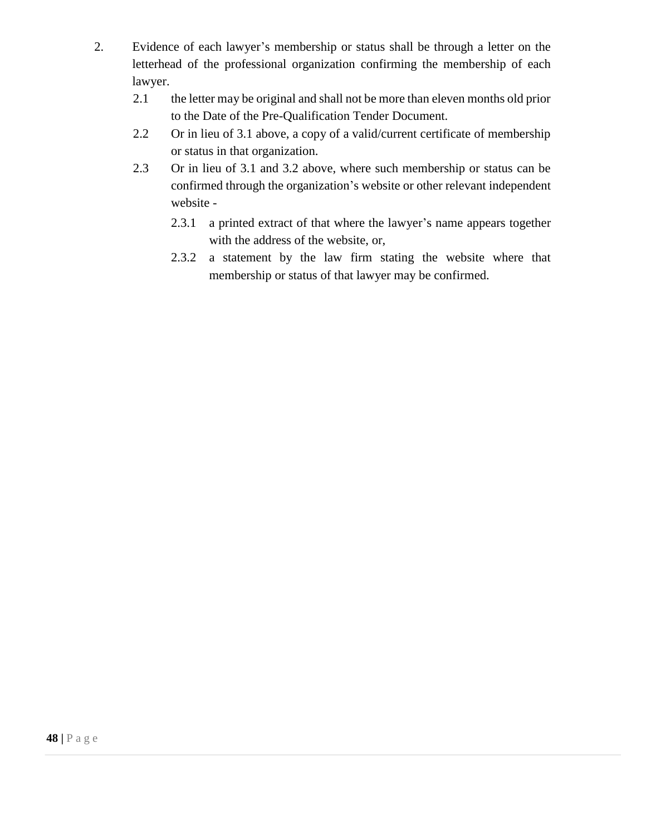- 2. Evidence of each lawyer's membership or status shall be through a letter on the letterhead of the professional organization confirming the membership of each lawyer.
	- 2.1 the letter may be original and shall not be more than eleven months old prior to the Date of the Pre-Qualification Tender Document.
	- 2.2 Or in lieu of 3.1 above, a copy of a valid/current certificate of membership or status in that organization.
	- 2.3 Or in lieu of 3.1 and 3.2 above, where such membership or status can be confirmed through the organization's website or other relevant independent website -
		- 2.3.1 a printed extract of that where the lawyer's name appears together with the address of the website, or,
		- 2.3.2 a statement by the law firm stating the website where that membership or status of that lawyer may be confirmed.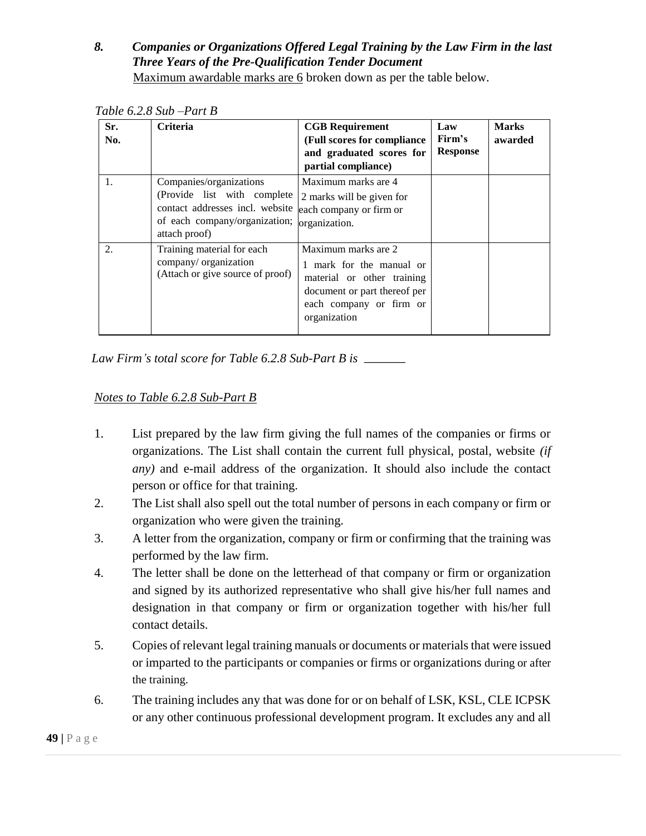#### *8. Companies or Organizations Offered Legal Training by the Law Firm in the last Three Years of the Pre-Qualification Tender Document*  Maximum awardable marks are 6 broken down as per the table below.

| Sr.<br>No. | <b>Criteria</b>                                                                                                                              | <b>CGB</b> Requirement<br>(Full scores for compliance<br>and graduated scores for<br>partial compliance)                                               | Law<br>Firm's<br><b>Response</b> | <b>Marks</b><br>awarded |
|------------|----------------------------------------------------------------------------------------------------------------------------------------------|--------------------------------------------------------------------------------------------------------------------------------------------------------|----------------------------------|-------------------------|
| 1.         | Companies/organizations<br>(Provide list with complete)<br>contact addresses incl. website<br>of each company/organization;<br>attach proof) | Maximum marks are 4<br>2 marks will be given for<br>each company or firm or<br>organization.                                                           |                                  |                         |
| 2.         | Training material for each<br>company/ organization<br>(Attach or give source of proof)                                                      | Maximum marks are 2<br>mark for the manual or<br>material or other training<br>document or part thereof per<br>each company or firm or<br>organization |                                  |                         |

*Table 6.2.8 Sub –Part B* 

*Law Firm's total score for Table 6.2.8 Sub-Part B is* 

#### *Notes to Table 6.2.8 Sub-Part B*

- 1. List prepared by the law firm giving the full names of the companies or firms or organizations. The List shall contain the current full physical, postal, website *(if any)* and e-mail address of the organization. It should also include the contact person or office for that training.
- 2. The List shall also spell out the total number of persons in each company or firm or organization who were given the training.
- 3. A letter from the organization, company or firm or confirming that the training was performed by the law firm.
- 4. The letter shall be done on the letterhead of that company or firm or organization and signed by its authorized representative who shall give his/her full names and designation in that company or firm or organization together with his/her full contact details.
- 5. Copies of relevant legal training manuals or documents or materials that were issued or imparted to the participants or companies or firms or organizations during or after the training.
- 6. The training includes any that was done for or on behalf of LSK, KSL, CLE ICPSK or any other continuous professional development program. It excludes any and all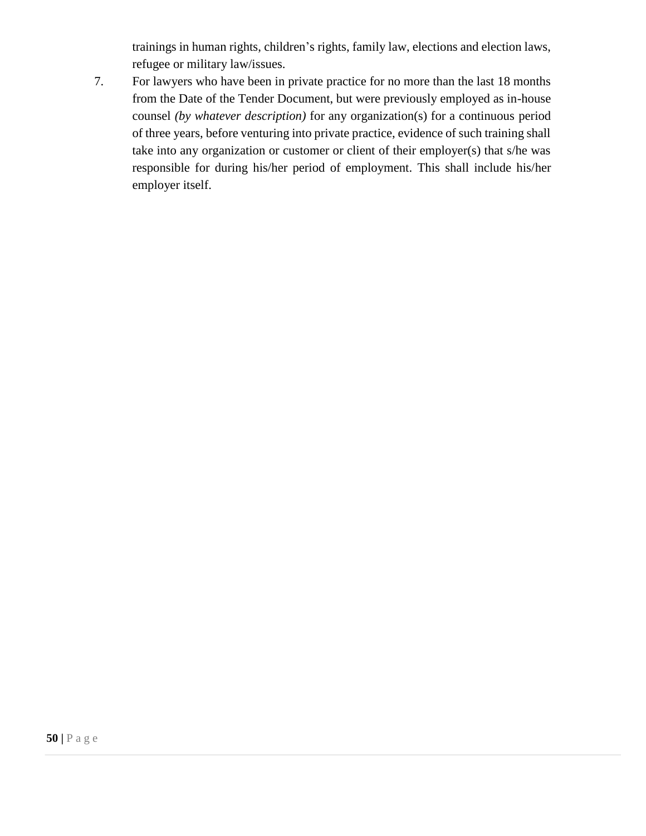trainings in human rights, children's rights, family law, elections and election laws, refugee or military law/issues.

7. For lawyers who have been in private practice for no more than the last 18 months from the Date of the Tender Document, but were previously employed as in-house counsel *(by whatever description)* for any organization(s) for a continuous period of three years, before venturing into private practice, evidence of such training shall take into any organization or customer or client of their employer(s) that s/he was responsible for during his/her period of employment. This shall include his/her employer itself.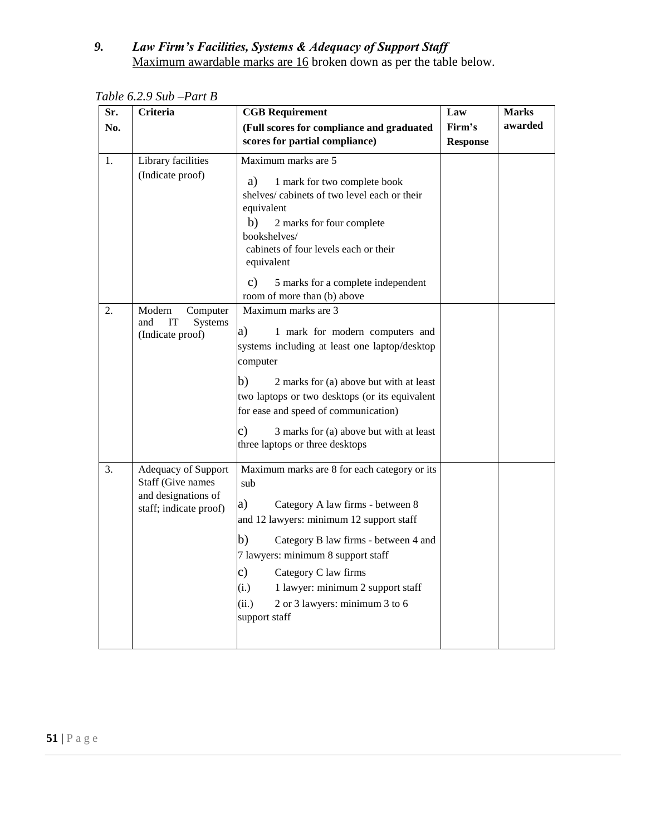#### *9. Law Firm's Facilities, Systems & Adequacy of Support Staff*  Maximum awardable marks are 16 broken down as per the table below.

| Sr. | <b>Criteria</b>                                                                           | <b>CGB Requirement</b>                                                                                                                                                                                                                                                                                                                                               | Law                       | <b>Marks</b> |
|-----|-------------------------------------------------------------------------------------------|----------------------------------------------------------------------------------------------------------------------------------------------------------------------------------------------------------------------------------------------------------------------------------------------------------------------------------------------------------------------|---------------------------|--------------|
| No. |                                                                                           | (Full scores for compliance and graduated<br>scores for partial compliance)                                                                                                                                                                                                                                                                                          | Firm's<br><b>Response</b> | awarded      |
| 1.  | Library facilities<br>(Indicate proof)                                                    | Maximum marks are 5<br>a)<br>1 mark for two complete book<br>shelves/cabinets of two level each or their<br>equivalent<br>b)<br>2 marks for four complete<br>bookshelves/<br>cabinets of four levels each or their<br>equivalent<br>$\mathbf{c})$<br>5 marks for a complete independent<br>room of more than (b) above                                               |                           |              |
| 2.  | Modern<br>Computer<br>and<br>IT<br>Systems<br>(Indicate proof)                            | Maximum marks are 3<br>a)<br>1 mark for modern computers and<br>systems including at least one laptop/desktop<br>computer<br>b)<br>2 marks for (a) above but with at least<br>two laptops or two desktops (or its equivalent<br>for ease and speed of communication)<br>$\mathbf{c})$<br>3 marks for (a) above but with at least<br>three laptops or three desktops  |                           |              |
| 3.  | Adequacy of Support<br>Staff (Give names<br>and designations of<br>staff; indicate proof) | Maximum marks are 8 for each category or its<br>sub<br>a)<br>Category A law firms - between 8<br>and 12 lawyers: minimum 12 support staff<br>b)<br>Category B law firms - between 4 and<br>7 lawyers: minimum 8 support staff<br>c)<br>Category C law firms<br>(i.)<br>1 lawyer: minimum 2 support staff<br>(ii.)<br>2 or 3 lawyers: minimum 3 to 6<br>support staff |                           |              |

*Table 6.2.9 Sub –Part B*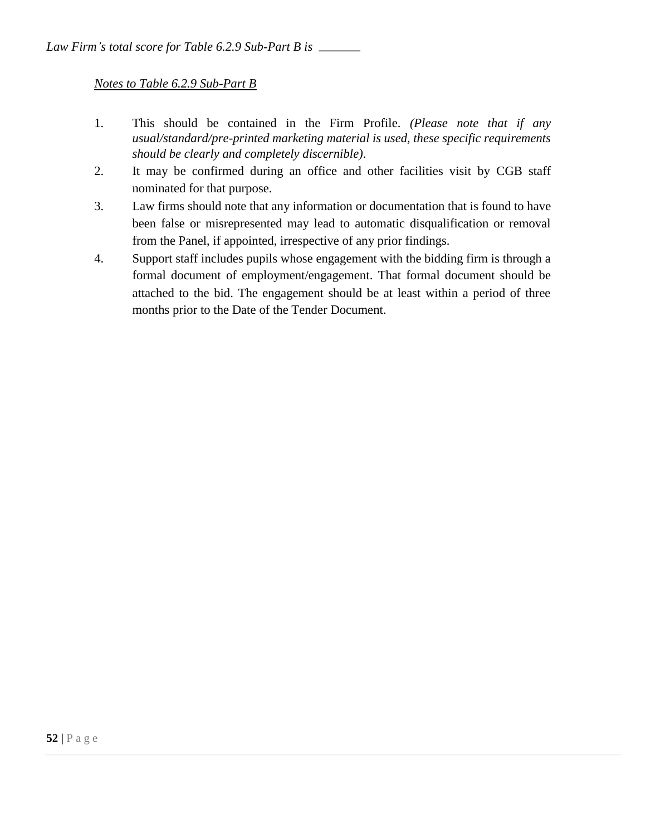### *Notes to Table 6.2.9 Sub-Part B*

- 1. This should be contained in the Firm Profile. *(Please note that if any usual/standard/pre-printed marketing material is used, these specific requirements should be clearly and completely discernible)*.
- 2. It may be confirmed during an office and other facilities visit by CGB staff nominated for that purpose.
- 3. Law firms should note that any information or documentation that is found to have been false or misrepresented may lead to automatic disqualification or removal from the Panel, if appointed, irrespective of any prior findings.
- 4. Support staff includes pupils whose engagement with the bidding firm is through a formal document of employment/engagement. That formal document should be attached to the bid. The engagement should be at least within a period of three months prior to the Date of the Tender Document.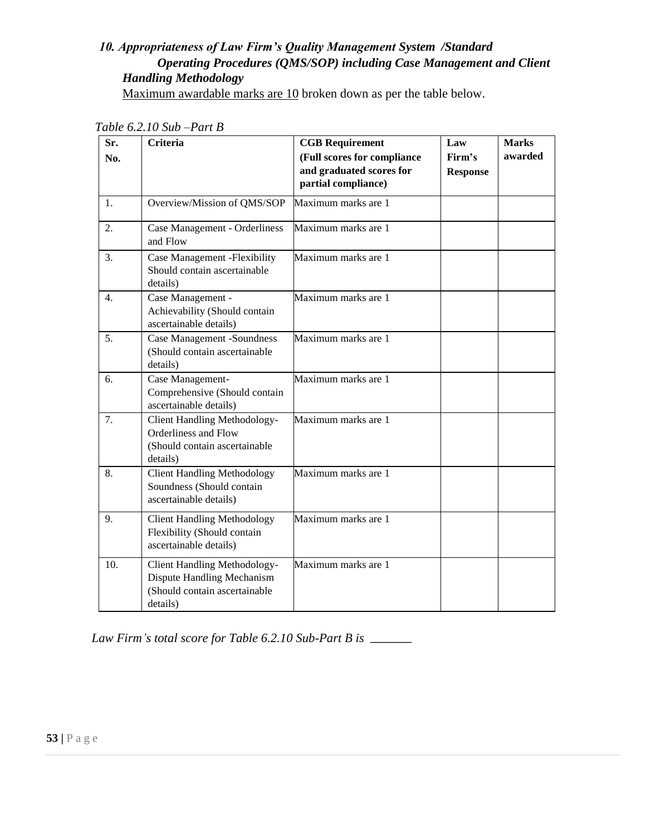### *10. Appropriateness of Law Firm's Quality Management System /Standard Operating Procedures (QMS/SOP) including Case Management and Client Handling Methodology*

Maximum awardable marks are 10 broken down as per the table below.

| Sr.<br>No. | Criteria                                                                                                | <b>CGB Requirement</b><br>(Full scores for compliance<br>and graduated scores for<br>partial compliance) | Law<br>Firm's<br><b>Response</b> | <b>Marks</b><br>awarded |
|------------|---------------------------------------------------------------------------------------------------------|----------------------------------------------------------------------------------------------------------|----------------------------------|-------------------------|
| 1.         | Overview/Mission of QMS/SOP                                                                             | Maximum marks are 1                                                                                      |                                  |                         |
| 2.         | Case Management - Orderliness<br>and Flow                                                               | Maximum marks are 1                                                                                      |                                  |                         |
| 3.         | Case Management - Flexibility<br>Should contain ascertainable<br>details)                               | Maximum marks are 1                                                                                      |                                  |                         |
| 4.         | Case Management -<br>Achievability (Should contain<br>ascertainable details)                            | Maximum marks are 1                                                                                      |                                  |                         |
| 5.         | <b>Case Management -Soundness</b><br>(Should contain ascertainable<br>details)                          | Maximum marks are 1                                                                                      |                                  |                         |
| 6.         | Case Management-<br>Comprehensive (Should contain<br>ascertainable details)                             | Maximum marks are 1                                                                                      |                                  |                         |
| 7.         | Client Handling Methodology-<br>Orderliness and Flow<br>(Should contain ascertainable<br>details)       | Maximum marks are 1                                                                                      |                                  |                         |
| 8.         | <b>Client Handling Methodology</b><br>Soundness (Should contain<br>ascertainable details)               | Maximum marks are 1                                                                                      |                                  |                         |
| 9.         | <b>Client Handling Methodology</b><br>Flexibility (Should contain<br>ascertainable details)             | Maximum marks are 1                                                                                      |                                  |                         |
| 10.        | Client Handling Methodology-<br>Dispute Handling Mechanism<br>(Should contain ascertainable<br>details) | Maximum marks are 1                                                                                      |                                  |                         |

*Table 6.2.10 Sub –Part B* 

*Law Firm's total score for Table 6.2.10 Sub-Part B is*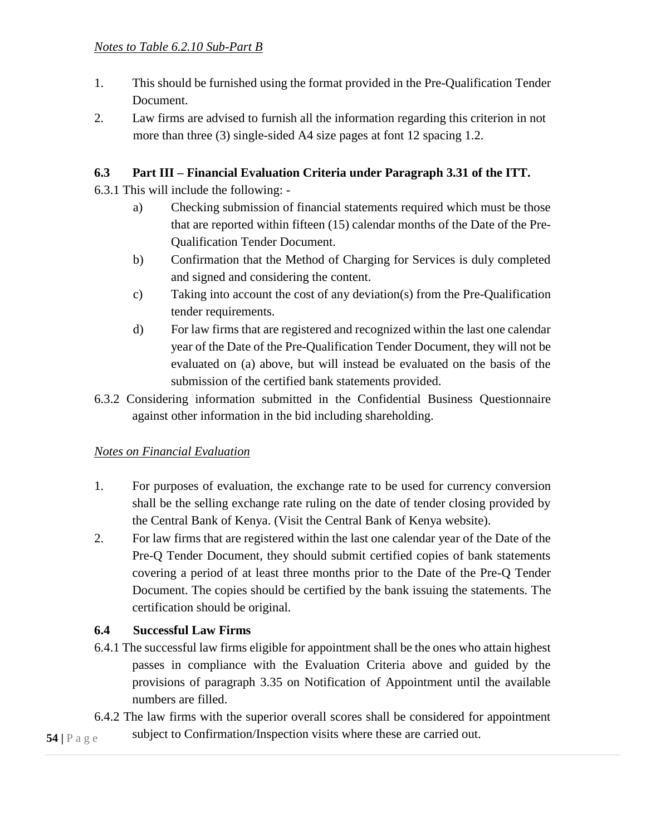- 1. This should be furnished using the format provided in the Pre-Qualification Tender Document.
- 2. Law firms are advised to furnish all the information regarding this criterion in not more than three (3) single-sided A4 size pages at font 12 spacing 1.2.

### **6.3 Part III – Financial Evaluation Criteria under Paragraph 3.31 of the ITT.**

6.3.1 This will include the following: -

- a) Checking submission of financial statements required which must be those that are reported within fifteen (15) calendar months of the Date of the Pre-Qualification Tender Document.
- b) Confirmation that the Method of Charging for Services is duly completed and signed and considering the content.
- c) Taking into account the cost of any deviation(s) from the Pre-Qualification tender requirements.
- d) For law firms that are registered and recognized within the last one calendar year of the Date of the Pre-Qualification Tender Document, they will not be evaluated on (a) above, but will instead be evaluated on the basis of the submission of the certified bank statements provided.
- 6.3.2 Considering information submitted in the Confidential Business Questionnaire against other information in the bid including shareholding.

### *Notes on Financial Evaluation*

- 1. For purposes of evaluation, the exchange rate to be used for currency conversion shall be the selling exchange rate ruling on the date of tender closing provided by the Central Bank of Kenya. (Visit the Central Bank of Kenya website).
- 2. For law firms that are registered within the last one calendar year of the Date of the Pre-Q Tender Document, they should submit certified copies of bank statements covering a period of at least three months prior to the Date of the Pre-Q Tender Document. The copies should be certified by the bank issuing the statements. The certification should be original.

### **6.4 Successful Law Firms**

- 6.4.1 The successful law firms eligible for appointment shall be the ones who attain highest passes in compliance with the Evaluation Criteria above and guided by the provisions of paragraph 3.35 on Notification of Appointment until the available numbers are filled.
- **54 |** P a g e 6.4.2 The law firms with the superior overall scores shall be considered for appointment subject to Confirmation/Inspection visits where these are carried out.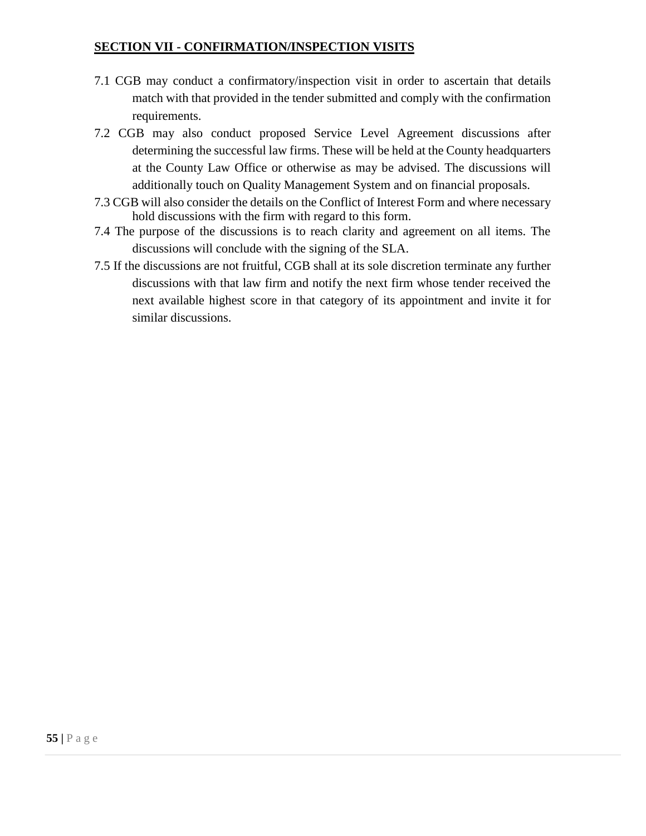### **SECTION VII - CONFIRMATION/INSPECTION VISITS**

- 7.1 CGB may conduct a confirmatory/inspection visit in order to ascertain that details match with that provided in the tender submitted and comply with the confirmation requirements.
- 7.2 CGB may also conduct proposed Service Level Agreement discussions after determining the successful law firms. These will be held at the County headquarters at the County Law Office or otherwise as may be advised. The discussions will additionally touch on Quality Management System and on financial proposals.
- 7.3 CGB will also consider the details on the Conflict of Interest Form and where necessary hold discussions with the firm with regard to this form.
- 7.4 The purpose of the discussions is to reach clarity and agreement on all items. The discussions will conclude with the signing of the SLA.
- 7.5 If the discussions are not fruitful, CGB shall at its sole discretion terminate any further discussions with that law firm and notify the next firm whose tender received the next available highest score in that category of its appointment and invite it for similar discussions.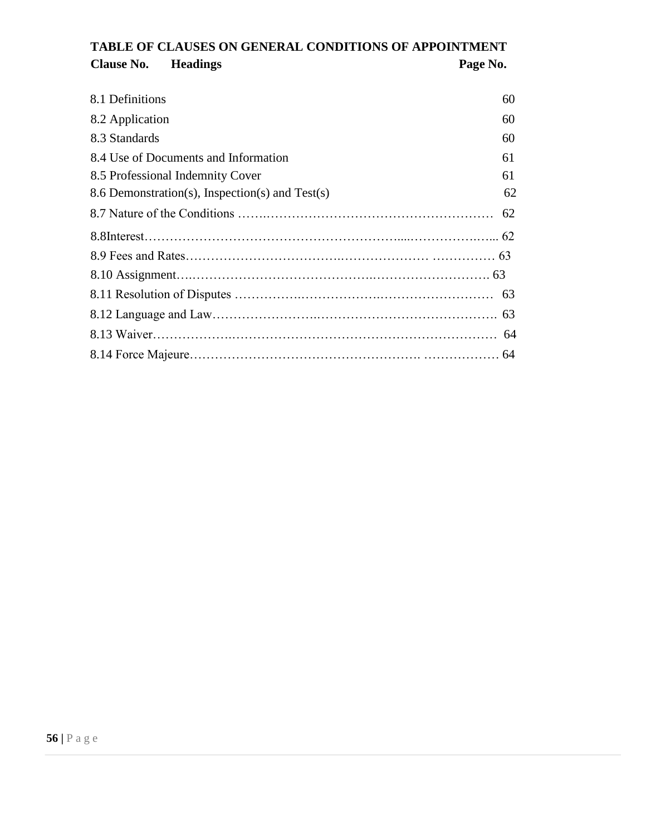# **TABLE OF CLAUSES ON GENERAL CONDITIONS OF APPOINTMENT**  Clause No. **Headings Page No.**

| 8.1 Definitions                                 | 60 |
|-------------------------------------------------|----|
| 8.2 Application                                 | 60 |
| 8.3 Standards                                   | 60 |
| 8.4 Use of Documents and Information            | 61 |
| 8.5 Professional Indemnity Cover                | 61 |
| 8.6 Demonstration(s), Inspection(s) and Test(s) | 62 |
|                                                 |    |
|                                                 |    |
|                                                 |    |
|                                                 |    |
|                                                 |    |
|                                                 |    |
|                                                 |    |
|                                                 |    |
|                                                 |    |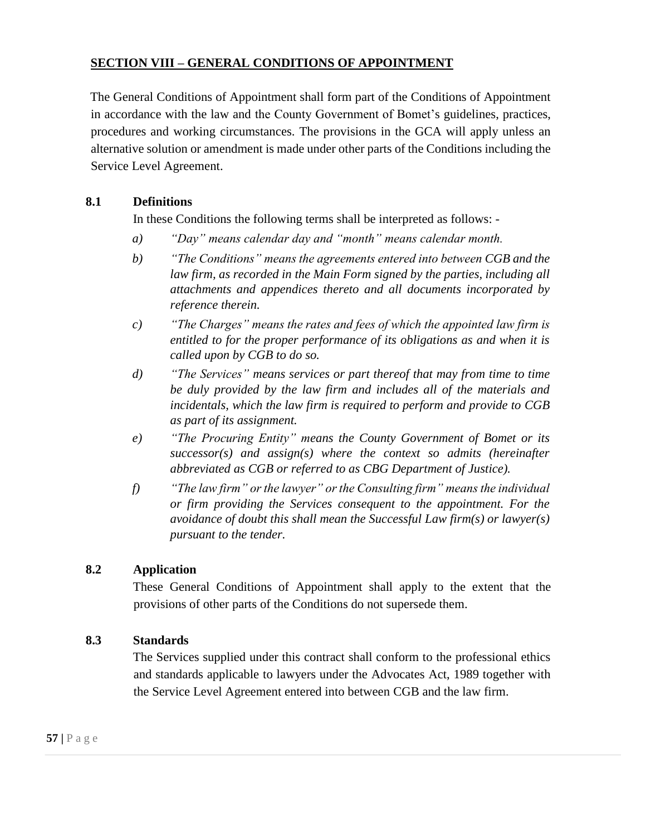### **SECTION VIII – GENERAL CONDITIONS OF APPOINTMENT**

The General Conditions of Appointment shall form part of the Conditions of Appointment in accordance with the law and the County Government of Bomet's guidelines, practices, procedures and working circumstances. The provisions in the GCA will apply unless an alternative solution or amendment is made under other parts of the Conditions including the Service Level Agreement.

#### **8.1 Definitions**

In these Conditions the following terms shall be interpreted as follows: -

- *a) "Day" means calendar day and "month" means calendar month.*
- *b) "The Conditions" means the agreements entered into between CGB and the law firm, as recorded in the Main Form signed by the parties, including all attachments and appendices thereto and all documents incorporated by reference therein.*
- *c) "The Charges" means the rates and fees of which the appointed law firm is entitled to for the proper performance of its obligations as and when it is called upon by CGB to do so.*
- *d) "The Services" means services or part thereof that may from time to time be duly provided by the law firm and includes all of the materials and incidentals, which the law firm is required to perform and provide to CGB as part of its assignment.*
- *e) "The Procuring Entity" means the County Government of Bomet or its successor(s) and assign(s) where the context so admits (hereinafter abbreviated as CGB or referred to as CBG Department of Justice).*
- *f) "The law firm" or the lawyer" or the Consulting firm" means the individual or firm providing the Services consequent to the appointment. For the avoidance of doubt this shall mean the Successful Law firm(s) or lawyer(s) pursuant to the tender.*

### **8.2 Application**

These General Conditions of Appointment shall apply to the extent that the provisions of other parts of the Conditions do not supersede them.

#### **8.3 Standards**

The Services supplied under this contract shall conform to the professional ethics and standards applicable to lawyers under the Advocates Act, 1989 together with the Service Level Agreement entered into between CGB and the law firm.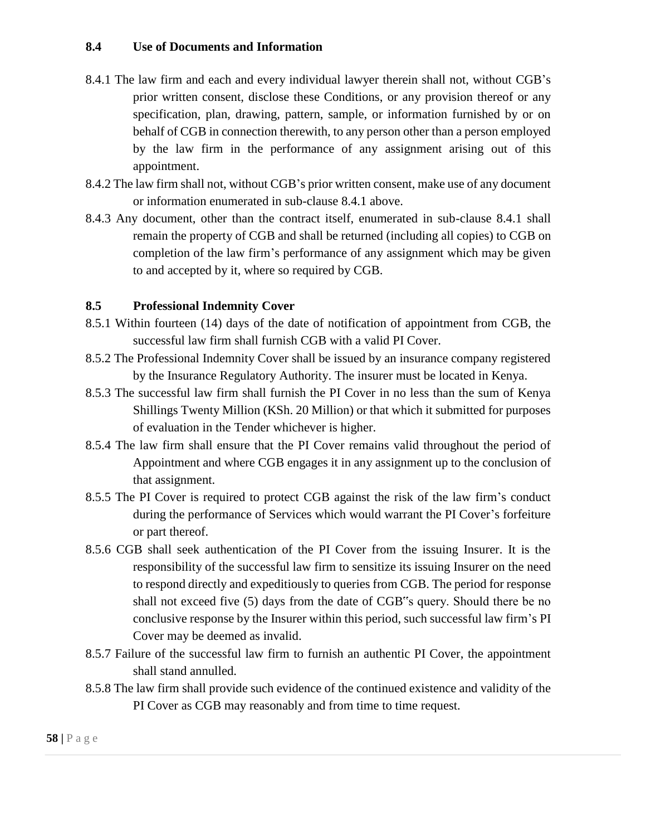#### **8.4 Use of Documents and Information**

- 8.4.1 The law firm and each and every individual lawyer therein shall not, without CGB's prior written consent, disclose these Conditions, or any provision thereof or any specification, plan, drawing, pattern, sample, or information furnished by or on behalf of CGB in connection therewith, to any person other than a person employed by the law firm in the performance of any assignment arising out of this appointment.
- 8.4.2 The law firm shall not, without CGB's prior written consent, make use of any document or information enumerated in sub-clause 8.4.1 above.
- 8.4.3 Any document, other than the contract itself, enumerated in sub-clause 8.4.1 shall remain the property of CGB and shall be returned (including all copies) to CGB on completion of the law firm's performance of any assignment which may be given to and accepted by it, where so required by CGB.

#### **8.5 Professional Indemnity Cover**

- 8.5.1 Within fourteen (14) days of the date of notification of appointment from CGB, the successful law firm shall furnish CGB with a valid PI Cover.
- 8.5.2 The Professional Indemnity Cover shall be issued by an insurance company registered by the Insurance Regulatory Authority. The insurer must be located in Kenya.
- 8.5.3 The successful law firm shall furnish the PI Cover in no less than the sum of Kenya Shillings Twenty Million (KSh. 20 Million) or that which it submitted for purposes of evaluation in the Tender whichever is higher.
- 8.5.4 The law firm shall ensure that the PI Cover remains valid throughout the period of Appointment and where CGB engages it in any assignment up to the conclusion of that assignment.
- 8.5.5 The PI Cover is required to protect CGB against the risk of the law firm's conduct during the performance of Services which would warrant the PI Cover's forfeiture or part thereof.
- 8.5.6 CGB shall seek authentication of the PI Cover from the issuing Insurer. It is the responsibility of the successful law firm to sensitize its issuing Insurer on the need to respond directly and expeditiously to queries from CGB. The period for response shall not exceed five (5) days from the date of CGB"s query. Should there be no conclusive response by the Insurer within this period, such successful law firm's PI Cover may be deemed as invalid.
- 8.5.7 Failure of the successful law firm to furnish an authentic PI Cover, the appointment shall stand annulled.
- 8.5.8 The law firm shall provide such evidence of the continued existence and validity of the PI Cover as CGB may reasonably and from time to time request.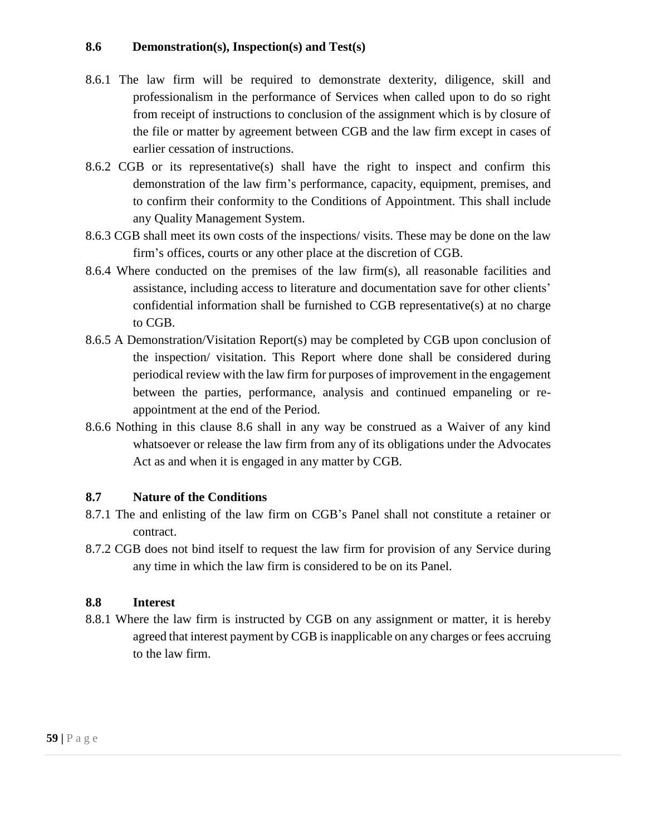#### **8.6 Demonstration(s), Inspection(s) and Test(s)**

- 8.6.1 The law firm will be required to demonstrate dexterity, diligence, skill and professionalism in the performance of Services when called upon to do so right from receipt of instructions to conclusion of the assignment which is by closure of the file or matter by agreement between CGB and the law firm except in cases of earlier cessation of instructions.
- 8.6.2 CGB or its representative(s) shall have the right to inspect and confirm this demonstration of the law firm's performance, capacity, equipment, premises, and to confirm their conformity to the Conditions of Appointment. This shall include any Quality Management System.
- 8.6.3 CGB shall meet its own costs of the inspections/ visits. These may be done on the law firm's offices, courts or any other place at the discretion of CGB.
- 8.6.4 Where conducted on the premises of the law firm(s), all reasonable facilities and assistance, including access to literature and documentation save for other clients' confidential information shall be furnished to CGB representative(s) at no charge to CGB.
- 8.6.5 A Demonstration/Visitation Report(s) may be completed by CGB upon conclusion of the inspection/ visitation. This Report where done shall be considered during periodical review with the law firm for purposes of improvement in the engagement between the parties, performance, analysis and continued empaneling or reappointment at the end of the Period.
- 8.6.6 Nothing in this clause 8.6 shall in any way be construed as a Waiver of any kind whatsoever or release the law firm from any of its obligations under the Advocates Act as and when it is engaged in any matter by CGB.

#### **8.7 Nature of the Conditions**

- 8.7.1 The and enlisting of the law firm on CGB's Panel shall not constitute a retainer or contract.
- 8.7.2 CGB does not bind itself to request the law firm for provision of any Service during any time in which the law firm is considered to be on its Panel.

#### **8.8 Interest**

8.8.1 Where the law firm is instructed by CGB on any assignment or matter, it is hereby agreed that interest payment by CGB is inapplicable on any charges or fees accruing to the law firm.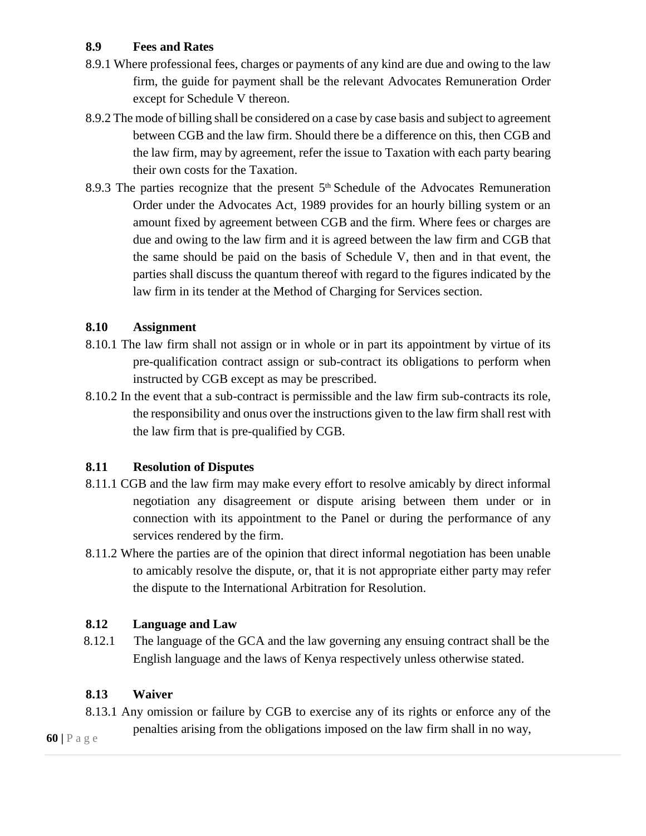### **8.9 Fees and Rates**

- 8.9.1 Where professional fees, charges or payments of any kind are due and owing to the law firm, the guide for payment shall be the relevant Advocates Remuneration Order except for Schedule V thereon.
- 8.9.2 The mode of billing shall be considered on a case by case basis and subject to agreement between CGB and the law firm. Should there be a difference on this, then CGB and the law firm, may by agreement, refer the issue to Taxation with each party bearing their own costs for the Taxation.
- 8.9.3 The parties recognize that the present 5<sup>th</sup> Schedule of the Advocates Remuneration Order under the Advocates Act, 1989 provides for an hourly billing system or an amount fixed by agreement between CGB and the firm. Where fees or charges are due and owing to the law firm and it is agreed between the law firm and CGB that the same should be paid on the basis of Schedule V, then and in that event, the parties shall discuss the quantum thereof with regard to the figures indicated by the law firm in its tender at the Method of Charging for Services section.

### **8.10 Assignment**

- 8.10.1 The law firm shall not assign or in whole or in part its appointment by virtue of its pre-qualification contract assign or sub-contract its obligations to perform when instructed by CGB except as may be prescribed.
- 8.10.2 In the event that a sub-contract is permissible and the law firm sub-contracts its role, the responsibility and onus over the instructions given to the law firm shall rest with the law firm that is pre-qualified by CGB.

### **8.11 Resolution of Disputes**

- 8.11.1 CGB and the law firm may make every effort to resolve amicably by direct informal negotiation any disagreement or dispute arising between them under or in connection with its appointment to the Panel or during the performance of any services rendered by the firm.
- 8.11.2 Where the parties are of the opinion that direct informal negotiation has been unable to amicably resolve the dispute, or, that it is not appropriate either party may refer the dispute to the International Arbitration for Resolution.

#### **8.12 Language and Law**

8.12.1 The language of the GCA and the law governing any ensuing contract shall be the English language and the laws of Kenya respectively unless otherwise stated.

#### **8.13 Waiver**

8.13.1 Any omission or failure by CGB to exercise any of its rights or enforce any of the

penalties arising from the obligations imposed on the law firm shall in no way,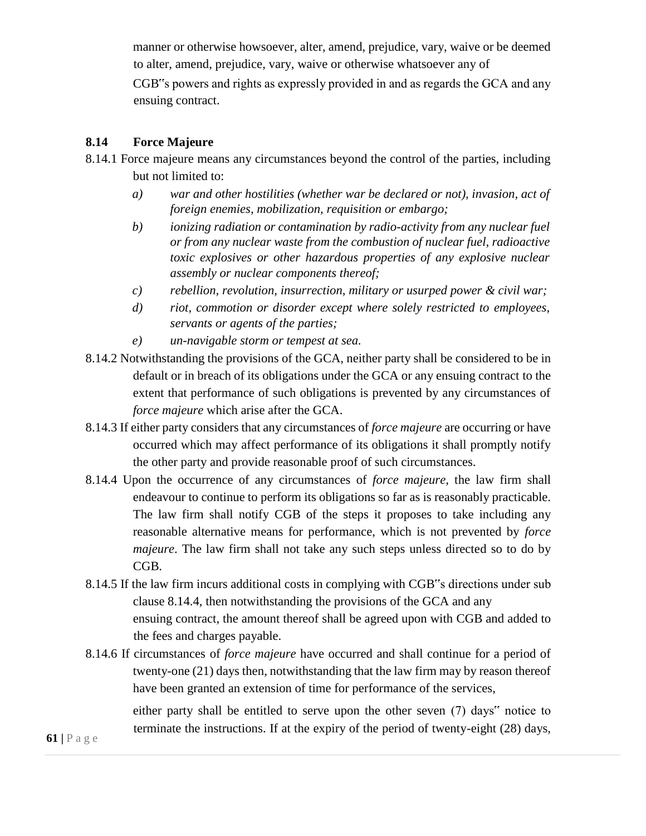manner or otherwise howsoever, alter, amend, prejudice, vary, waive or be deemed to alter, amend, prejudice, vary, waive or otherwise whatsoever any of

CGB"s powers and rights as expressly provided in and as regards the GCA and any ensuing contract.

#### **8.14 Force Majeure**

- 8.14.1 Force majeure means any circumstances beyond the control of the parties, including but not limited to:
	- *a) war and other hostilities (whether war be declared or not), invasion, act of foreign enemies, mobilization, requisition or embargo;*
	- *b) ionizing radiation or contamination by radio-activity from any nuclear fuel or from any nuclear waste from the combustion of nuclear fuel, radioactive toxic explosives or other hazardous properties of any explosive nuclear assembly or nuclear components thereof;*
	- *c) rebellion, revolution, insurrection, military or usurped power & civil war;*
	- *d) riot, commotion or disorder except where solely restricted to employees, servants or agents of the parties;*
	- *e) un-navigable storm or tempest at sea.*
- 8.14.2 Notwithstanding the provisions of the GCA, neither party shall be considered to be in default or in breach of its obligations under the GCA or any ensuing contract to the extent that performance of such obligations is prevented by any circumstances of *force majeure* which arise after the GCA.
- 8.14.3 If either party considers that any circumstances of *force majeure* are occurring or have occurred which may affect performance of its obligations it shall promptly notify the other party and provide reasonable proof of such circumstances.
- 8.14.4 Upon the occurrence of any circumstances of *force majeure*, the law firm shall endeavour to continue to perform its obligations so far as is reasonably practicable. The law firm shall notify CGB of the steps it proposes to take including any reasonable alternative means for performance, which is not prevented by *force majeure*. The law firm shall not take any such steps unless directed so to do by CGB.
- 8.14.5 If the law firm incurs additional costs in complying with CGB"s directions under sub clause 8.14.4, then notwithstanding the provisions of the GCA and any ensuing contract, the amount thereof shall be agreed upon with CGB and added to the fees and charges payable.
- 8.14.6 If circumstances of *force majeure* have occurred and shall continue for a period of twenty-one (21) days then, notwithstanding that the law firm may by reason thereof have been granted an extension of time for performance of the services,

either party shall be entitled to serve upon the other seven (7) days" notice to terminate the instructions. If at the expiry of the period of twenty-eight (28) days,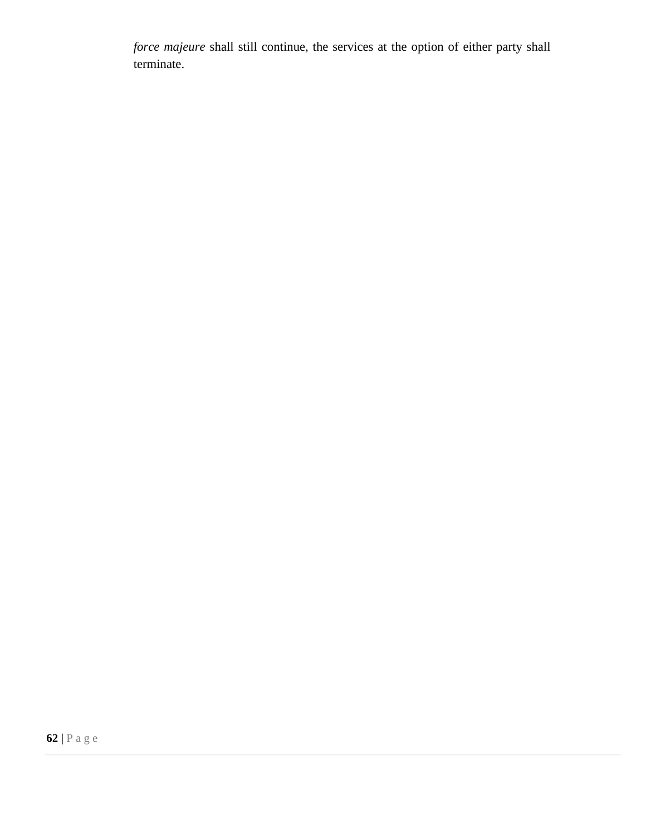*force majeure* shall still continue, the services at the option of either party shall terminate.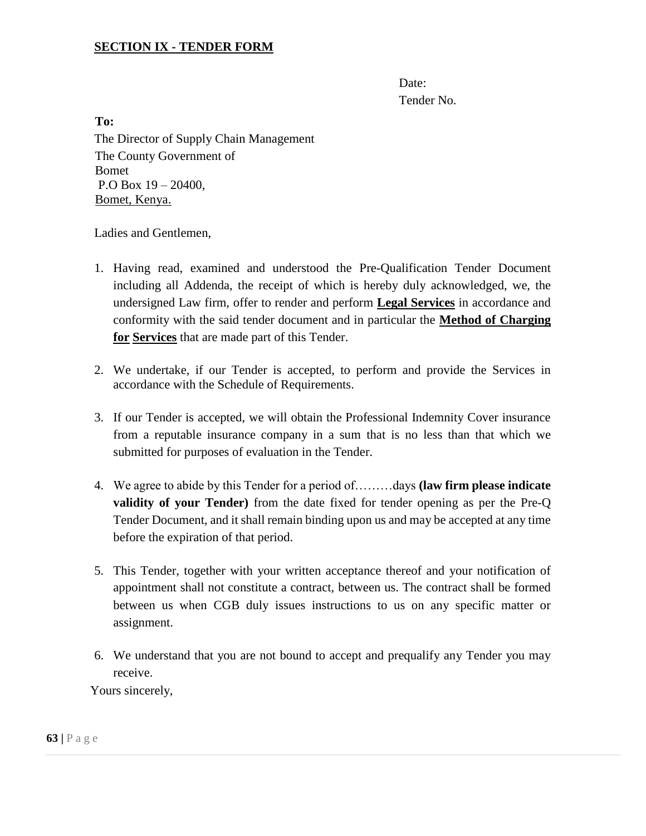#### **SECTION IX - TENDER FORM**

Date: Tender No.

**To:**  The Director of Supply Chain Management The County Government of Bomet P.O Box 19 – 20400, Bomet, Kenya.

Ladies and Gentlemen,

- 1. Having read, examined and understood the Pre-Qualification Tender Document including all Addenda, the receipt of which is hereby duly acknowledged, we, the undersigned Law firm, offer to render and perform **Legal Services** in accordance and conformity with the said tender document and in particular the **Method of Charging for Services** that are made part of this Tender.
- 2. We undertake, if our Tender is accepted, to perform and provide the Services in accordance with the Schedule of Requirements.
- 3. If our Tender is accepted, we will obtain the Professional Indemnity Cover insurance from a reputable insurance company in a sum that is no less than that which we submitted for purposes of evaluation in the Tender.
- 4. We agree to abide by this Tender for a period of………days **(law firm please indicate validity of your Tender)** from the date fixed for tender opening as per the Pre-Q Tender Document, and it shall remain binding upon us and may be accepted at any time before the expiration of that period.
- 5. This Tender, together with your written acceptance thereof and your notification of appointment shall not constitute a contract, between us. The contract shall be formed between us when CGB duly issues instructions to us on any specific matter or assignment.
- 6. We understand that you are not bound to accept and prequalify any Tender you may receive.

Yours sincerely,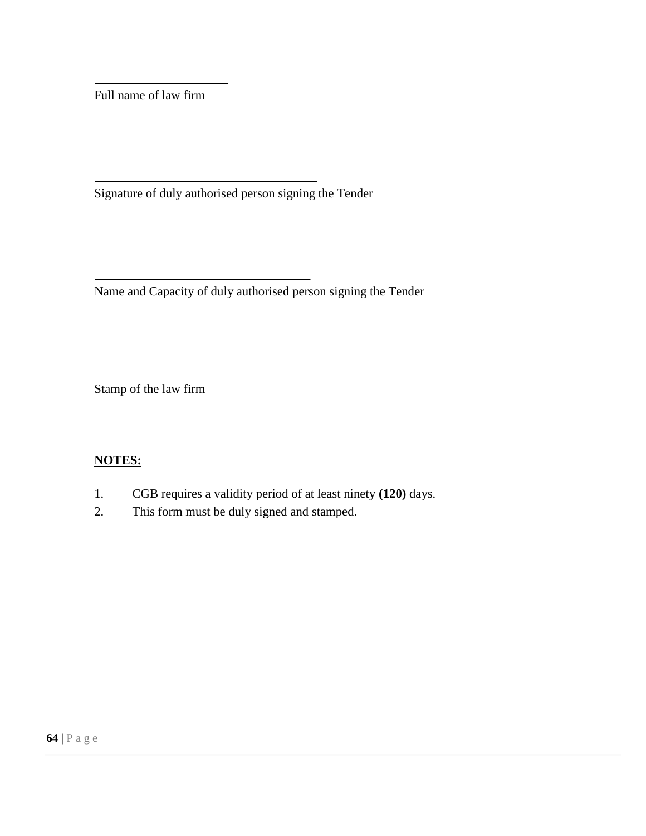Full name of law firm

Signature of duly authorised person signing the Tender

Name and Capacity of duly authorised person signing the Tender

Stamp of the law firm

### **NOTES:**

- 1. CGB requires a validity period of at least ninety **(120)** days.
- 2. This form must be duly signed and stamped.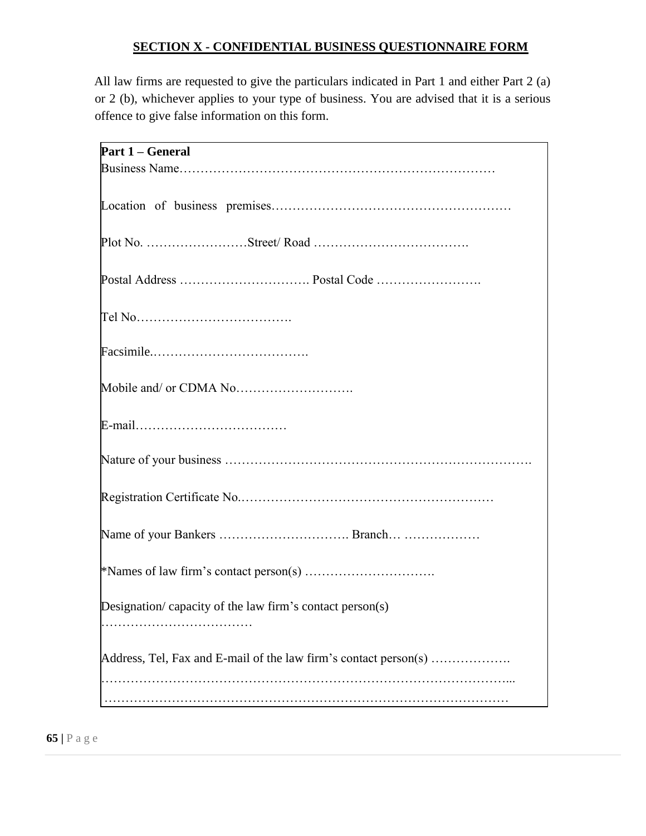### **SECTION X - CONFIDENTIAL BUSINESS QUESTIONNAIRE FORM**

All law firms are requested to give the particulars indicated in Part 1 and either Part 2 (a) or 2 (b), whichever applies to your type of business. You are advised that it is a serious offence to give false information on this form.

| Part 1 – General                                                 |
|------------------------------------------------------------------|
|                                                                  |
|                                                                  |
|                                                                  |
|                                                                  |
|                                                                  |
|                                                                  |
|                                                                  |
|                                                                  |
|                                                                  |
|                                                                  |
|                                                                  |
|                                                                  |
|                                                                  |
|                                                                  |
|                                                                  |
|                                                                  |
|                                                                  |
|                                                                  |
|                                                                  |
|                                                                  |
|                                                                  |
|                                                                  |
| Designation/ capacity of the law firm's contact person(s)        |
|                                                                  |
|                                                                  |
| Address, Tel, Fax and E-mail of the law firm's contact person(s) |
|                                                                  |
|                                                                  |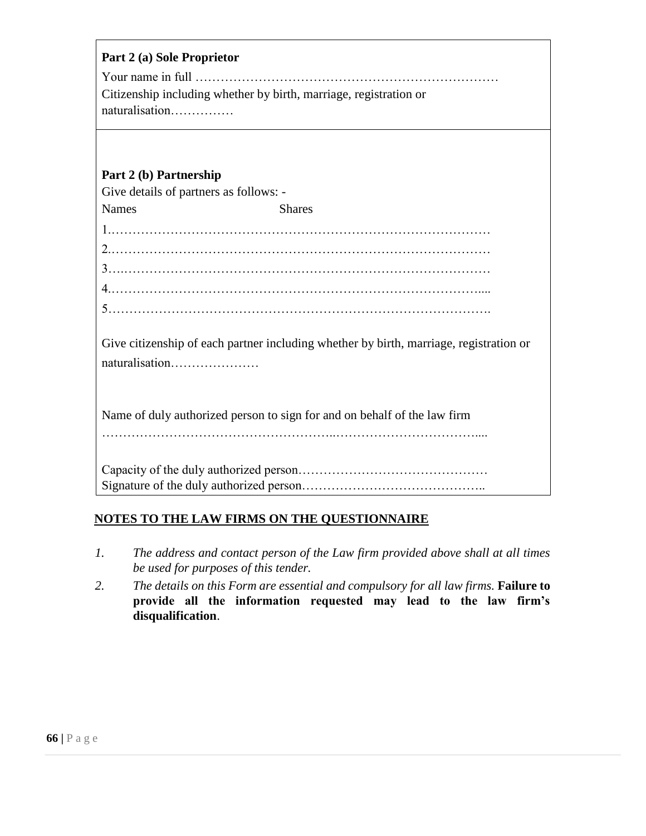| Part 2 (a) Sole Proprietor                                                             |  |  |
|----------------------------------------------------------------------------------------|--|--|
|                                                                                        |  |  |
| Citizenship including whether by birth, marriage, registration or                      |  |  |
| naturalisation                                                                         |  |  |
|                                                                                        |  |  |
|                                                                                        |  |  |
| Part 2 (b) Partnership                                                                 |  |  |
| Give details of partners as follows: -                                                 |  |  |
| <b>Names</b><br><b>Shares</b>                                                          |  |  |
|                                                                                        |  |  |
|                                                                                        |  |  |
|                                                                                        |  |  |
|                                                                                        |  |  |
|                                                                                        |  |  |
|                                                                                        |  |  |
| Give citizenship of each partner including whether by birth, marriage, registration or |  |  |
| naturalisation                                                                         |  |  |
|                                                                                        |  |  |
|                                                                                        |  |  |
| Name of duly authorized person to sign for and on behalf of the law firm               |  |  |
|                                                                                        |  |  |
|                                                                                        |  |  |
|                                                                                        |  |  |
|                                                                                        |  |  |

## **NOTES TO THE LAW FIRMS ON THE QUESTIONNAIRE**

- *1. The address and contact person of the Law firm provided above shall at all times be used for purposes of this tender.*
- 2. The details on this Form are essential and compulsory for all law firms. **Failure to provide all the information requested may lead to the law firm's disqualification**.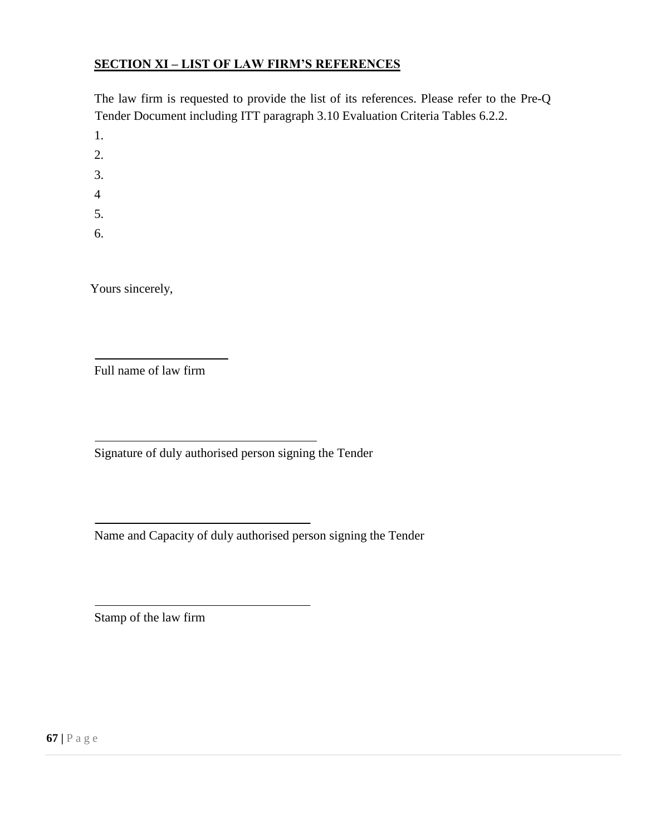### **SECTION XI – LIST OF LAW FIRM'S REFERENCES**

The law firm is requested to provide the list of its references. Please refer to the Pre-Q Tender Document including ITT paragraph 3.10 Evaluation Criteria Tables 6.2.2.

1.

2.

3.

4

5.

6.

Yours sincerely,

Full name of law firm

Signature of duly authorised person signing the Tender

Name and Capacity of duly authorised person signing the Tender

Stamp of the law firm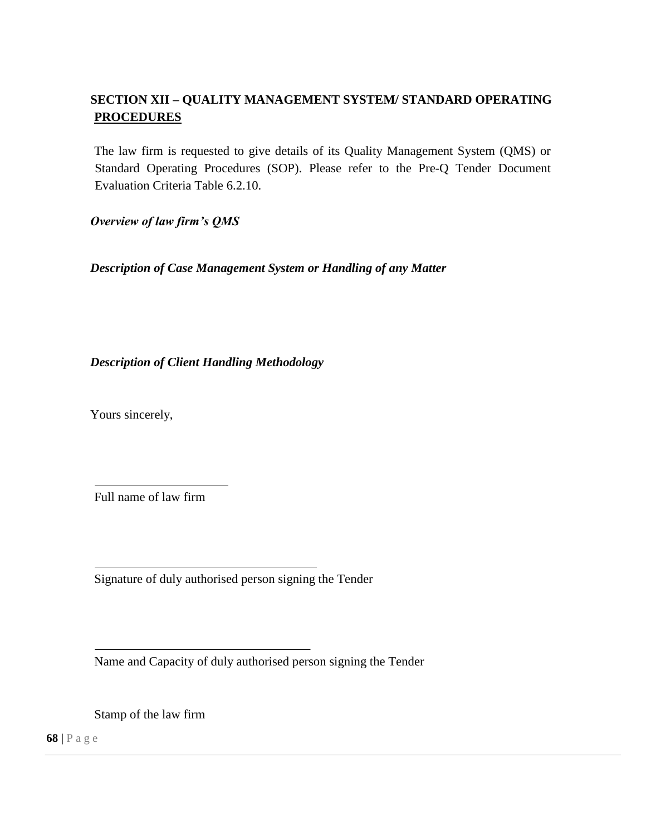# **SECTION XII – QUALITY MANAGEMENT SYSTEM/ STANDARD OPERATING PROCEDURES**

The law firm is requested to give details of its Quality Management System (QMS) or Standard Operating Procedures (SOP). Please refer to the Pre-Q Tender Document Evaluation Criteria Table 6.2.10.

*Overview of law firm's QMS* 

*Description of Case Management System or Handling of any Matter* 

*Description of Client Handling Methodology* 

Yours sincerely,

Full name of law firm

Signature of duly authorised person signing the Tender

Name and Capacity of duly authorised person signing the Tender

Stamp of the law firm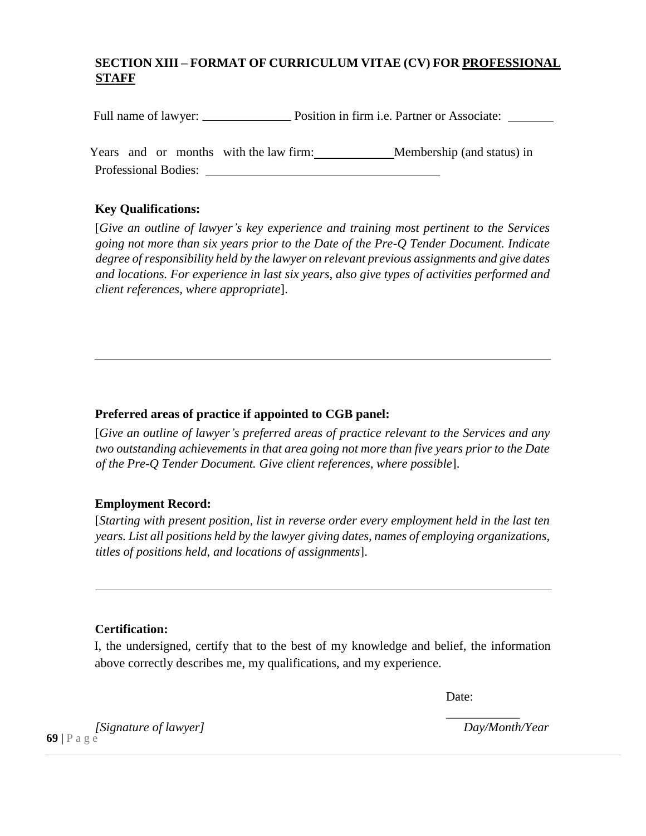# **SECTION XIII – FORMAT OF CURRICULUM VITAE (CV) FOR PROFESSIONAL STAFF**

Full name of lawyer: Position in firm i.e. Partner or Associate:

Years and or months with the law firm: Membership (and status) in Professional Bodies:

### **Key Qualifications:**

[*Give an outline of lawyer's key experience and training most pertinent to the Services going not more than six years prior to the Date of the Pre-Q Tender Document. Indicate degree of responsibility held by the lawyer on relevant previous assignments and give dates and locations. For experience in last six years, also give types of activities performed and client references, where appropriate*].

### **Preferred areas of practice if appointed to CGB panel:**

[*Give an outline of lawyer's preferred areas of practice relevant to the Services and any two outstanding achievements in that area going not more than five years prior to the Date of the Pre-Q Tender Document. Give client references, where possible*].

### **Employment Record:**

[*Starting with present position, list in reverse order every employment held in the last ten years. List all positions held by the lawyer giving dates, names of employing organizations, titles of positions held, and locations of assignments*].

### **Certification:**

I, the undersigned, certify that to the best of my knowledge and belief, the information above correctly describes me, my qualifications, and my experience.

Date:

**69 |** P a g e *[Signature of lawyer] Day/Month/Year*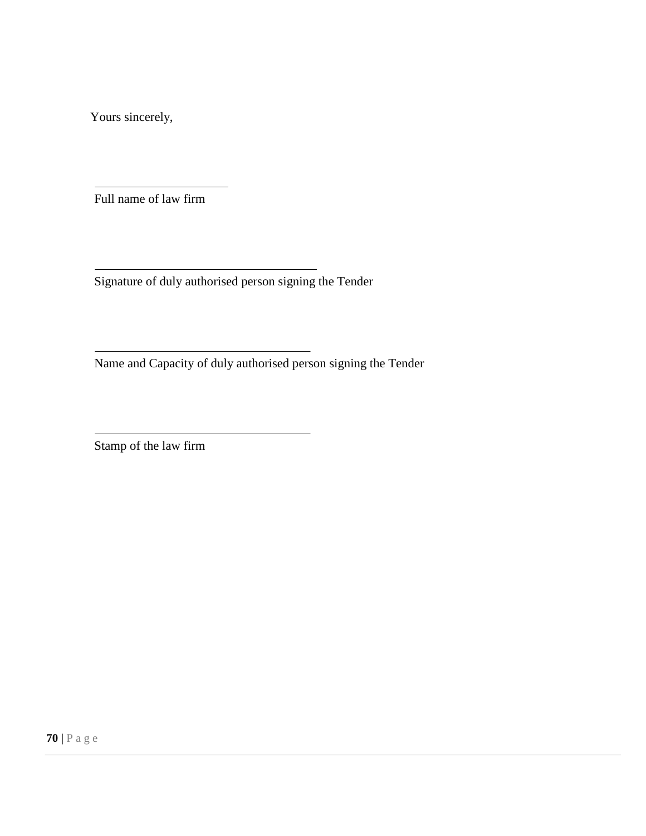Yours sincerely,

Full name of law firm

Signature of duly authorised person signing the Tender

Name and Capacity of duly authorised person signing the Tender

Stamp of the law firm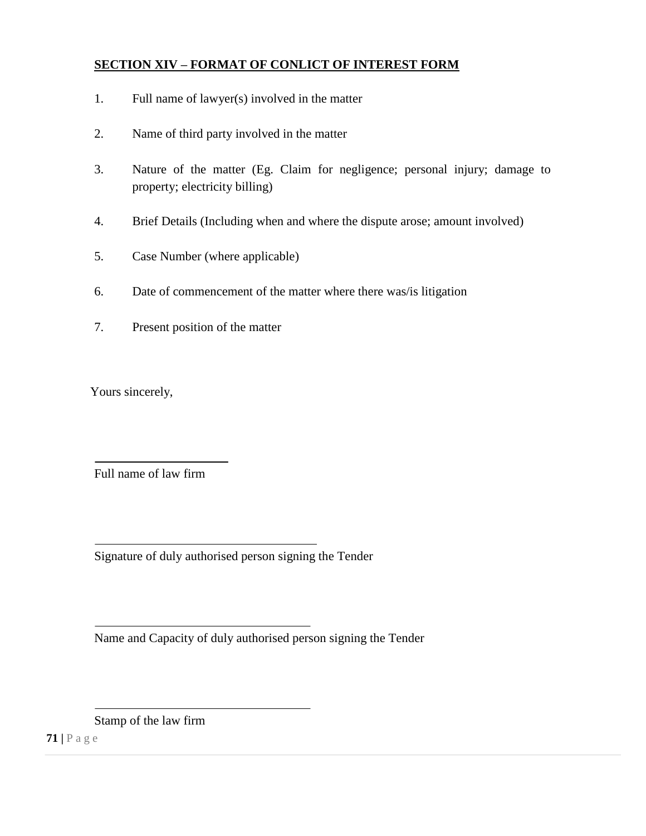### **SECTION XIV – FORMAT OF CONLICT OF INTEREST FORM**

- 1. Full name of lawyer(s) involved in the matter
- 2. Name of third party involved in the matter
- 3. Nature of the matter (Eg. Claim for negligence; personal injury; damage to property; electricity billing)
- 4. Brief Details (Including when and where the dispute arose; amount involved)
- 5. Case Number (where applicable)
- 6. Date of commencement of the matter where there was/is litigation
- 7. Present position of the matter

Yours sincerely,

Full name of law firm

Signature of duly authorised person signing the Tender

Name and Capacity of duly authorised person signing the Tender

Stamp of the law firm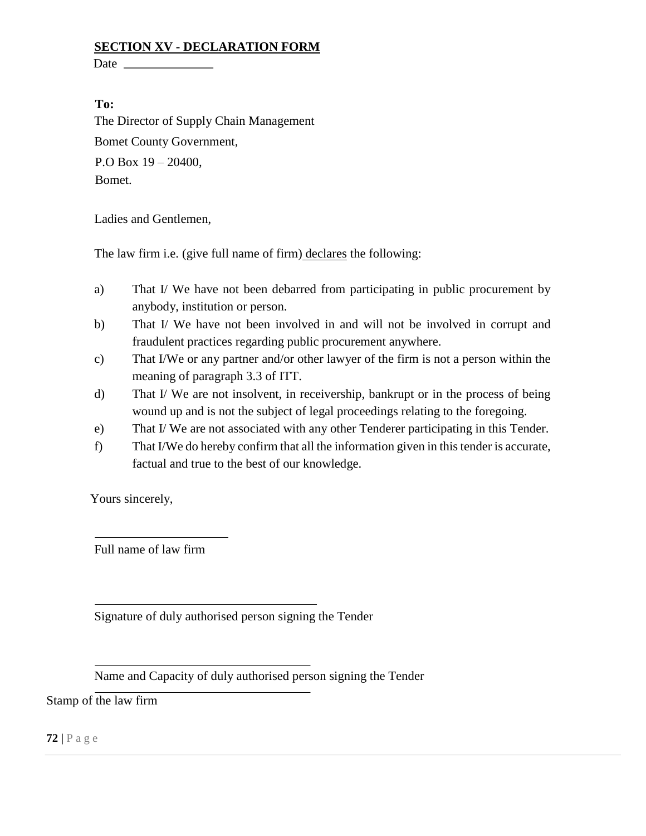#### **SECTION XV - DECLARATION FORM**

Date  $\_\_\_\_\_\_\$ 

#### **To:**

The Director of Supply Chain Management Bomet County Government, P.O Box 19 – 20400, Bomet.

Ladies and Gentlemen,

The law firm i.e. (give full name of firm) declares the following:

- a) That I/ We have not been debarred from participating in public procurement by anybody, institution or person.
- b) That I/ We have not been involved in and will not be involved in corrupt and fraudulent practices regarding public procurement anywhere.
- c) That I/We or any partner and/or other lawyer of the firm is not a person within the meaning of paragraph 3.3 of ITT.
- d) That I/ We are not insolvent, in receivership, bankrupt or in the process of being wound up and is not the subject of legal proceedings relating to the foregoing.
- e) That I/ We are not associated with any other Tenderer participating in this Tender.
- f) That I/We do hereby confirm that all the information given in this tender is accurate, factual and true to the best of our knowledge.

Yours sincerely,

Full name of law firm

Signature of duly authorised person signing the Tender

Name and Capacity of duly authorised person signing the Tender

Stamp of the law firm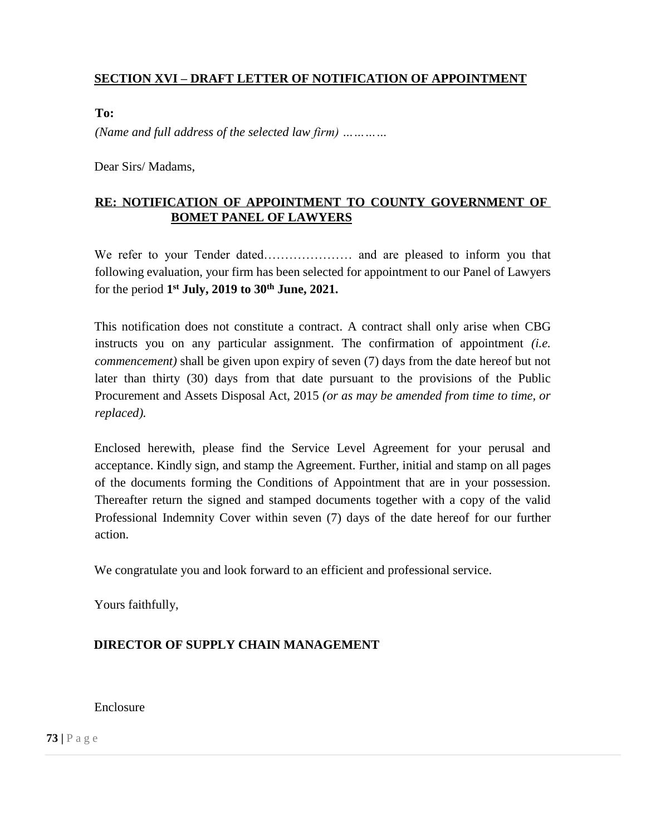# **SECTION XVI – DRAFT LETTER OF NOTIFICATION OF APPOINTMENT**

**To:** 

*(Name and full address of the selected law firm) …………* 

Dear Sirs/ Madams,

### **RE: NOTIFICATION OF APPOINTMENT TO COUNTY GOVERNMENT OF BOMET PANEL OF LAWYERS**

We refer to your Tender dated………………… and are pleased to inform you that following evaluation, your firm has been selected for appointment to our Panel of Lawyers for the period **1 st July, 2019 to 30th June, 2021.**

This notification does not constitute a contract. A contract shall only arise when CBG instructs you on any particular assignment. The confirmation of appointment *(i.e. commencement)* shall be given upon expiry of seven (7) days from the date hereof but not later than thirty (30) days from that date pursuant to the provisions of the Public Procurement and Assets Disposal Act, 2015 *(or as may be amended from time to time, or replaced).* 

Enclosed herewith, please find the Service Level Agreement for your perusal and acceptance. Kindly sign, and stamp the Agreement. Further, initial and stamp on all pages of the documents forming the Conditions of Appointment that are in your possession. Thereafter return the signed and stamped documents together with a copy of the valid Professional Indemnity Cover within seven (7) days of the date hereof for our further action.

We congratulate you and look forward to an efficient and professional service.

Yours faithfully,

# **DIRECTOR OF SUPPLY CHAIN MANAGEMENT**

Enclosure

**73 |** P a g e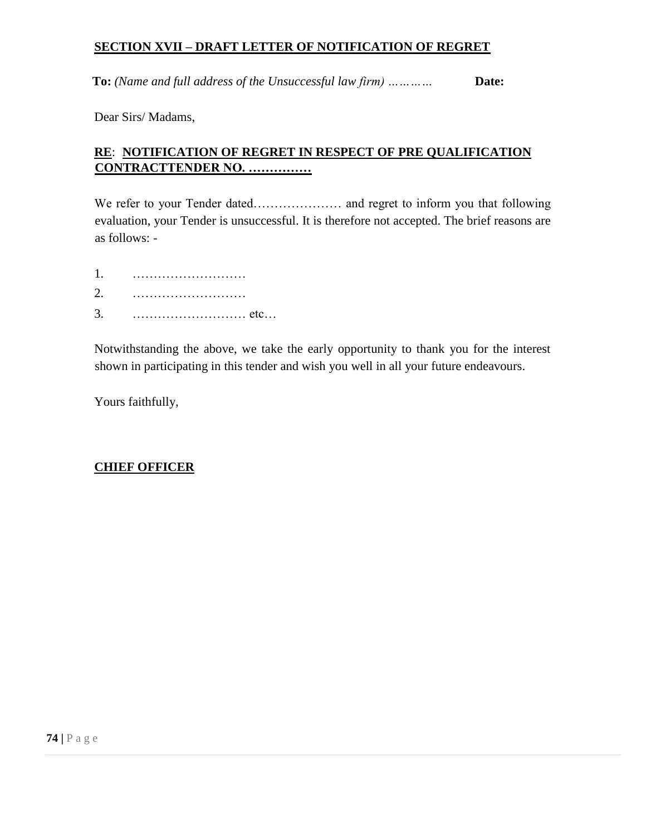#### **SECTION XVII – DRAFT LETTER OF NOTIFICATION OF REGRET**

**To:** (Name and full address of the Unsuccessful law firm) ... ... ...... **Date:** 

Dear Sirs/ Madams,

# **RE**: **NOTIFICATION OF REGRET IN RESPECT OF PRE QUALIFICATION CONTRACTTENDER NO. ……………**

We refer to your Tender dated………………… and regret to inform you that following evaluation, your Tender is unsuccessful. It is therefore not accepted. The brief reasons are as follows: -

- 1. ………………………
- 2. ………………………
- 3. ……………………… etc…

Notwithstanding the above, we take the early opportunity to thank you for the interest shown in participating in this tender and wish you well in all your future endeavours.

Yours faithfully,

#### **CHIEF OFFICER**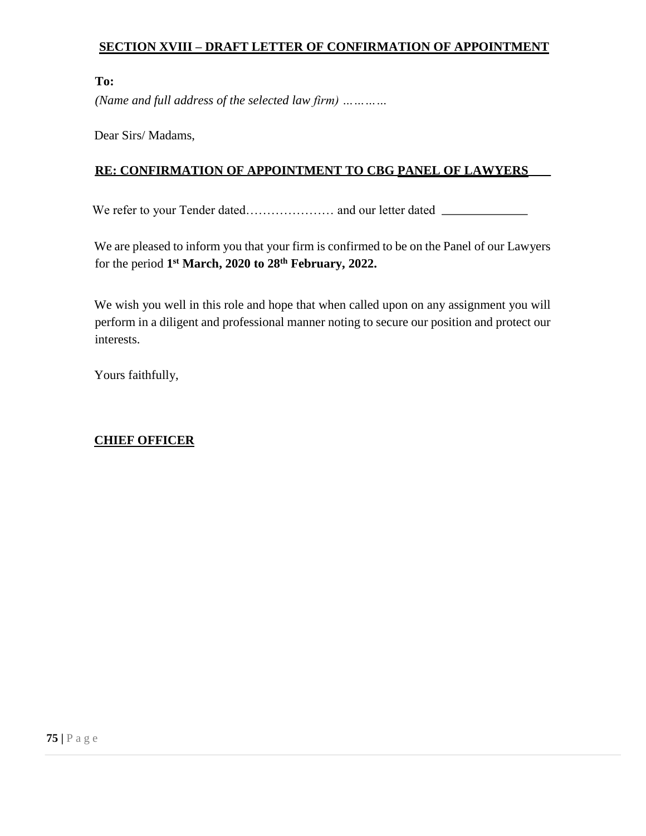# **SECTION XVIII – DRAFT LETTER OF CONFIRMATION OF APPOINTMENT**

#### **To:**

*(Name and full address of the selected law firm) …………* 

Dear Sirs/ Madams,

### **RE: CONFIRMATION OF APPOINTMENT TO CBG PANEL OF LAWYERS**

We refer to your Tender dated………………… and our letter dated

We are pleased to inform you that your firm is confirmed to be on the Panel of our Lawyers for the period **1 st March, 2020 to 28th February, 2022.** 

We wish you well in this role and hope that when called upon on any assignment you will perform in a diligent and professional manner noting to secure our position and protect our interests.

Yours faithfully,

# **CHIEF OFFICER**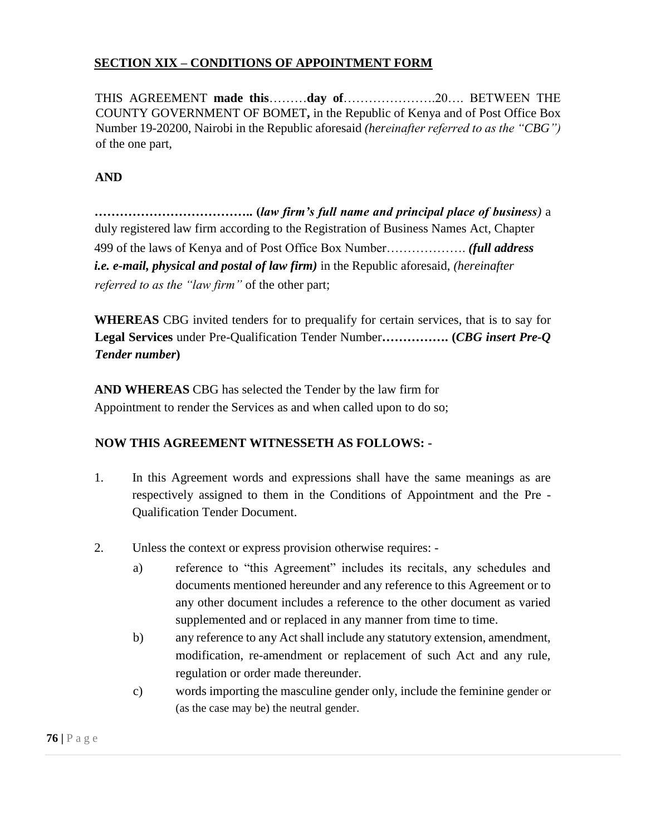## **SECTION XIX – CONDITIONS OF APPOINTMENT FORM**

THIS AGREEMENT **made this**………**day of**………………….20…. BETWEEN THE COUNTY GOVERNMENT OF BOMET**,** in the Republic of Kenya and of Post Office Box Number 19-20200, Nairobi in the Republic aforesaid *(hereinafter referred to as the "CBG")*  of the one part,

### **AND**

**……………………………….. (***law firm's full name and principal place of business)* a duly registered law firm according to the Registration of Business Names Act, Chapter 499 of the laws of Kenya and of Post Office Box Number………………. *(full address i.e. e-mail, physical and postal of law firm)* in the Republic aforesaid, *(hereinafter referred to as the "law firm"* of the other part;

**WHEREAS** CBG invited tenders for to prequalify for certain services, that is to say for **Legal Services** under Pre-Qualification Tender Number**……………. (***CBG insert Pre-Q Tender number***)** 

**AND WHEREAS** CBG has selected the Tender by the law firm for Appointment to render the Services as and when called upon to do so;

#### **NOW THIS AGREEMENT WITNESSETH AS FOLLOWS: -**

- 1. In this Agreement words and expressions shall have the same meanings as are respectively assigned to them in the Conditions of Appointment and the Pre - Qualification Tender Document.
- 2. Unless the context or express provision otherwise requires:
	- a) reference to "this Agreement" includes its recitals, any schedules and documents mentioned hereunder and any reference to this Agreement or to any other document includes a reference to the other document as varied supplemented and or replaced in any manner from time to time.
	- b) any reference to any Act shall include any statutory extension, amendment, modification, re-amendment or replacement of such Act and any rule, regulation or order made thereunder.
	- c) words importing the masculine gender only, include the feminine gender or (as the case may be) the neutral gender.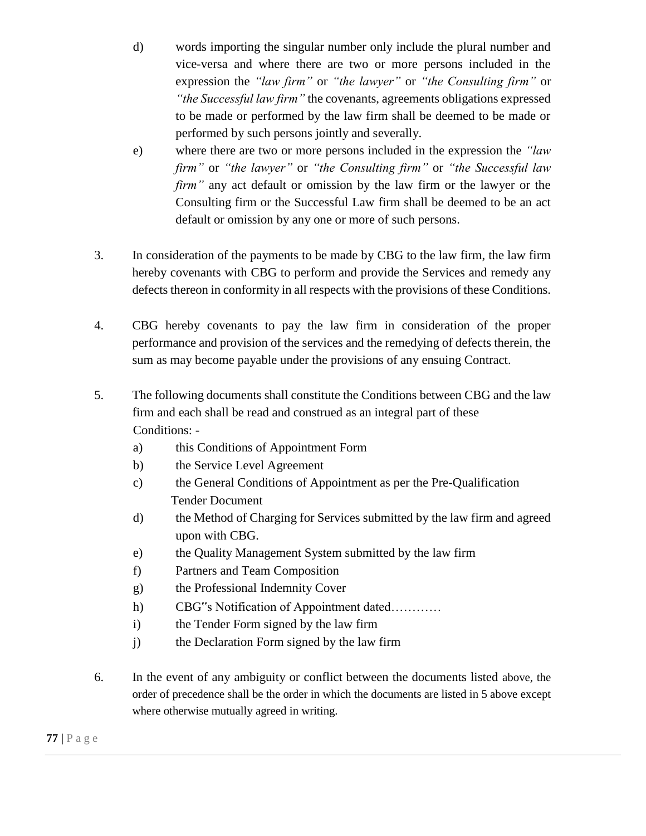- d) words importing the singular number only include the plural number and vice-versa and where there are two or more persons included in the expression the *"law firm"* or *"the lawyer"* or *"the Consulting firm"* or *"the Successful law firm"* the covenants, agreements obligations expressed to be made or performed by the law firm shall be deemed to be made or performed by such persons jointly and severally.
- e) where there are two or more persons included in the expression the *"law firm"* or *"the lawyer"* or *"the Consulting firm"* or *"the Successful law firm"* any act default or omission by the law firm or the lawyer or the Consulting firm or the Successful Law firm shall be deemed to be an act default or omission by any one or more of such persons.
- 3. In consideration of the payments to be made by CBG to the law firm, the law firm hereby covenants with CBG to perform and provide the Services and remedy any defects thereon in conformity in all respects with the provisions of these Conditions.
- 4. CBG hereby covenants to pay the law firm in consideration of the proper performance and provision of the services and the remedying of defects therein, the sum as may become payable under the provisions of any ensuing Contract.
- 5. The following documents shall constitute the Conditions between CBG and the law firm and each shall be read and construed as an integral part of these Conditions:
	- a) this Conditions of Appointment Form
	- b) the Service Level Agreement
	- c) the General Conditions of Appointment as per the Pre-Qualification Tender Document
	- d) the Method of Charging for Services submitted by the law firm and agreed upon with CBG.
	- e) the Quality Management System submitted by the law firm
	- f) Partners and Team Composition
	- g) the Professional Indemnity Cover
	- h) CBG"s Notification of Appointment dated…………
	- i) the Tender Form signed by the law firm
	- j) the Declaration Form signed by the law firm
- 6. In the event of any ambiguity or conflict between the documents listed above, the order of precedence shall be the order in which the documents are listed in 5 above except where otherwise mutually agreed in writing.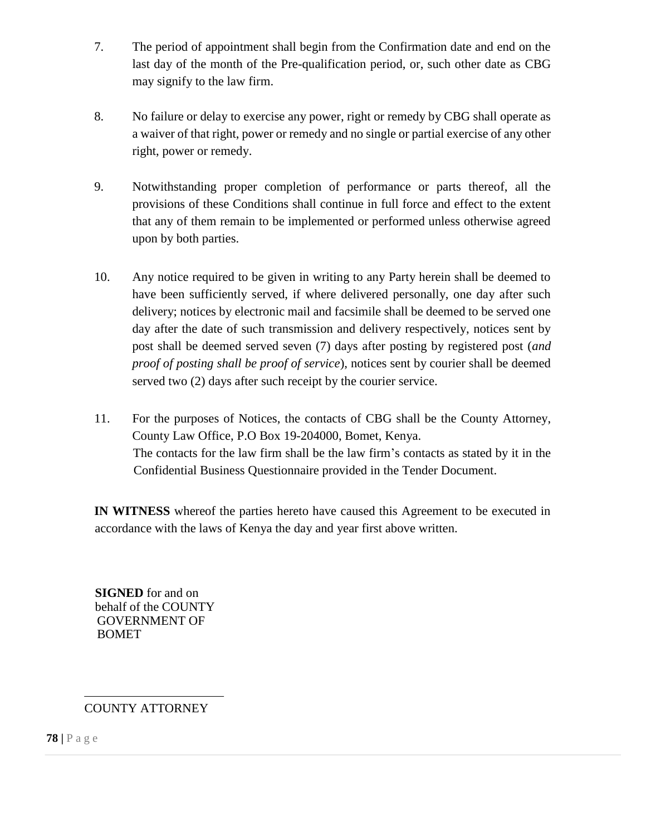- 7. The period of appointment shall begin from the Confirmation date and end on the last day of the month of the Pre-qualification period, or, such other date as CBG may signify to the law firm.
- 8. No failure or delay to exercise any power, right or remedy by CBG shall operate as a waiver of that right, power or remedy and no single or partial exercise of any other right, power or remedy.
- 9. Notwithstanding proper completion of performance or parts thereof, all the provisions of these Conditions shall continue in full force and effect to the extent that any of them remain to be implemented or performed unless otherwise agreed upon by both parties.
- 10. Any notice required to be given in writing to any Party herein shall be deemed to have been sufficiently served, if where delivered personally, one day after such delivery; notices by electronic mail and facsimile shall be deemed to be served one day after the date of such transmission and delivery respectively, notices sent by post shall be deemed served seven (7) days after posting by registered post (*and proof of posting shall be proof of service*), notices sent by courier shall be deemed served two (2) days after such receipt by the courier service.
- 11. For the purposes of Notices, the contacts of CBG shall be the County Attorney, County Law Office, P.O Box 19-204000, Bomet, Kenya. The contacts for the law firm shall be the law firm's contacts as stated by it in the Confidential Business Questionnaire provided in the Tender Document.

**IN WITNESS** whereof the parties hereto have caused this Agreement to be executed in accordance with the laws of Kenya the day and year first above written.

**SIGNED** for and on behalf of the COUNTY GOVERNMENT OF BOMET

# COUNTY ATTORNEY

**78 |** P a g e